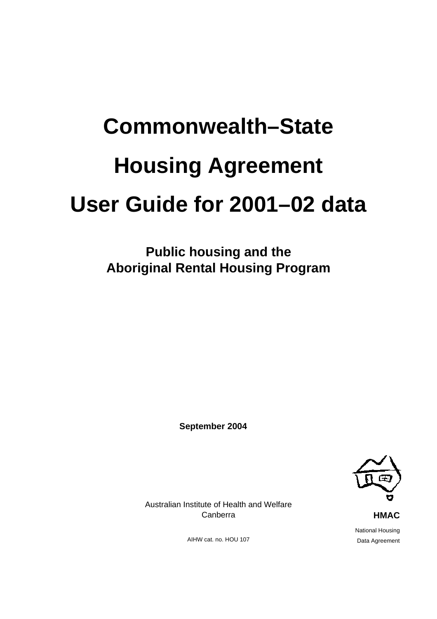# **Commonwealth–State Housing Agreement User Guide for 2001–02 data**

**Public housing and the Aboriginal Rental Housing Program** 

**September 2004** 



Australian Institute of Health and Welfare Canberra

AIHW cat. no. HOU 107

 National Housing Data Agreement

**HMAC**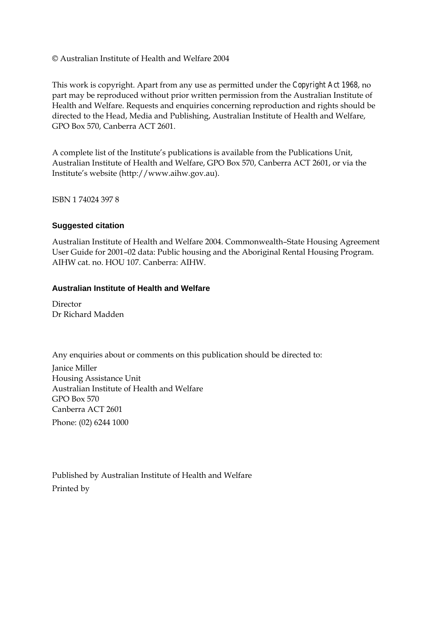© Australian Institute of Health and Welfare 2004

This work is copyright. Apart from any use as permitted under the *Copyright Act 1968*, no part may be reproduced without prior written permission from the Australian Institute of Health and Welfare. Requests and enquiries concerning reproduction and rights should be directed to the Head, Media and Publishing, Australian Institute of Health and Welfare, GPO Box 570, Canberra ACT 2601.

A complete list of the Institute's publications is available from the Publications Unit, Australian Institute of Health and Welfare, GPO Box 570, Canberra ACT 2601, or via the Institute's website (http://www.aihw.gov.au).

ISBN 1 74024 397 8

#### **Suggested citation**

Australian Institute of Health and Welfare 2004. Commonwealth–State Housing Agreement User Guide for 2001–02 data: Public housing and the Aboriginal Rental Housing Program. AIHW cat. no. HOU 107. Canberra: AIHW.

#### **Australian Institute of Health and Welfare**

Director Dr Richard Madden

Any enquiries about or comments on this publication should be directed to:

Janice Miller Housing Assistance Unit Australian Institute of Health and Welfare GPO Box 570 Canberra ACT 2601

Phone: (02) 6244 1000

Published by Australian Institute of Health and Welfare Printed by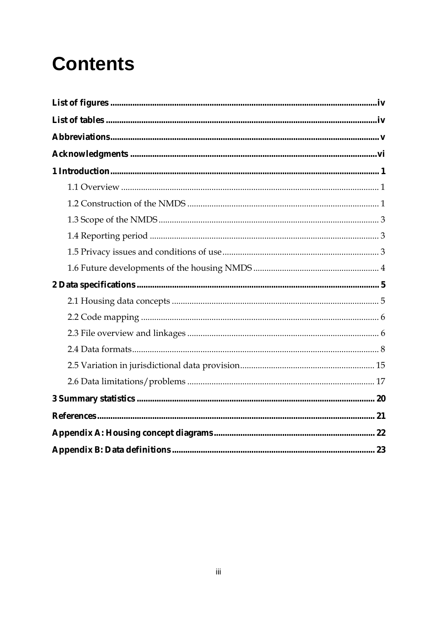## **Contents**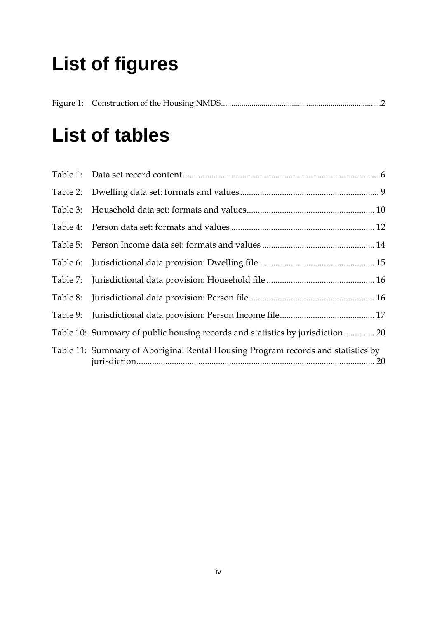## **List of figures**

## **List of tables**

| Table 10: Summary of public housing records and statistics by jurisdiction 20    |
|----------------------------------------------------------------------------------|
| Table 11: Summary of Aboriginal Rental Housing Program records and statistics by |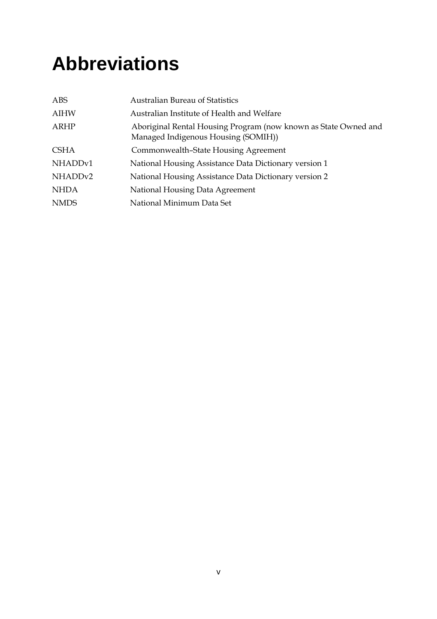## **Abbreviations**

| <b>ABS</b>          | <b>Australian Bureau of Statistics</b>                                                                 |
|---------------------|--------------------------------------------------------------------------------------------------------|
| <b>AIHW</b>         | Australian Institute of Health and Welfare                                                             |
| <b>ARHP</b>         | Aboriginal Rental Housing Program (now known as State Owned and<br>Managed Indigenous Housing (SOMIH)) |
| <b>CSHA</b>         | Commonwealth-State Housing Agreement                                                                   |
| NHADDv1             | National Housing Assistance Data Dictionary version 1                                                  |
| NHADD <sub>v2</sub> | National Housing Assistance Data Dictionary version 2                                                  |
| <b>NHDA</b>         | National Housing Data Agreement                                                                        |
| <b>NMDS</b>         | National Minimum Data Set                                                                              |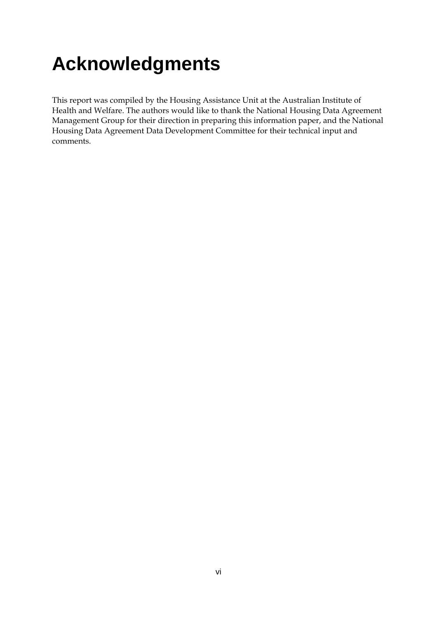## **Acknowledgments**

This report was compiled by the Housing Assistance Unit at the Australian Institute of Health and Welfare. The authors would like to thank the National Housing Data Agreement Management Group for their direction in preparing this information paper, and the National Housing Data Agreement Data Development Committee for their technical input and comments.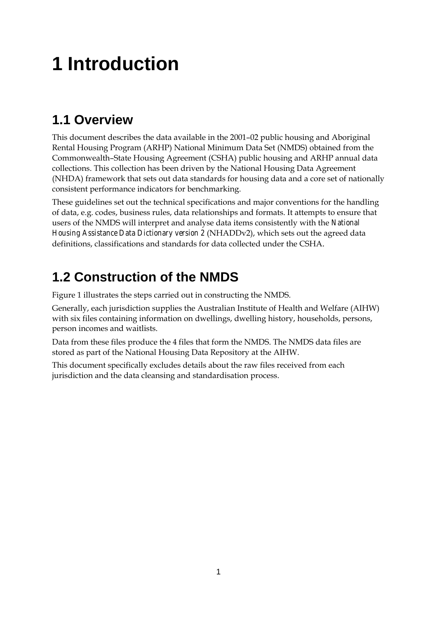## **1 Introduction**

### **1.1 Overview**

This document describes the data available in the 2001–02 public housing and Aboriginal Rental Housing Program (ARHP) National Minimum Data Set (NMDS) obtained from the Commonwealth–State Housing Agreement (CSHA) public housing and ARHP annual data collections. This collection has been driven by the National Housing Data Agreement (NHDA) framework that sets out data standards for housing data and a core set of nationally consistent performance indicators for benchmarking.

These guidelines set out the technical specifications and major conventions for the handling of data, e.g. codes, business rules, data relationships and formats. It attempts to ensure that users of the NMDS will interpret and analyse data items consistently with the *National Housing Assistance Data Dictionary version 2* (NHADDv2), which sets out the agreed data definitions, classifications and standards for data collected under the CSHA.

### **1.2 Construction of the NMDS**

Figure 1 illustrates the steps carried out in constructing the NMDS.

Generally, each jurisdiction supplies the Australian Institute of Health and Welfare (AIHW) with six files containing information on dwellings, dwelling history, households, persons, person incomes and waitlists.

Data from these files produce the 4 files that form the NMDS. The NMDS data files are stored as part of the National Housing Data Repository at the AIHW.

This document specifically excludes details about the raw files received from each jurisdiction and the data cleansing and standardisation process.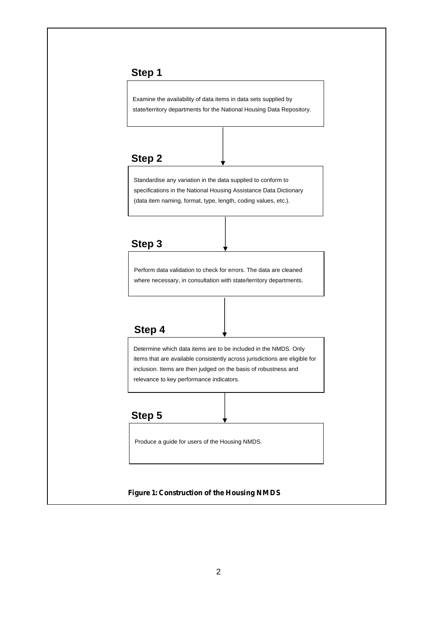#### **Step 1**

Examine the availability of data items in data sets supplied by state/territory departments for the National Housing Data Repository.

#### **Step 2**

Standardise any variation in the data supplied to conform to specifications in the National Housing Assistance Data Dictionary (data item naming, format, type, length, coding values, etc.).

### **Step 3**

Perform data validation to check for errors. The data are cleaned where necessary, in consultation with state/territory departments.

#### **Step 4**

Determine which data items are to be included in the NMDS. Only items that are available consistently across jurisdictions are eligible for inclusion. Items are then judged on the basis of robustness and relevance to key performance indicators.

#### **Step 5**

Produce a guide for users of the Housing NMDS.

#### **Figure 1: Construction of the Housing NMDS**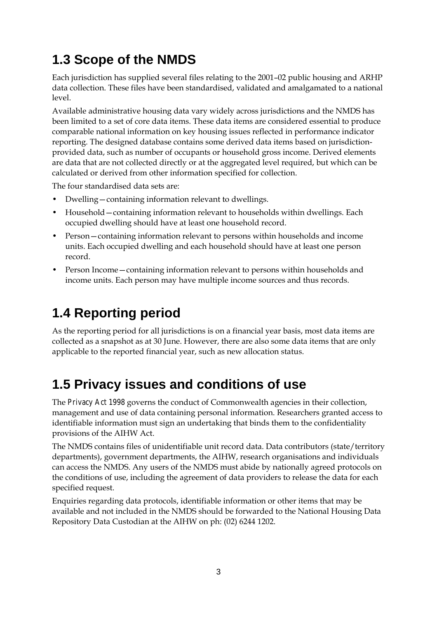### **1.3 Scope of the NMDS**

Each jurisdiction has supplied several files relating to the 2001–02 public housing and ARHP data collection. These files have been standardised, validated and amalgamated to a national level.

Available administrative housing data vary widely across jurisdictions and the NMDS has been limited to a set of core data items. These data items are considered essential to produce comparable national information on key housing issues reflected in performance indicator reporting. The designed database contains some derived data items based on jurisdictionprovided data, such as number of occupants or household gross income. Derived elements are data that are not collected directly or at the aggregated level required, but which can be calculated or derived from other information specified for collection.

The four standardised data sets are:

- Dwelling—containing information relevant to dwellings.
- Household—containing information relevant to households within dwellings. Each occupied dwelling should have at least one household record.
- Person—containing information relevant to persons within households and income units. Each occupied dwelling and each household should have at least one person record.
- Person Income—containing information relevant to persons within households and income units. Each person may have multiple income sources and thus records.

### **1.4 Reporting period**

As the reporting period for all jurisdictions is on a financial year basis, most data items are collected as a snapshot as at 30 June. However, there are also some data items that are only applicable to the reported financial year, such as new allocation status.

### **1.5 Privacy issues and conditions of use**

The *Privacy Act 1998* governs the conduct of Commonwealth agencies in their collection, management and use of data containing personal information. Researchers granted access to identifiable information must sign an undertaking that binds them to the confidentiality provisions of the AIHW Act.

The NMDS contains files of unidentifiable unit record data. Data contributors (state/territory departments), government departments, the AIHW, research organisations and individuals can access the NMDS. Any users of the NMDS must abide by nationally agreed protocols on the conditions of use, including the agreement of data providers to release the data for each specified request.

Enquiries regarding data protocols, identifiable information or other items that may be available and not included in the NMDS should be forwarded to the National Housing Data Repository Data Custodian at the AIHW on ph: (02) 6244 1202.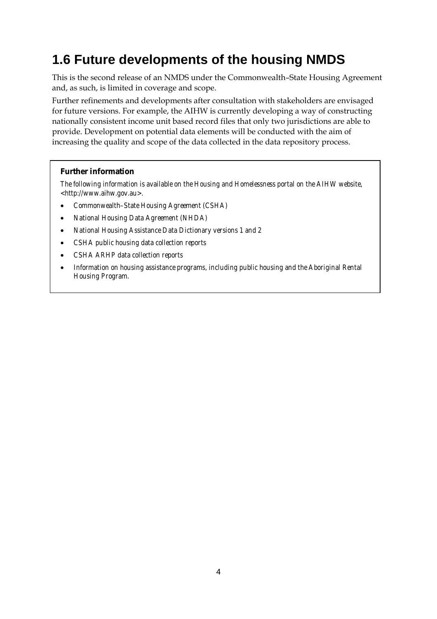### **1.6 Future developments of the housing NMDS**

This is the second release of an NMDS under the Commonwealth–State Housing Agreement and, as such, is limited in coverage and scope.

Further refinements and developments after consultation with stakeholders are envisaged for future versions. For example, the AIHW is currently developing a way of constructing nationally consistent income unit based record files that only two jurisdictions are able to provide. Development on potential data elements will be conducted with the aim of increasing the quality and scope of the data collected in the data repository process.

#### **Further information**

*The following information is available on the Housing and Homelessness portal on the AIHW website, <http://www.aihw.gov.au>.* 

- *Commonwealth–State Housing Agreement (CSHA)*
- *National Housing Data Agreement (NHDA)*
- *National Housing Assistance Data Dictionary versions 1 and 2*
- *CSHA public housing data collection reports*
- *CSHA ARHP data collection reports*
- *Information on housing assistance programs, including public housing and the Aboriginal Rental Housing Program.*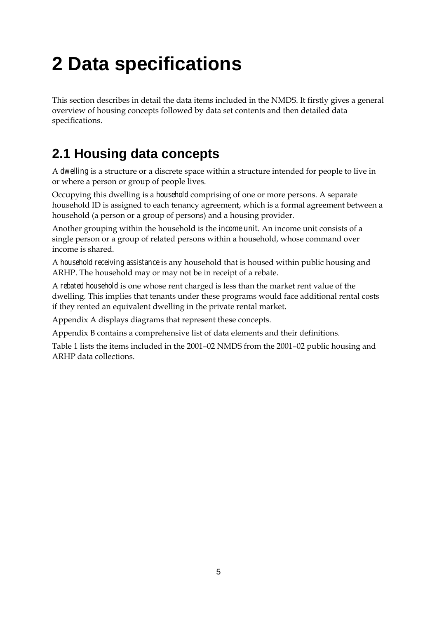## **2 Data specifications**

This section describes in detail the data items included in the NMDS. It firstly gives a general overview of housing concepts followed by data set contents and then detailed data specifications.

### **2.1 Housing data concepts**

A *dwelling* is a structure or a discrete space within a structure intended for people to live in or where a person or group of people lives.

Occupying this dwelling is a *household* comprising of one or more persons. A separate household ID is assigned to each tenancy agreement, which is a formal agreement between a household (a person or a group of persons) and a housing provider.

Another grouping within the household is the *income unit*. An income unit consists of a single person or a group of related persons within a household, whose command over income is shared.

A *household receiving assistance* is any household that is housed within public housing and ARHP. The household may or may not be in receipt of a rebate.

A *rebated household* is one whose rent charged is less than the market rent value of the dwelling. This implies that tenants under these programs would face additional rental costs if they rented an equivalent dwelling in the private rental market.

Appendix A displays diagrams that represent these concepts.

Appendix B contains a comprehensive list of data elements and their definitions.

Table 1 lists the items included in the 2001–02 NMDS from the 2001–02 public housing and ARHP data collections.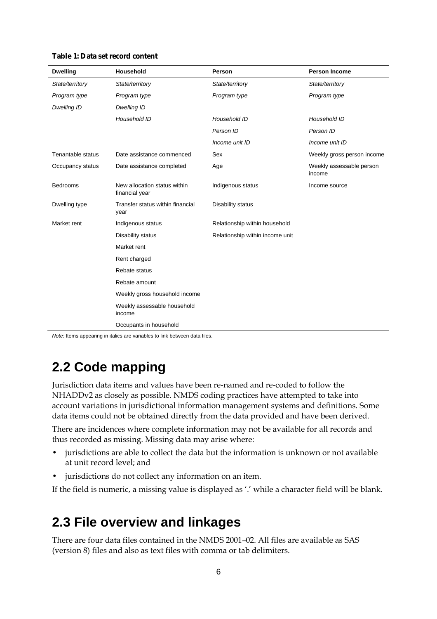|  |  | Table 1: Data set record content |  |  |
|--|--|----------------------------------|--|--|
|--|--|----------------------------------|--|--|

| <b>Dwelling</b>    | Household                                      | Person                          | <b>Person Income</b>               |
|--------------------|------------------------------------------------|---------------------------------|------------------------------------|
| State/territory    | State/territory                                | State/territory                 | State/territory                    |
| Program type       | Program type                                   | Program type                    | Program type                       |
| <b>Dwelling ID</b> | Dwelling ID                                    |                                 |                                    |
|                    | Household ID                                   | Household ID                    | Household ID                       |
|                    |                                                | Person ID                       | Person ID                          |
|                    |                                                | Income unit ID                  | Income unit ID                     |
| Tenantable status  | Date assistance commenced                      | Sex                             | Weekly gross person income         |
| Occupancy status   | Date assistance completed                      | Age                             | Weekly assessable person<br>income |
| <b>Bedrooms</b>    | New allocation status within<br>financial year | Indigenous status               | Income source                      |
| Dwelling type      | Transfer status within financial<br>year       | Disability status               |                                    |
| Market rent        | Indigenous status                              | Relationship within household   |                                    |
|                    | Disability status                              | Relationship within income unit |                                    |
|                    | Market rent                                    |                                 |                                    |
|                    | Rent charged                                   |                                 |                                    |
|                    | Rebate status                                  |                                 |                                    |
|                    | Rebate amount                                  |                                 |                                    |
|                    | Weekly gross household income                  |                                 |                                    |
|                    | Weekly assessable household<br>income          |                                 |                                    |
|                    | Occupants in household                         |                                 |                                    |

*Note:* Items appearing in italics are variables to link between data files.

### **2.2 Code mapping**

Jurisdiction data items and values have been re-named and re-coded to follow the NHADDv2 as closely as possible. NMDS coding practices have attempted to take into account variations in jurisdictional information management systems and definitions. Some data items could not be obtained directly from the data provided and have been derived.

There are incidences where complete information may not be available for all records and thus recorded as missing. Missing data may arise where:

- jurisdictions are able to collect the data but the information is unknown or not available at unit record level; and
- jurisdictions do not collect any information on an item.

If the field is numeric, a missing value is displayed as '.' while a character field will be blank.

### **2.3 File overview and linkages**

There are four data files contained in the NMDS 2001–02. All files are available as SAS (version 8) files and also as text files with comma or tab delimiters.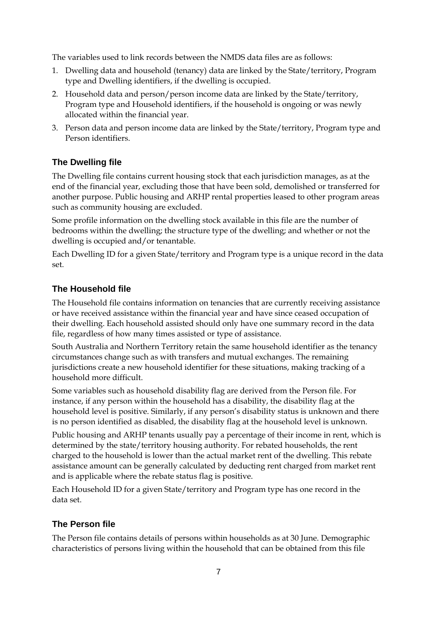The variables used to link records between the NMDS data files are as follows:

- 1. Dwelling data and household (tenancy) data are linked by the State/territory, Program type and Dwelling identifiers, if the dwelling is occupied.
- 2. Household data and person/person income data are linked by the State/territory, Program type and Household identifiers, if the household is ongoing or was newly allocated within the financial year.
- 3. Person data and person income data are linked by the State/territory, Program type and Person identifiers.

#### **The Dwelling file**

The Dwelling file contains current housing stock that each jurisdiction manages, as at the end of the financial year, excluding those that have been sold, demolished or transferred for another purpose. Public housing and ARHP rental properties leased to other program areas such as community housing are excluded.

Some profile information on the dwelling stock available in this file are the number of bedrooms within the dwelling; the structure type of the dwelling; and whether or not the dwelling is occupied and/or tenantable.

Each Dwelling ID for a given State/territory and Program type is a unique record in the data set.

#### **The Household file**

The Household file contains information on tenancies that are currently receiving assistance or have received assistance within the financial year and have since ceased occupation of their dwelling. Each household assisted should only have one summary record in the data file, regardless of how many times assisted or type of assistance.

South Australia and Northern Territory retain the same household identifier as the tenancy circumstances change such as with transfers and mutual exchanges. The remaining jurisdictions create a new household identifier for these situations, making tracking of a household more difficult.

Some variables such as household disability flag are derived from the Person file. For instance, if any person within the household has a disability, the disability flag at the household level is positive. Similarly, if any person's disability status is unknown and there is no person identified as disabled, the disability flag at the household level is unknown.

Public housing and ARHP tenants usually pay a percentage of their income in rent, which is determined by the state/territory housing authority. For rebated households, the rent charged to the household is lower than the actual market rent of the dwelling. This rebate assistance amount can be generally calculated by deducting rent charged from market rent and is applicable where the rebate status flag is positive.

Each Household ID for a given State/territory and Program type has one record in the data set.

#### **The Person file**

The Person file contains details of persons within households as at 30 June. Demographic characteristics of persons living within the household that can be obtained from this file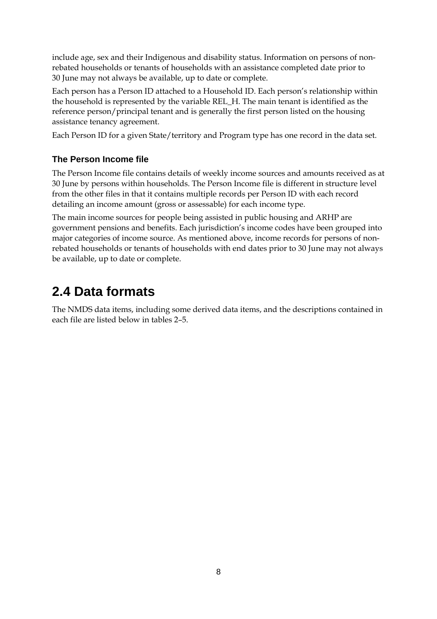include age, sex and their Indigenous and disability status. Information on persons of nonrebated households or tenants of households with an assistance completed date prior to 30 June may not always be available, up to date or complete.

Each person has a Person ID attached to a Household ID. Each person's relationship within the household is represented by the variable REL\_H. The main tenant is identified as the reference person/principal tenant and is generally the first person listed on the housing assistance tenancy agreement.

Each Person ID for a given State/territory and Program type has one record in the data set.

#### **The Person Income file**

The Person Income file contains details of weekly income sources and amounts received as at 30 June by persons within households. The Person Income file is different in structure level from the other files in that it contains multiple records per Person ID with each record detailing an income amount (gross or assessable) for each income type.

The main income sources for people being assisted in public housing and ARHP are government pensions and benefits. Each jurisdiction's income codes have been grouped into major categories of income source. As mentioned above, income records for persons of nonrebated households or tenants of households with end dates prior to 30 June may not always be available, up to date or complete.

### **2.4 Data formats**

The NMDS data items, including some derived data items, and the descriptions contained in each file are listed below in tables 2–5.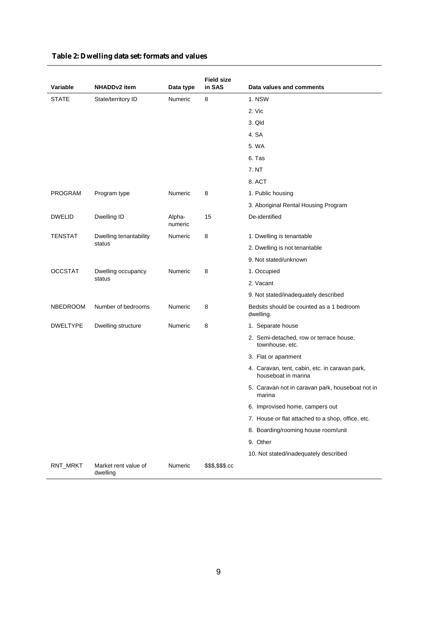| Variable       | NHADDv2 item                     | Data type         | <b>Field size</b><br>in SAS | Data values and comments                                              |
|----------------|----------------------------------|-------------------|-----------------------------|-----------------------------------------------------------------------|
| <b>STATE</b>   | State/territory ID               | Numeric           | 8                           | 1. NSW                                                                |
|                |                                  |                   |                             | 2. Vic                                                                |
|                |                                  |                   |                             | 3. Qld                                                                |
|                |                                  |                   |                             | 4. SA                                                                 |
|                |                                  |                   |                             | 5. WA                                                                 |
|                |                                  |                   |                             | 6. Tas                                                                |
|                |                                  |                   |                             | 7. NT                                                                 |
|                |                                  |                   |                             | 8. ACT                                                                |
| <b>PROGRAM</b> | Program type                     | Numeric           | 8                           | 1. Public housing                                                     |
|                |                                  |                   |                             | 3. Aboriginal Rental Housing Program                                  |
| <b>DWELID</b>  | Dwelling ID                      | Alpha-<br>numeric | 15                          | De-identified                                                         |
| <b>TENSTAT</b> | Dwelling tenantability           | Numeric           | 8                           | 1. Dwelling is tenantable                                             |
|                | status                           |                   |                             | 2. Dwelling is not tenantable                                         |
|                |                                  |                   |                             | 9. Not stated/unknown                                                 |
| <b>OCCSTAT</b> | Dwelling occupancy               | Numeric           | 8                           | 1. Occupied                                                           |
|                | status                           |                   |                             | 2. Vacant                                                             |
|                |                                  |                   |                             | 9. Not stated/inadequately described                                  |
| NBEDROOM       | Number of bedrooms               | Numeric           | 8                           | Bedsits should be counted as a 1 bedroom<br>dwelling.                 |
| DWELTYPE       | Dwelling structure               | Numeric           | 8                           | 1. Separate house                                                     |
|                |                                  |                   |                             | 2. Semi-detached, row or terrace house,<br>townhouse, etc.            |
|                |                                  |                   |                             | 3. Flat or apartment                                                  |
|                |                                  |                   |                             | 4. Caravan, tent, cabin, etc. in caravan park,<br>houseboat in marina |
|                |                                  |                   |                             | 5. Caravan not in caravan park, houseboat not in<br>marina            |
|                |                                  |                   |                             | 6. Improvised home, campers out                                       |
|                |                                  |                   |                             | 7. House or flat attached to a shop, office, etc.                     |
|                |                                  |                   |                             | 8. Boarding/rooming house room/unit                                   |
|                |                                  |                   |                             | 9. Other                                                              |
|                |                                  |                   |                             | 10. Not stated/inadequately described                                 |
| RNT_MRKT       | Market rent value of<br>dwelling | Numeric           | \$\$\$,\$\$\$.cc            |                                                                       |

#### **Table 2: Dwelling data set: formats and values**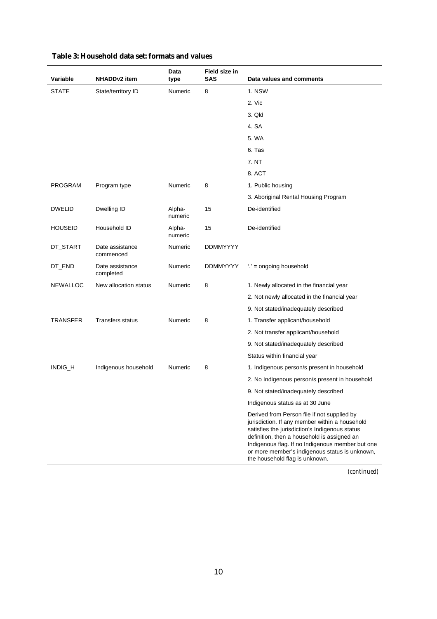| Variable        | <b>NHADDv2</b> item          | Data<br>type      | Field size in<br><b>SAS</b> | Data values and comments                                                                                                                                                                                                                                                                                                               |
|-----------------|------------------------------|-------------------|-----------------------------|----------------------------------------------------------------------------------------------------------------------------------------------------------------------------------------------------------------------------------------------------------------------------------------------------------------------------------------|
| <b>STATE</b>    | State/territory ID           | <b>Numeric</b>    | 8                           | 1. NSW                                                                                                                                                                                                                                                                                                                                 |
|                 |                              |                   |                             | 2. Vic                                                                                                                                                                                                                                                                                                                                 |
|                 |                              |                   |                             | 3. Qld                                                                                                                                                                                                                                                                                                                                 |
|                 |                              |                   |                             | 4. SA                                                                                                                                                                                                                                                                                                                                  |
|                 |                              |                   |                             | 5. WA                                                                                                                                                                                                                                                                                                                                  |
|                 |                              |                   |                             | 6. Tas                                                                                                                                                                                                                                                                                                                                 |
|                 |                              |                   |                             | 7. NT                                                                                                                                                                                                                                                                                                                                  |
|                 |                              |                   |                             | 8. ACT                                                                                                                                                                                                                                                                                                                                 |
| PROGRAM         | Program type                 | Numeric           | 8                           | 1. Public housing                                                                                                                                                                                                                                                                                                                      |
|                 |                              |                   |                             | 3. Aboriginal Rental Housing Program                                                                                                                                                                                                                                                                                                   |
| <b>DWELID</b>   | Dwelling ID                  | Alpha-<br>numeric | 15                          | De-identified                                                                                                                                                                                                                                                                                                                          |
| <b>HOUSEID</b>  | Household ID                 | Alpha-<br>numeric | 15                          | De-identified                                                                                                                                                                                                                                                                                                                          |
| DT_START        | Date assistance<br>commenced | Numeric           | <b>DDMMYYYY</b>             |                                                                                                                                                                                                                                                                                                                                        |
| DT_END          | Date assistance<br>completed | Numeric           | <b>DDMMYYYY</b>             | $\therefore$ = ongoing household                                                                                                                                                                                                                                                                                                       |
| NEWALLOC        | New allocation status        | Numeric           | 8                           | 1. Newly allocated in the financial year                                                                                                                                                                                                                                                                                               |
|                 |                              |                   |                             | 2. Not newly allocated in the financial year                                                                                                                                                                                                                                                                                           |
|                 |                              |                   |                             | 9. Not stated/inadequately described                                                                                                                                                                                                                                                                                                   |
| <b>TRANSFER</b> | <b>Transfers status</b>      | Numeric           | 8                           | 1. Transfer applicant/household                                                                                                                                                                                                                                                                                                        |
|                 |                              |                   |                             | 2. Not transfer applicant/household                                                                                                                                                                                                                                                                                                    |
|                 |                              |                   |                             | 9. Not stated/inadequately described                                                                                                                                                                                                                                                                                                   |
|                 |                              |                   |                             | Status within financial year                                                                                                                                                                                                                                                                                                           |
| INDIG_H         | Indigenous household         | Numeric           | 8                           | 1. Indigenous person/s present in household                                                                                                                                                                                                                                                                                            |
|                 |                              |                   |                             | 2. No Indigenous person/s present in household                                                                                                                                                                                                                                                                                         |
|                 |                              |                   |                             | 9. Not stated/inadequately described                                                                                                                                                                                                                                                                                                   |
|                 |                              |                   |                             | Indigenous status as at 30 June                                                                                                                                                                                                                                                                                                        |
|                 |                              |                   |                             | Derived from Person file if not supplied by<br>jurisdiction. If any member within a household<br>satisfies the jurisdiction's Indigenous status<br>definition, then a household is assigned an<br>Indigenous flag. If no Indigenous member but one<br>or more member's indigenous status is unknown,<br>the household flag is unknown. |

#### **Table 3: Household data set: formats and values**

*(continued)*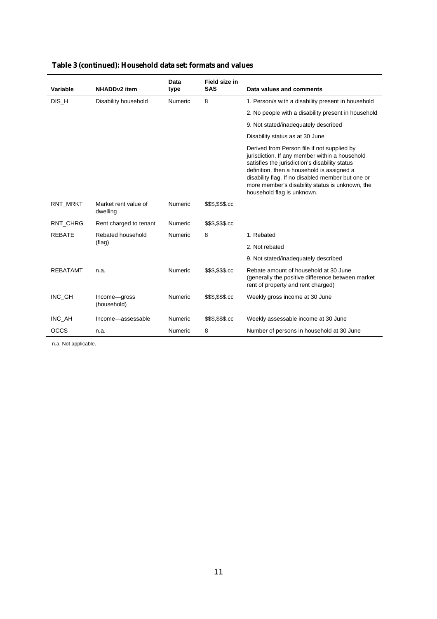|                 |                                  | Data           | Field size in    |                                                                                                                                                                                                                                                                                                                                     |
|-----------------|----------------------------------|----------------|------------------|-------------------------------------------------------------------------------------------------------------------------------------------------------------------------------------------------------------------------------------------------------------------------------------------------------------------------------------|
| Variable        | <b>NHADDv2</b> item              | type           | <b>SAS</b>       | Data values and comments                                                                                                                                                                                                                                                                                                            |
| DIS_H           | Disability household             | <b>Numeric</b> | 8                | 1. Person/s with a disability present in household                                                                                                                                                                                                                                                                                  |
|                 |                                  |                |                  | 2. No people with a disability present in household                                                                                                                                                                                                                                                                                 |
|                 |                                  |                |                  | 9. Not stated/inadequately described                                                                                                                                                                                                                                                                                                |
|                 |                                  |                |                  | Disability status as at 30 June                                                                                                                                                                                                                                                                                                     |
|                 |                                  |                |                  | Derived from Person file if not supplied by<br>jurisdiction. If any member within a household<br>satisfies the jurisdiction's disability status<br>definition, then a household is assigned a<br>disability flag. If no disabled member but one or<br>more member's disability status is unknown, the<br>household flag is unknown. |
| RNT_MRKT        | Market rent value of<br>dwelling | Numeric        | \$\$\$,\$\$\$.cc |                                                                                                                                                                                                                                                                                                                                     |
| RNT CHRG        | Rent charged to tenant           | Numeric        | \$\$\$,\$\$\$.cc |                                                                                                                                                                                                                                                                                                                                     |
| <b>REBATE</b>   | Rebated household                | Numeric        | 8                | 1. Rebated                                                                                                                                                                                                                                                                                                                          |
|                 | (flag)                           |                |                  | 2. Not rebated                                                                                                                                                                                                                                                                                                                      |
|                 |                                  |                |                  | 9. Not stated/inadequately described                                                                                                                                                                                                                                                                                                |
| <b>REBATAMT</b> | n.a.                             | Numeric        | \$\$\$,\$\$\$.cc | Rebate amount of household at 30 June<br>(generally the positive difference between market)<br>rent of property and rent charged)                                                                                                                                                                                                   |
| INC GH          | Income-gross<br>(household)      | Numeric        | \$\$\$,\$\$\$.cc | Weekly gross income at 30 June                                                                                                                                                                                                                                                                                                      |
| INC AH          | Income-assessable                | <b>Numeric</b> | \$\$\$,\$\$\$.cc | Weekly assessable income at 30 June                                                                                                                                                                                                                                                                                                 |
| <b>OCCS</b>     | n.a.                             | Numeric        | 8                | Number of persons in household at 30 June                                                                                                                                                                                                                                                                                           |

#### **Table 3 (continued): Household data set: formats and values**

n.a. Not applicable.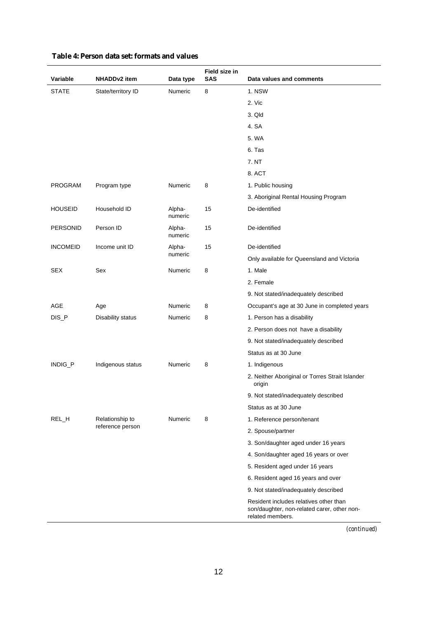| Variable        | <b>NHADDv2</b> item | Data type         | Field size in<br>SAS | Data values and comments                                                                                  |
|-----------------|---------------------|-------------------|----------------------|-----------------------------------------------------------------------------------------------------------|
| <b>STATE</b>    | State/territory ID  | Numeric           | 8                    | 1. NSW                                                                                                    |
|                 |                     |                   |                      | 2. Vic                                                                                                    |
|                 |                     |                   |                      | 3. Qld                                                                                                    |
|                 |                     |                   |                      | 4. SA                                                                                                     |
|                 |                     |                   |                      | 5. WA                                                                                                     |
|                 |                     |                   |                      | 6. Tas                                                                                                    |
|                 |                     |                   |                      | 7. NT                                                                                                     |
|                 |                     |                   |                      | 8. ACT                                                                                                    |
| <b>PROGRAM</b>  | Program type        | Numeric           | 8                    | 1. Public housing                                                                                         |
|                 |                     |                   |                      | 3. Aboriginal Rental Housing Program                                                                      |
| <b>HOUSEID</b>  | Household ID        | Alpha-<br>numeric | 15                   | De-identified                                                                                             |
| <b>PERSONID</b> | Person ID           | Alpha-<br>numeric | 15                   | De-identified                                                                                             |
| <b>INCOMEID</b> | Income unit ID      | Alpha-            | 15                   | De-identified                                                                                             |
|                 |                     | numeric           |                      | Only available for Queensland and Victoria                                                                |
| <b>SEX</b>      | Sex                 | Numeric           | 8                    | 1. Male                                                                                                   |
|                 |                     |                   |                      | 2. Female                                                                                                 |
|                 |                     |                   |                      | 9. Not stated/inadequately described                                                                      |
| AGE             | Age                 | Numeric           | 8                    | Occupant's age at 30 June in completed years                                                              |
| DIS_P           | Disability status   | Numeric           | 8                    | 1. Person has a disability                                                                                |
|                 |                     |                   |                      | 2. Person does not have a disability                                                                      |
|                 |                     |                   |                      | 9. Not stated/inadequately described                                                                      |
|                 |                     |                   |                      | Status as at 30 June                                                                                      |
| INDIG_P         | Indigenous status   | Numeric           | 8                    | 1. Indigenous                                                                                             |
|                 |                     |                   |                      | 2. Neither Aboriginal or Torres Strait Islander<br>origin                                                 |
|                 |                     |                   |                      | 9. Not stated/inadequately described                                                                      |
|                 |                     |                   |                      | Status as at 30 June                                                                                      |
| REL_H           | Relationship to     | Numeric           | 8                    | 1. Reference person/tenant                                                                                |
|                 | reference person    |                   |                      | 2. Spouse/partner                                                                                         |
|                 |                     |                   |                      | 3. Son/daughter aged under 16 years                                                                       |
|                 |                     |                   |                      | 4. Son/daughter aged 16 years or over                                                                     |
|                 |                     |                   |                      | 5. Resident aged under 16 years                                                                           |
|                 |                     |                   |                      | 6. Resident aged 16 years and over                                                                        |
|                 |                     |                   |                      | 9. Not stated/inadequately described                                                                      |
|                 |                     |                   |                      | Resident includes relatives other than<br>son/daughter, non-related carer, other non-<br>related members. |

#### **Table 4: Person data set: formats and values**

*(continued)*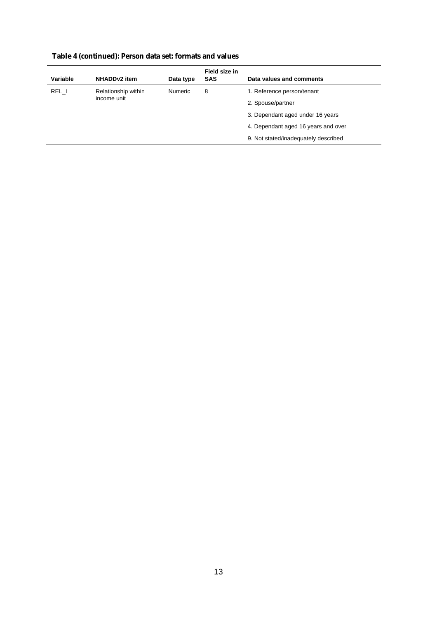|                     | Data type      | <b>SAS</b> | Data values and comments             |
|---------------------|----------------|------------|--------------------------------------|
| Relationship within | <b>Numeric</b> | 8          | 1. Reference person/tenant           |
|                     |                |            | 2. Spouse/partner                    |
|                     |                |            | 3. Dependant aged under 16 years     |
|                     |                |            | 4. Dependant aged 16 years and over  |
|                     |                |            | 9. Not stated/inadequately described |
|                     | income unit    |            |                                      |

#### **Table 4 (continued): Person data set: formats and values**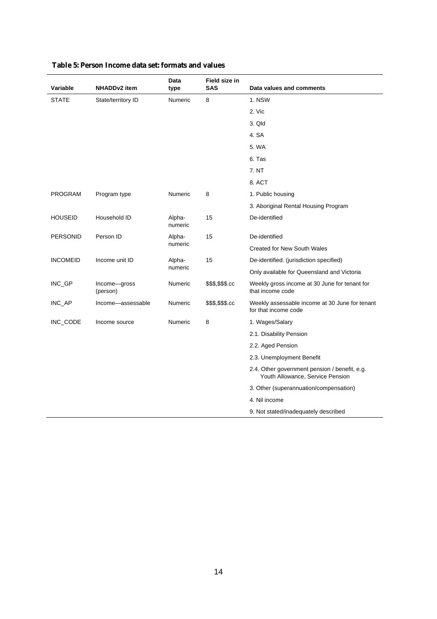| <b>Variable</b> | <b>NHADDv2</b> item      | Data<br>type      | Field size in<br><b>SAS</b> | Data values and comments                                                          |
|-----------------|--------------------------|-------------------|-----------------------------|-----------------------------------------------------------------------------------|
| <b>STATE</b>    | State/territory ID       | Numeric           | 8                           | 1. NSW                                                                            |
|                 |                          |                   |                             | 2. Vic                                                                            |
|                 |                          |                   |                             | 3. Qld                                                                            |
|                 |                          |                   |                             | 4. SA                                                                             |
|                 |                          |                   |                             | 5. WA                                                                             |
|                 |                          |                   |                             | 6. Tas                                                                            |
|                 |                          |                   |                             | 7. NT                                                                             |
|                 |                          |                   |                             | 8. ACT                                                                            |
| <b>PROGRAM</b>  | Program type             | <b>Numeric</b>    | 8                           | 1. Public housing                                                                 |
|                 |                          |                   |                             | 3. Aboriginal Rental Housing Program                                              |
| <b>HOUSEID</b>  | Household ID             | Alpha-<br>numeric | 15                          | De-identified                                                                     |
| <b>PERSONID</b> | Person ID                | Alpha-            | 15                          | De-identified                                                                     |
|                 |                          | numeric           |                             | <b>Created for New South Wales</b>                                                |
| <b>INCOMEID</b> | Income unit ID           | Alpha-            | 15                          | De-identified. (jurisdiction specified)                                           |
|                 |                          | numeric           |                             | Only available for Queensland and Victoria                                        |
| INC_GP          | Income-gross<br>(person) | <b>Numeric</b>    | \$\$\$,\$\$\$.cc            | Weekly gross income at 30 June for tenant for<br>that income code                 |
| INC AP          | Income-assessable        | <b>Numeric</b>    | \$\$\$,\$\$\$.cc            | Weekly assessable income at 30 June for tenant<br>for that income code            |
| INC_CODE        | Income source            | <b>Numeric</b>    | 8                           | 1. Wages/Salary                                                                   |
|                 |                          |                   |                             | 2.1. Disability Pension                                                           |
|                 |                          |                   |                             | 2.2. Aged Pension                                                                 |
|                 |                          |                   |                             | 2.3. Unemployment Benefit                                                         |
|                 |                          |                   |                             | 2.4. Other government pension / benefit, e.g.<br>Youth Allowance, Service Pension |
|                 |                          |                   |                             | 3. Other (superannuation/compensation)                                            |
|                 |                          |                   |                             | 4. Nil income                                                                     |
|                 |                          |                   |                             | 9. Not stated/inadequately described                                              |

#### **Table 5: Person Income data set: formats and values**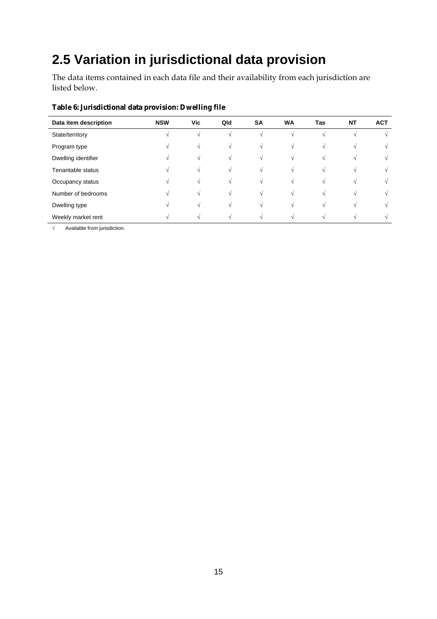### **2.5 Variation in jurisdictional data provision**

The data items contained in each data file and their availability from each jurisdiction are listed below.

| Data item description | <b>NSW</b> | Vic | Qld        | <b>SA</b>  | <b>WA</b> | Tas | <b>NT</b> | <b>ACT</b> |
|-----------------------|------------|-----|------------|------------|-----------|-----|-----------|------------|
| State/territory       |            |     | $\sqrt{ }$ |            |           | N   |           | V          |
| Program type          |            |     | N          |            | $\Delta$  | N   |           | V          |
| Dwelling identifier   |            |     | $\sqrt{ }$ |            | N         |     |           | $\sqrt{ }$ |
| Tenantable status     |            |     | $\sqrt{ }$ | $\sqrt{ }$ | N         |     |           | $\sqrt{ }$ |
| Occupancy status      |            |     | $\sqrt{ }$ |            |           |     |           | $\sqrt{ }$ |
| Number of bedrooms    |            |     | $\sim$     |            |           |     |           | N          |
| Dwelling type         |            |     | $\sim$     |            |           |     |           | $\sqrt{ }$ |
| Weekly market rent    |            |     |            |            |           |     |           |            |

#### **Table 6: Jurisdictional data provision: Dwelling file**

 $\sqrt{\frac{1}{\sqrt{1-\frac{1}{\sqrt{1-\frac{1}{\sqrt{1-\frac{1}{\sqrt{1-\frac{1}{\sqrt{1-\frac{1}{\sqrt{1-\frac{1}{\sqrt{1-\frac{1}{\sqrt{1-\frac{1}{\sqrt{1-\frac{1}{\sqrt{1-\frac{1}{\sqrt{1-\frac{1}{\sqrt{1-\frac{1}{\sqrt{1-\frac{1}{\sqrt{1-\frac{1}{\sqrt{1-\frac{1}{\sqrt{1-\frac{1}{\sqrt{1-\frac{1}{\sqrt{1-\frac{1}{\sqrt{1-\frac{1}{\sqrt{1-\frac{1}{\sqrt{1-\frac{1}{\sqrt{1-\frac{1}{\sqrt{1-\frac{1}{\sqrt{1-\frac$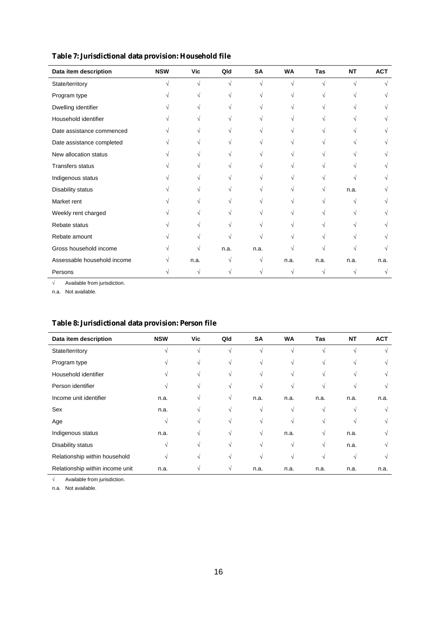| Data item description       | <b>NSW</b> | <b>Vic</b> | Qld  | <b>SA</b> | <b>WA</b> | Tas  | <b>NT</b>  | <b>ACT</b> |
|-----------------------------|------------|------------|------|-----------|-----------|------|------------|------------|
| State/territory             | V          | $\sqrt{}$  | V    | V         | √         | V    | $\sqrt{ }$ |            |
| Program type                |            |            | ٦    | V         | V         |      |            |            |
| Dwelling identifier         |            |            | V    |           | V         |      |            | V          |
| Household identifier        |            |            | V    | V         | V         |      |            |            |
| Date assistance commenced   |            |            |      | V         |           |      |            |            |
| Date assistance completed   |            |            |      |           |           |      |            |            |
| New allocation status       |            |            |      |           |           |      |            |            |
| <b>Transfers status</b>     |            |            |      |           |           |      |            |            |
| Indigenous status           |            |            |      |           |           |      |            |            |
| Disability status           |            |            |      |           |           |      | n.a.       |            |
| Market rent                 |            |            |      |           |           |      |            |            |
| Weekly rent charged         |            |            |      |           |           |      |            |            |
| Rebate status               |            |            |      |           |           |      |            |            |
| Rebate amount               |            |            |      |           |           |      |            |            |
| Gross household income      |            |            | n.a. | n.a.      |           |      |            |            |
| Assessable household income |            | n.a.       | V    | V         | n.a.      | n.a. | n.a.       | n.a.       |
| Persons                     | V          | V          | V    | V         | V         |      | V          | V          |

**Table 7: Jurisdictional data provision: Household file** 

√ Available from jurisdiction.

n.a. Not available.

l,

#### **Table 8: Jurisdictional data provision: Person file**

| Data item description           | <b>NSW</b> | Vic | Qld        | SA         | <b>WA</b> | <b>Tas</b> | <b>NT</b> | <b>ACT</b> |
|---------------------------------|------------|-----|------------|------------|-----------|------------|-----------|------------|
| State/territory                 | N          | V   | $\sqrt{ }$ | $\sqrt{ }$ | N         | N          |           | $\sqrt{ }$ |
| Program type                    |            | V   | V          | $\sqrt{ }$ | V         |            |           | V          |
| Household identifier            |            | V   | V          | $\sqrt{ }$ | N         | V          |           | V          |
| Person identifier               |            | V   | N          | V          | N         |            |           | V          |
| Income unit identifier          | n.a.       | V   | V          | n.a.       | n.a.      | n.a.       | n.a.      | n.a.       |
| Sex                             | n.a.       | V   | V          | N          | V         | $\sqrt{ }$ |           | V          |
| Age                             | V          |     | N          | V          | N         |            |           | V          |
| Indigenous status               | n.a.       | V   | V          | V          | n.a.      | V          | n.a.      | $\sqrt{ }$ |
| Disability status               | V          | V   | N          | V          | N         | V          | n.a.      | $\sqrt{ }$ |
| Relationship within household   | V          | V   | N          | $\sqrt{ }$ | V         |            | N         | $\sqrt{ }$ |
| Relationship within income unit | n.a.       |     | V          | n.a.       | n.a.      | n.a.       | n.a.      | n.a.       |

√ Available from jurisdiction.

n.a. Not available.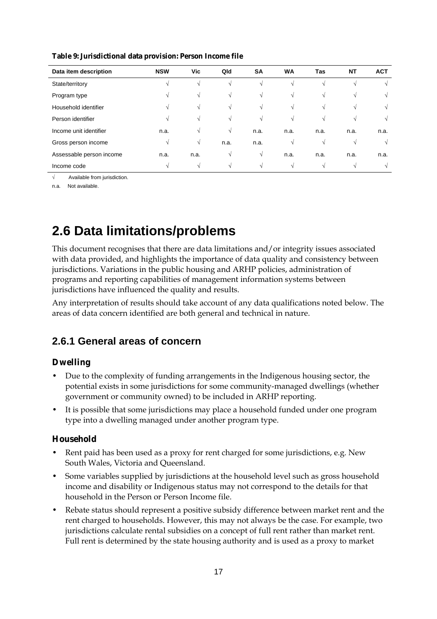| Data item description    | <b>NSW</b> | Vic  | Qld  | <b>SA</b> | <b>WA</b> | Tas  | NT     | <b>ACT</b> |
|--------------------------|------------|------|------|-----------|-----------|------|--------|------------|
| State/territory          | N          | V    |      | V         |           |      |        |            |
| Program type             | N          | V    | V    | V         | V         | V    | N      |            |
| Household identifier     | N          | V    | V    | V         | V         | V    | N      |            |
| Person identifier        | N          | V    | V    | V         | V         | V    | N      |            |
| Income unit identifier   | n.a.       | V    | V    | n.a.      | n.a.      | n.a. | n.a.   | n.a.       |
| Gross person income      | N          | V    | n.a. | n.a.      | N         | V    | V      | N          |
| Assessable person income | n.a.       | n.a. |      | V         | n.a.      | n.a. | n.a.   | n.a.       |
| Income code              | $\sim$     | N    |      | V         |           |      | $\sim$ |            |

**Table 9: Jurisdictional data provision: Person Income file** 

√ Available from jurisdiction.

n.a. Not available.

### **2.6 Data limitations/problems**

This document recognises that there are data limitations and/or integrity issues associated with data provided, and highlights the importance of data quality and consistency between jurisdictions. Variations in the public housing and ARHP policies, administration of programs and reporting capabilities of management information systems between jurisdictions have influenced the quality and results.

Any interpretation of results should take account of any data qualifications noted below. The areas of data concern identified are both general and technical in nature.

#### **2.6.1 General areas of concern**

#### **Dwelling**

- Due to the complexity of funding arrangements in the Indigenous housing sector, the potential exists in some jurisdictions for some community-managed dwellings (whether government or community owned) to be included in ARHP reporting.
- It is possible that some jurisdictions may place a household funded under one program type into a dwelling managed under another program type.

#### **Household**

- Rent paid has been used as a proxy for rent charged for some jurisdictions, e.g. New South Wales, Victoria and Queensland.
- Some variables supplied by jurisdictions at the household level such as gross household income and disability or Indigenous status may not correspond to the details for that household in the Person or Person Income file.
- Rebate status should represent a positive subsidy difference between market rent and the rent charged to households. However, this may not always be the case. For example, two jurisdictions calculate rental subsidies on a concept of full rent rather than market rent. Full rent is determined by the state housing authority and is used as a proxy to market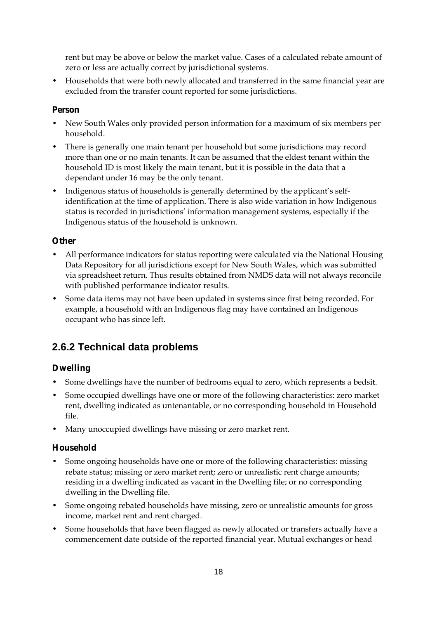rent but may be above or below the market value. Cases of a calculated rebate amount of zero or less are actually correct by jurisdictional systems.

• Households that were both newly allocated and transferred in the same financial year are excluded from the transfer count reported for some jurisdictions.

#### **Person**

- New South Wales only provided person information for a maximum of six members per household.
- There is generally one main tenant per household but some jurisdictions may record more than one or no main tenants. It can be assumed that the eldest tenant within the household ID is most likely the main tenant, but it is possible in the data that a dependant under 16 may be the only tenant.
- Indigenous status of households is generally determined by the applicant's selfidentification at the time of application. There is also wide variation in how Indigenous status is recorded in jurisdictions' information management systems, especially if the Indigenous status of the household is unknown.

#### **Other**

- All performance indicators for status reporting were calculated via the National Housing Data Repository for all jurisdictions except for New South Wales, which was submitted via spreadsheet return. Thus results obtained from NMDS data will not always reconcile with published performance indicator results.
- Some data items may not have been updated in systems since first being recorded. For example, a household with an Indigenous flag may have contained an Indigenous occupant who has since left.

#### **2.6.2 Technical data problems**

#### **Dwelling**

- Some dwellings have the number of bedrooms equal to zero, which represents a bedsit.
- Some occupied dwellings have one or more of the following characteristics: zero market rent, dwelling indicated as untenantable, or no corresponding household in Household file.
- Many unoccupied dwellings have missing or zero market rent.

#### **Household**

- Some ongoing households have one or more of the following characteristics: missing rebate status; missing or zero market rent; zero or unrealistic rent charge amounts; residing in a dwelling indicated as vacant in the Dwelling file; or no corresponding dwelling in the Dwelling file.
- Some ongoing rebated households have missing, zero or unrealistic amounts for gross income, market rent and rent charged.
- Some households that have been flagged as newly allocated or transfers actually have a commencement date outside of the reported financial year. Mutual exchanges or head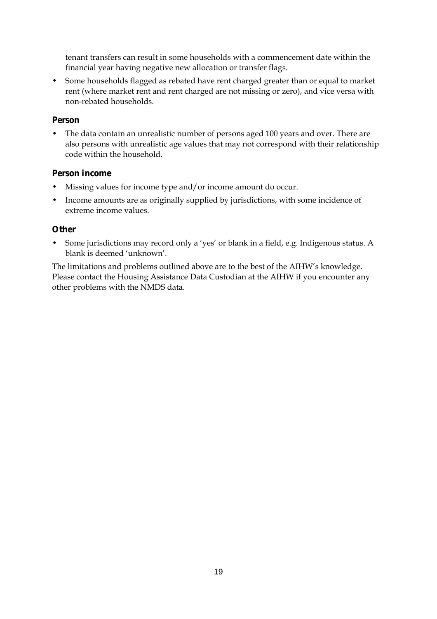tenant transfers can result in some households with a commencement date within the financial year having negative new allocation or transfer flags.

• Some households flagged as rebated have rent charged greater than or equal to market rent (where market rent and rent charged are not missing or zero), and vice versa with non-rebated households.

#### **Person**

• The data contain an unrealistic number of persons aged 100 years and over. There are also persons with unrealistic age values that may not correspond with their relationship code within the household.

#### **Person income**

- Missing values for income type and/or income amount do occur.
- Income amounts are as originally supplied by jurisdictions, with some incidence of extreme income values.

#### **Other**

• Some jurisdictions may record only a 'yes' or blank in a field, e.g. Indigenous status. A blank is deemed 'unknown'.

The limitations and problems outlined above are to the best of the AIHW's knowledge. Please contact the Housing Assistance Data Custodian at the AIHW if you encounter any other problems with the NMDS data.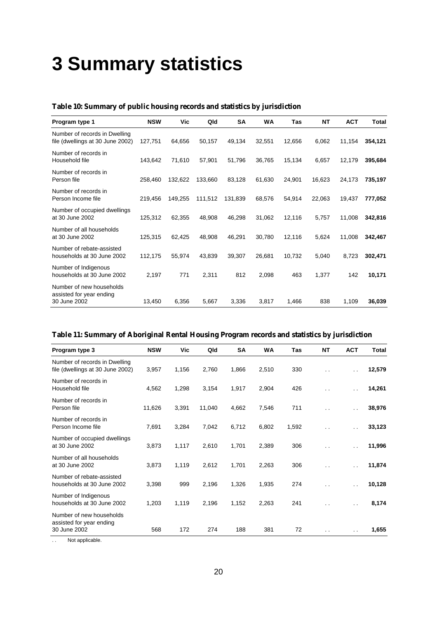## **3 Summary statistics**

| Program type 1                                                    | <b>NSW</b> | Vic     | Qld     | <b>SA</b> | WA     | Tas    | <b>NT</b> | <b>ACT</b> | Total   |
|-------------------------------------------------------------------|------------|---------|---------|-----------|--------|--------|-----------|------------|---------|
| Number of records in Dwelling<br>file (dwellings at 30 June 2002) | 127,751    | 64,656  | 50,157  | 49,134    | 32,551 | 12,656 | 6,062     | 11,154     | 354,121 |
| Number of records in<br>Household file                            | 143,642    | 71,610  | 57,901  | 51,796    | 36,765 | 15,134 | 6,657     | 12,179     | 395,684 |
| Number of records in<br>Person file                               | 258,460    | 132,622 | 133,660 | 83,128    | 61,630 | 24,901 | 16,623    | 24,173     | 735,197 |
| Number of records in<br>Person Income file                        | 219,456    | 149,255 | 111,512 | 131,839   | 68,576 | 54,914 | 22,063    | 19,437     | 777,052 |
| Number of occupied dwellings<br>at 30 June 2002                   | 125,312    | 62,355  | 48,908  | 46,298    | 31,062 | 12,116 | 5,757     | 11,008     | 342,816 |
| Number of all households<br>at 30 June 2002                       | 125,315    | 62,425  | 48,908  | 46,291    | 30,780 | 12,116 | 5,624     | 11,008     | 342,467 |
| Number of rebate-assisted<br>households at 30 June 2002           | 112,175    | 55,974  | 43,839  | 39,307    | 26,681 | 10,732 | 5,040     | 8,723      | 302,471 |
| Number of Indigenous<br>households at 30 June 2002                | 2,197      | 771     | 2,311   | 812       | 2,098  | 463    | 1,377     | 142        | 10,171  |
| Number of new households<br>assisted for year ending              |            |         |         |           |        |        |           |            |         |
| 30 June 2002                                                      | 13,450     | 6,356   | 5,667   | 3,336     | 3,817  | 1,466  | 838       | 1,109      | 36,039  |

#### **Table 10: Summary of public housing records and statistics by jurisdiction**

#### **Table 11: Summary of Aboriginal Rental Housing Program records and statistics by jurisdiction**

| Program type 3                                                       | <b>NSW</b> | Vic   | Qld    | SA    | WA    | Tas   | <b>NT</b>            | <b>ACT</b>           | <b>Total</b> |
|----------------------------------------------------------------------|------------|-------|--------|-------|-------|-------|----------------------|----------------------|--------------|
| Number of records in Dwelling<br>file (dwellings at 30 June 2002)    | 3,957      | 1,156 | 2,760  | 1,866 | 2,510 | 330   | $\ddot{\phantom{0}}$ | $\ddotsc$            | 12,579       |
| Number of records in<br>Household file                               | 4,562      | 1,298 | 3,154  | 1,917 | 2,904 | 426   | $\cdot$ .            | $\ddot{\phantom{0}}$ | 14,261       |
| Number of records in<br>Person file                                  | 11,626     | 3,391 | 11,040 | 4,662 | 7,546 | 711   | $\ddot{\phantom{0}}$ | . .                  | 38,976       |
| Number of records in<br>Person Income file                           | 7,691      | 3,284 | 7,042  | 6,712 | 6,802 | 1,592 | $\ddot{\phantom{0}}$ | . .                  | 33,123       |
| Number of occupied dwellings<br>at 30 June 2002                      | 3,873      | 1,117 | 2,610  | 1,701 | 2,389 | 306   | $\ddot{\phantom{0}}$ | $\ddot{\phantom{0}}$ | 11,996       |
| Number of all households<br>at 30 June 2002                          | 3,873      | 1,119 | 2,612  | 1,701 | 2,263 | 306   | $\ddot{\phantom{0}}$ | . .                  | 11,874       |
| Number of rebate-assisted<br>households at 30 June 2002              | 3,398      | 999   | 2,196  | 1,326 | 1,935 | 274   | $\ddot{\phantom{0}}$ | $\ddot{\phantom{0}}$ | 10,128       |
| Number of Indigenous<br>households at 30 June 2002                   | 1,203      | 1,119 | 2,196  | 1,152 | 2,263 | 241   | $\sim$ $\sim$        | $\ddot{\phantom{1}}$ | 8,174        |
| Number of new households<br>assisted for year ending<br>30 June 2002 | 568        | 172   | 274    | 188   | 381   | 72    | $\sim$               | $\ddot{\phantom{0}}$ | 1,655        |

. . Not applicable.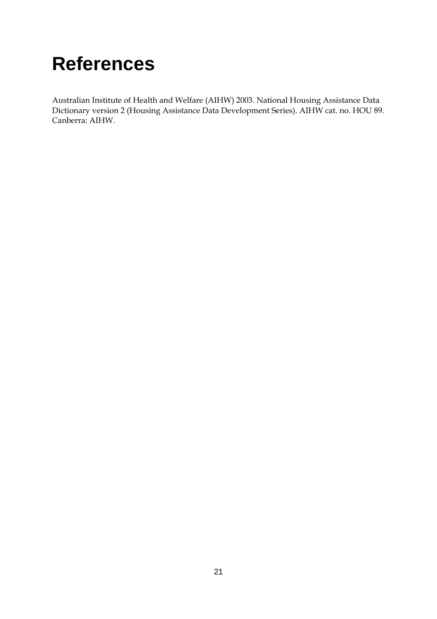## **References**

Australian Institute of Health and Welfare (AIHW) 2003. National Housing Assistance Data Dictionary version 2 (Housing Assistance Data Development Series). AIHW cat. no. HOU 89. Canberra: AIHW.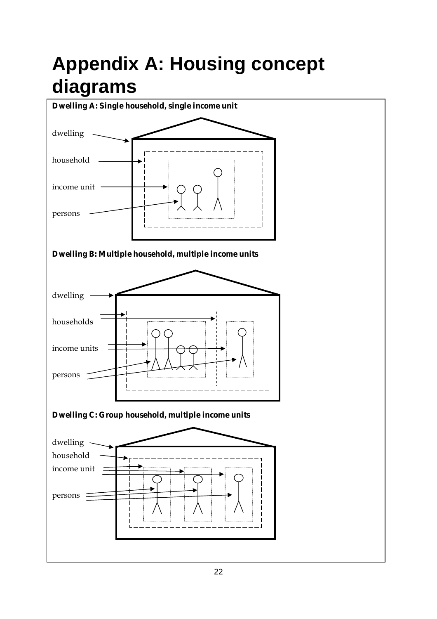## **Appendix A: Housing concept diagrams**

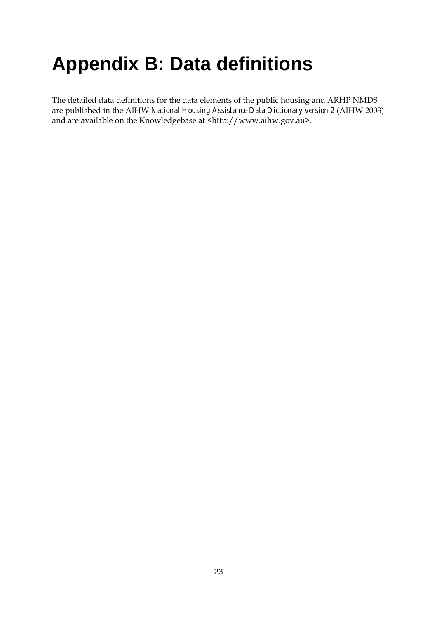## **Appendix B: Data definitions**

The detailed data definitions for the data elements of the public housing and ARHP NMDS are published in the AIHW *National Housing Assistance Data Dictionary version 2* (AIHW 2003) and are available on the Knowledgebase at <http://www.aihw.gov.au>.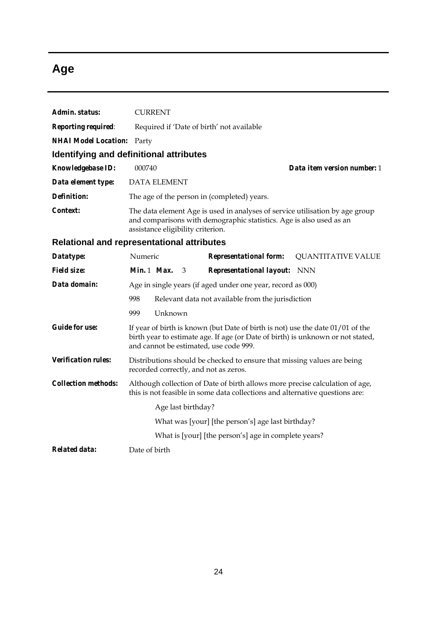### **Age**

| Admin. status:              | <b>CURRENT</b>                                                                                                                                                                                                |  |  |  |  |  |  |  |
|-----------------------------|---------------------------------------------------------------------------------------------------------------------------------------------------------------------------------------------------------------|--|--|--|--|--|--|--|
| Reporting required:         | Required if 'Date of birth' not available                                                                                                                                                                     |  |  |  |  |  |  |  |
| <b>NHAI Model Location:</b> | Party                                                                                                                                                                                                         |  |  |  |  |  |  |  |
|                             | Identifying and definitional attributes                                                                                                                                                                       |  |  |  |  |  |  |  |
| Knowledgebase ID:           | 000740<br>Data item version number: 1                                                                                                                                                                         |  |  |  |  |  |  |  |
| Data element type:          | <b>DATA ELEMENT</b>                                                                                                                                                                                           |  |  |  |  |  |  |  |
| <b>Definition:</b>          | The age of the person in (completed) years.                                                                                                                                                                   |  |  |  |  |  |  |  |
| Context:                    | The data element Age is used in analyses of service utilisation by age group<br>and comparisons with demographic statistics. Age is also used as an<br>assistance eligibility criterion.                      |  |  |  |  |  |  |  |
|                             | Relational and representational attributes                                                                                                                                                                    |  |  |  |  |  |  |  |
| Datatype:                   | Numeric<br><b>Representational form:</b><br><b>QUANTITATIVE VALUE</b>                                                                                                                                         |  |  |  |  |  |  |  |
| <b>Field size:</b>          | Min. $1$ Max.<br><b>Representational layout:</b> NNN<br>3                                                                                                                                                     |  |  |  |  |  |  |  |
| Data domain:                | Age in single years (if aged under one year, record as 000)                                                                                                                                                   |  |  |  |  |  |  |  |
|                             | 998<br>Relevant data not available from the jurisdiction                                                                                                                                                      |  |  |  |  |  |  |  |
|                             | Unknown<br>999                                                                                                                                                                                                |  |  |  |  |  |  |  |
| <b>Guide for use:</b>       | If year of birth is known (but Date of birth is not) use the date $01/01$ of the<br>birth year to estimate age. If age (or Date of birth) is unknown or not stated,<br>and cannot be estimated, use code 999. |  |  |  |  |  |  |  |
| <b>Verification rules:</b>  | Distributions should be checked to ensure that missing values are being<br>recorded correctly, and not as zeros.                                                                                              |  |  |  |  |  |  |  |
| <b>Collection methods:</b>  | Although collection of Date of birth allows more precise calculation of age,<br>this is not feasible in some data collections and alternative questions are:                                                  |  |  |  |  |  |  |  |
|                             | Age last birthday?                                                                                                                                                                                            |  |  |  |  |  |  |  |
|                             | What was [your] [the person's] age last birthday?                                                                                                                                                             |  |  |  |  |  |  |  |
|                             | What is [your] [the person's] age in complete years?                                                                                                                                                          |  |  |  |  |  |  |  |
| <b>Related data:</b>        | Date of birth                                                                                                                                                                                                 |  |  |  |  |  |  |  |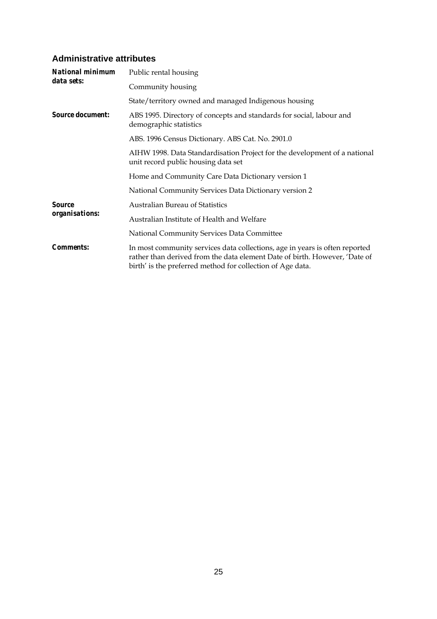#### **Administrative attributes**

| National minimum        | Public rental housing                                                                                                                                                                                                   |  |  |  |  |  |  |  |
|-------------------------|-------------------------------------------------------------------------------------------------------------------------------------------------------------------------------------------------------------------------|--|--|--|--|--|--|--|
| data sets:              | Community housing                                                                                                                                                                                                       |  |  |  |  |  |  |  |
|                         | State/territory owned and managed Indigenous housing                                                                                                                                                                    |  |  |  |  |  |  |  |
| <b>Source document:</b> | ABS 1995. Directory of concepts and standards for social, labour and<br>demographic statistics                                                                                                                          |  |  |  |  |  |  |  |
|                         | ABS. 1996 Census Dictionary. ABS Cat. No. 2901.0                                                                                                                                                                        |  |  |  |  |  |  |  |
|                         | AIHW 1998. Data Standardisation Project for the development of a national<br>unit record public housing data set                                                                                                        |  |  |  |  |  |  |  |
|                         | Home and Community Care Data Dictionary version 1                                                                                                                                                                       |  |  |  |  |  |  |  |
|                         | National Community Services Data Dictionary version 2                                                                                                                                                                   |  |  |  |  |  |  |  |
| <b>Source</b>           | <b>Australian Bureau of Statistics</b>                                                                                                                                                                                  |  |  |  |  |  |  |  |
| organisations:          | Australian Institute of Health and Welfare                                                                                                                                                                              |  |  |  |  |  |  |  |
|                         | National Community Services Data Committee                                                                                                                                                                              |  |  |  |  |  |  |  |
| <b>Comments:</b>        | In most community services data collections, age in years is often reported<br>rather than derived from the data element Date of birth. However, 'Date of<br>birth' is the preferred method for collection of Age data. |  |  |  |  |  |  |  |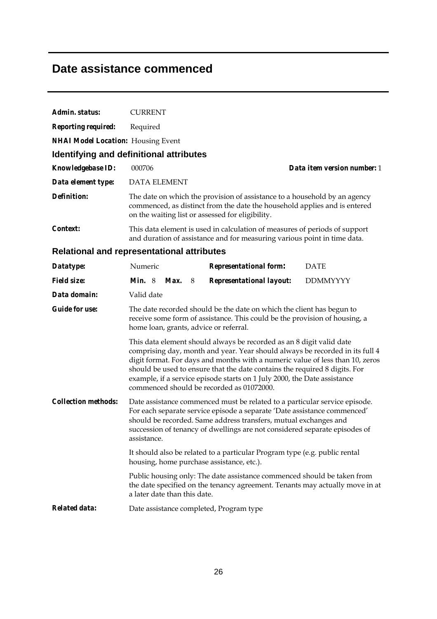### **Date assistance commenced**

| Admin. status:                                    | <b>CURRENT</b>                                                                                                                                                                                                                                                                                                          |                                                                                                                                                        |               |                              |                                                                                                                                                                                                                                                                             |  |                                                                                                                                                               |  |  |  |
|---------------------------------------------------|-------------------------------------------------------------------------------------------------------------------------------------------------------------------------------------------------------------------------------------------------------------------------------------------------------------------------|--------------------------------------------------------------------------------------------------------------------------------------------------------|---------------|------------------------------|-----------------------------------------------------------------------------------------------------------------------------------------------------------------------------------------------------------------------------------------------------------------------------|--|---------------------------------------------------------------------------------------------------------------------------------------------------------------|--|--|--|
| <b>Reporting required:</b>                        | Required                                                                                                                                                                                                                                                                                                                |                                                                                                                                                        |               |                              |                                                                                                                                                                                                                                                                             |  |                                                                                                                                                               |  |  |  |
| <b>NHAI Model Location:</b> Housing Event         |                                                                                                                                                                                                                                                                                                                         |                                                                                                                                                        |               |                              |                                                                                                                                                                                                                                                                             |  |                                                                                                                                                               |  |  |  |
| Identifying and definitional attributes           |                                                                                                                                                                                                                                                                                                                         |                                                                                                                                                        |               |                              |                                                                                                                                                                                                                                                                             |  |                                                                                                                                                               |  |  |  |
| Knowledgebase ID:                                 | 000706                                                                                                                                                                                                                                                                                                                  |                                                                                                                                                        |               |                              |                                                                                                                                                                                                                                                                             |  | Data item version number: 1                                                                                                                                   |  |  |  |
| Data element type:                                |                                                                                                                                                                                                                                                                                                                         | <b>DATA ELEMENT</b>                                                                                                                                    |               |                              |                                                                                                                                                                                                                                                                             |  |                                                                                                                                                               |  |  |  |
| <b>Definition:</b>                                | The date on which the provision of assistance to a household by an agency<br>commenced, as distinct from the date the household applies and is entered<br>on the waiting list or assessed for eligibility.                                                                                                              |                                                                                                                                                        |               |                              |                                                                                                                                                                                                                                                                             |  |                                                                                                                                                               |  |  |  |
| Context:                                          |                                                                                                                                                                                                                                                                                                                         | This data element is used in calculation of measures of periods of support<br>and duration of assistance and for measuring various point in time data. |               |                              |                                                                                                                                                                                                                                                                             |  |                                                                                                                                                               |  |  |  |
| <b>Relational and representational attributes</b> |                                                                                                                                                                                                                                                                                                                         |                                                                                                                                                        |               |                              |                                                                                                                                                                                                                                                                             |  |                                                                                                                                                               |  |  |  |
| Datatype:                                         | Numeric                                                                                                                                                                                                                                                                                                                 |                                                                                                                                                        |               |                              | <b>Representational form:</b>                                                                                                                                                                                                                                               |  | <b>DATE</b>                                                                                                                                                   |  |  |  |
| <b>Field size:</b>                                | Min. 8                                                                                                                                                                                                                                                                                                                  |                                                                                                                                                        | <b>Max.</b> 8 |                              | <b>Representational layout:</b>                                                                                                                                                                                                                                             |  | <b>DDMMYYYY</b>                                                                                                                                               |  |  |  |
| Data domain:                                      | Valid date                                                                                                                                                                                                                                                                                                              |                                                                                                                                                        |               |                              |                                                                                                                                                                                                                                                                             |  |                                                                                                                                                               |  |  |  |
| <b>Guide for use:</b>                             | The date recorded should be the date on which the client has begun to<br>receive some form of assistance. This could be the provision of housing, a<br>home loan, grants, advice or referral.                                                                                                                           |                                                                                                                                                        |               |                              |                                                                                                                                                                                                                                                                             |  |                                                                                                                                                               |  |  |  |
|                                                   |                                                                                                                                                                                                                                                                                                                         |                                                                                                                                                        |               |                              | This data element should always be recorded as an 8 digit valid date<br>should be used to ensure that the date contains the required 8 digits. For<br>example, if a service episode starts on 1 July 2000, the Date assistance<br>commenced should be recorded as 01072000. |  | comprising day, month and year. Year should always be recorded in its full 4<br>digit format. For days and months with a numeric value of less than 10, zeros |  |  |  |
| <b>Collection methods:</b>                        | Date assistance commenced must be related to a particular service episode.<br>For each separate service episode a separate 'Date assistance commenced'<br>should be recorded. Same address transfers, mutual exchanges and<br>succession of tenancy of dwellings are not considered separate episodes of<br>assistance. |                                                                                                                                                        |               |                              |                                                                                                                                                                                                                                                                             |  |                                                                                                                                                               |  |  |  |
|                                                   |                                                                                                                                                                                                                                                                                                                         |                                                                                                                                                        |               |                              | It should also be related to a particular Program type (e.g. public rental<br>housing, home purchase assistance, etc.).                                                                                                                                                     |  |                                                                                                                                                               |  |  |  |
|                                                   |                                                                                                                                                                                                                                                                                                                         |                                                                                                                                                        |               |                              | Public housing only: The date assistance commenced should be taken from                                                                                                                                                                                                     |  | the date specified on the tenancy agreement. Tenants may actually move in at                                                                                  |  |  |  |
|                                                   |                                                                                                                                                                                                                                                                                                                         |                                                                                                                                                        |               | a later date than this date. |                                                                                                                                                                                                                                                                             |  |                                                                                                                                                               |  |  |  |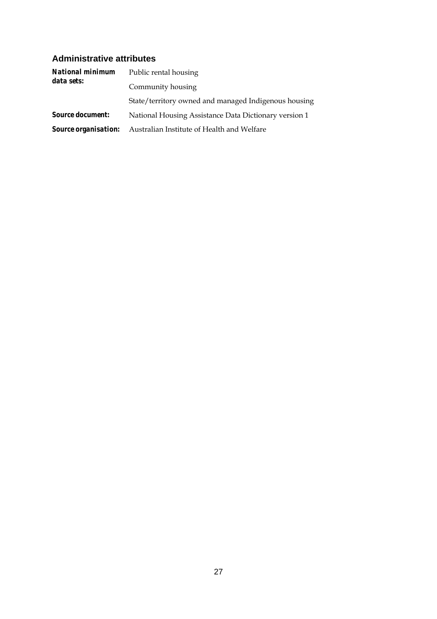#### **Administrative attributes**

| <b>National minimum</b>     | Public rental housing                                 |  |  |  |  |  |  |  |
|-----------------------------|-------------------------------------------------------|--|--|--|--|--|--|--|
| data sets:                  | Community housing                                     |  |  |  |  |  |  |  |
|                             | State/territory owned and managed Indigenous housing  |  |  |  |  |  |  |  |
| <i>Source document:</i>     | National Housing Assistance Data Dictionary version 1 |  |  |  |  |  |  |  |
| <b>Source organisation:</b> | Australian Institute of Health and Welfare            |  |  |  |  |  |  |  |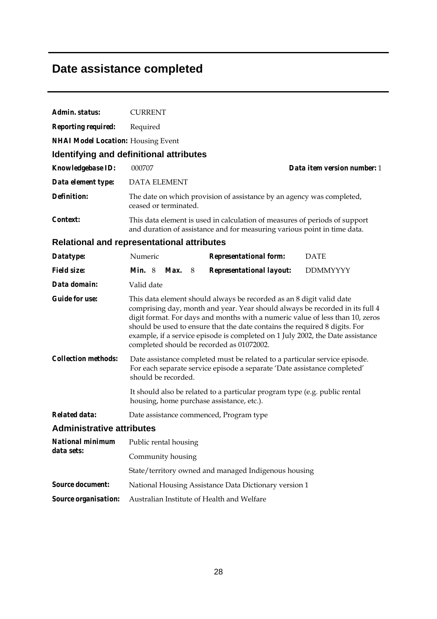### **Date assistance completed**

| Admin. status:                                    | <b>CURRENT</b>        |  |               |  |                                                                                                                                                                                                 |  |                                                                                                                                                                                                                                                 |  |  |
|---------------------------------------------------|-----------------------|--|---------------|--|-------------------------------------------------------------------------------------------------------------------------------------------------------------------------------------------------|--|-------------------------------------------------------------------------------------------------------------------------------------------------------------------------------------------------------------------------------------------------|--|--|
| <b>Reporting required:</b>                        | Required              |  |               |  |                                                                                                                                                                                                 |  |                                                                                                                                                                                                                                                 |  |  |
| <b>NHAI Model Location:</b> Housing Event         |                       |  |               |  |                                                                                                                                                                                                 |  |                                                                                                                                                                                                                                                 |  |  |
| Identifying and definitional attributes           |                       |  |               |  |                                                                                                                                                                                                 |  |                                                                                                                                                                                                                                                 |  |  |
| Knowledgebase ID:                                 | 000707                |  |               |  |                                                                                                                                                                                                 |  | Data item version number: 1                                                                                                                                                                                                                     |  |  |
| Data element type:                                | <b>DATA ELEMENT</b>   |  |               |  |                                                                                                                                                                                                 |  |                                                                                                                                                                                                                                                 |  |  |
| <b>Definition:</b>                                | ceased or terminated. |  |               |  | The date on which provision of assistance by an agency was completed,                                                                                                                           |  |                                                                                                                                                                                                                                                 |  |  |
| Context:                                          |                       |  |               |  | This data element is used in calculation of measures of periods of support<br>and duration of assistance and for measuring various point in time data.                                          |  |                                                                                                                                                                                                                                                 |  |  |
| <b>Relational and representational attributes</b> |                       |  |               |  |                                                                                                                                                                                                 |  |                                                                                                                                                                                                                                                 |  |  |
| Datatype:                                         | Numeric               |  |               |  | <b>Representational form:</b>                                                                                                                                                                   |  | <b>DATE</b>                                                                                                                                                                                                                                     |  |  |
| <b>Field size:</b>                                | <i>Min.</i> $8$       |  | <b>Max.</b> 8 |  | Representational layout:                                                                                                                                                                        |  | <b>DDMMYYYY</b>                                                                                                                                                                                                                                 |  |  |
| Data domain:                                      | Valid date            |  |               |  |                                                                                                                                                                                                 |  |                                                                                                                                                                                                                                                 |  |  |
| <b>Guide for use:</b>                             |                       |  |               |  | This data element should always be recorded as an 8 digit valid date<br>should be used to ensure that the date contains the required 8 digits. For<br>completed should be recorded as 01072002. |  | comprising day, month and year. Year should always be recorded in its full 4<br>digit format. For days and months with a numeric value of less than 10, zeros<br>example, if a service episode is completed on 1 July 2002, the Date assistance |  |  |
| <b>Collection methods:</b>                        | should be recorded.   |  |               |  | Date assistance completed must be related to a particular service episode.<br>For each separate service episode a separate 'Date assistance completed'                                          |  |                                                                                                                                                                                                                                                 |  |  |
|                                                   |                       |  |               |  | It should also be related to a particular program type (e.g. public rental<br>housing, home purchase assistance, etc.).                                                                         |  |                                                                                                                                                                                                                                                 |  |  |
| <b>Related data:</b>                              |                       |  |               |  | Date assistance commenced, Program type                                                                                                                                                         |  |                                                                                                                                                                                                                                                 |  |  |
| <b>Administrative attributes</b>                  |                       |  |               |  |                                                                                                                                                                                                 |  |                                                                                                                                                                                                                                                 |  |  |
| <b>National minimum</b>                           | Public rental housing |  |               |  |                                                                                                                                                                                                 |  |                                                                                                                                                                                                                                                 |  |  |
| data sets:                                        | Community housing     |  |               |  |                                                                                                                                                                                                 |  |                                                                                                                                                                                                                                                 |  |  |
|                                                   |                       |  |               |  | State/territory owned and managed Indigenous housing                                                                                                                                            |  |                                                                                                                                                                                                                                                 |  |  |
| <b>Source document:</b>                           |                       |  |               |  | National Housing Assistance Data Dictionary version 1                                                                                                                                           |  |                                                                                                                                                                                                                                                 |  |  |
| Source organisation:                              |                       |  |               |  | Australian Institute of Health and Welfare                                                                                                                                                      |  |                                                                                                                                                                                                                                                 |  |  |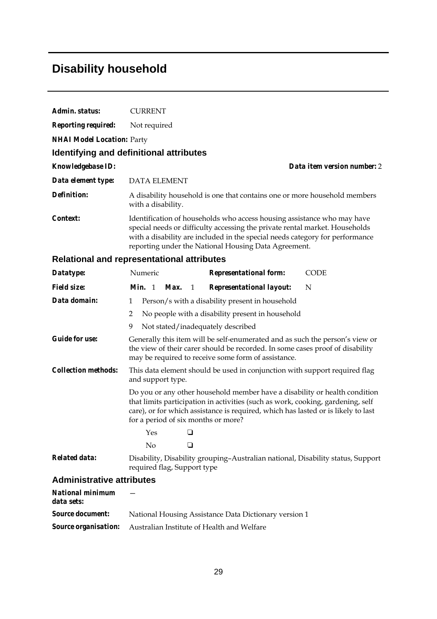### **Disability household**

| Admin. status:                    | <b>CURRENT</b>                                    |                                                                                                                                                                                                                                                                                                |                             |  |  |  |  |  |  |
|-----------------------------------|---------------------------------------------------|------------------------------------------------------------------------------------------------------------------------------------------------------------------------------------------------------------------------------------------------------------------------------------------------|-----------------------------|--|--|--|--|--|--|
| <b>Reporting required:</b>        | Not required                                      |                                                                                                                                                                                                                                                                                                |                             |  |  |  |  |  |  |
| <b>NHAI Model Location: Party</b> |                                                   |                                                                                                                                                                                                                                                                                                |                             |  |  |  |  |  |  |
|                                   | Identifying and definitional attributes           |                                                                                                                                                                                                                                                                                                |                             |  |  |  |  |  |  |
| <b>Knowledgebase ID:</b>          |                                                   |                                                                                                                                                                                                                                                                                                | Data item version number: 2 |  |  |  |  |  |  |
| Data element type:                | <b>DATA ELEMENT</b>                               |                                                                                                                                                                                                                                                                                                |                             |  |  |  |  |  |  |
| <i>Definition:</i>                | with a disability.                                | A disability household is one that contains one or more household members                                                                                                                                                                                                                      |                             |  |  |  |  |  |  |
| Context:                          |                                                   | Identification of households who access housing assistance who may have<br>special needs or difficulty accessing the private rental market. Households<br>with a disability are included in the special needs category for performance<br>reporting under the National Housing Data Agreement. |                             |  |  |  |  |  |  |
|                                   | <b>Relational and representational attributes</b> |                                                                                                                                                                                                                                                                                                |                             |  |  |  |  |  |  |
| Datatype:                         | Numeric                                           | <b>Representational form:</b>                                                                                                                                                                                                                                                                  | <b>CODE</b>                 |  |  |  |  |  |  |
| $Eiald$ $dma$                     |                                                   | $M_{\rm in}$ 1 $M_{\rm ov}$ 1 Depresentational lavoute                                                                                                                                                                                                                                         | NT                          |  |  |  |  |  |  |

| <i>Field size:</i>               | <b>Representational layout:</b><br>Min. 1<br>N<br>Max.<br>- 1                                                                                                                                                                                                                             |  |
|----------------------------------|-------------------------------------------------------------------------------------------------------------------------------------------------------------------------------------------------------------------------------------------------------------------------------------------|--|
| Data domain:                     | Person/s with a disability present in household<br>1                                                                                                                                                                                                                                      |  |
|                                  | 2<br>No people with a disability present in household                                                                                                                                                                                                                                     |  |
|                                  | 9<br>Not stated/inadequately described                                                                                                                                                                                                                                                    |  |
| <b>Guide for use:</b>            | Generally this item will be self-enumerated and as such the person's view or<br>the view of their carer should be recorded. In some cases proof of disability<br>may be required to receive some form of assistance.                                                                      |  |
| <i>Collection methods:</i>       | This data element should be used in conjunction with support required flag<br>and support type.                                                                                                                                                                                           |  |
|                                  | Do you or any other household member have a disability or health condition<br>that limits participation in activities (such as work, cooking, gardening, self<br>care), or for which assistance is required, which has lasted or is likely to last<br>for a period of six months or more? |  |
|                                  | Yes<br>□                                                                                                                                                                                                                                                                                  |  |
|                                  | No<br>ப                                                                                                                                                                                                                                                                                   |  |
| <b>Related data:</b>             | Disability, Disability grouping-Australian national, Disability status, Support<br>required flag, Support type                                                                                                                                                                            |  |
| <b>Administrative attributes</b> |                                                                                                                                                                                                                                                                                           |  |

| National minimum<br>data sets: |                                                                               |
|--------------------------------|-------------------------------------------------------------------------------|
|                                | <b>Source document:</b> National Housing Assistance Data Dictionary version 1 |
|                                | <b>Source organisation:</b> Australian Institute of Health and Welfare        |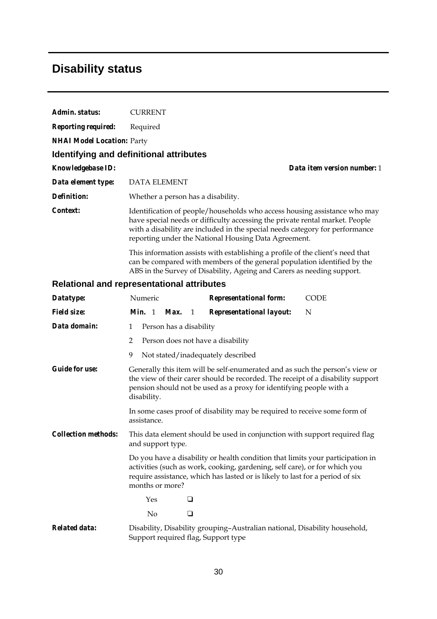### **Disability status**

| Admin. status:                    | <b>CURRENT</b>                                                                                                                                                                                                                                                                                    |  |
|-----------------------------------|---------------------------------------------------------------------------------------------------------------------------------------------------------------------------------------------------------------------------------------------------------------------------------------------------|--|
| <b>Reporting required:</b>        | Required                                                                                                                                                                                                                                                                                          |  |
| <b>NHAI Model Location: Party</b> |                                                                                                                                                                                                                                                                                                   |  |
|                                   | <b>Identifying and definitional attributes</b>                                                                                                                                                                                                                                                    |  |
| <b>Knowledgebase ID:</b>          | Data item version number: 1                                                                                                                                                                                                                                                                       |  |
| Data element type:                | <b>DATA ELEMENT</b>                                                                                                                                                                                                                                                                               |  |
| Definition:                       | Whether a person has a disability.                                                                                                                                                                                                                                                                |  |
| Context:                          | Identification of people/households who access housing assistance who may<br>have special needs or difficulty accessing the private rental market. People<br>with a disability are included in the special needs category for performance<br>reporting under the National Housing Data Agreement. |  |
|                                   | This information assists with establishing a profile of the client's need that<br>can be compared with members of the general population identified by the<br>ABS in the Survey of Disability, Ageing and Carers as needing support.                                                              |  |
|                                   | <b>Relational and representational attributes</b>                                                                                                                                                                                                                                                 |  |
| Datatype:                         | Numeric<br><b>Representational form:</b><br><b>CODE</b>                                                                                                                                                                                                                                           |  |
| <b>Field size:</b>                | <b>Representational layout:</b><br><i>Min.</i> 1<br>N<br>Max.<br>$\overline{1}$                                                                                                                                                                                                                   |  |
| Data domain:                      | Person has a disability<br>1                                                                                                                                                                                                                                                                      |  |
|                                   | Person does not have a disability<br>2                                                                                                                                                                                                                                                            |  |
|                                   | 9<br>Not stated/inadequately described                                                                                                                                                                                                                                                            |  |
| <b>Guide for use:</b>             | Generally this item will be self-enumerated and as such the person's view or<br>the view of their carer should be recorded. The receipt of a disability support<br>pension should not be used as a proxy for identifying people with a<br>disability.                                             |  |
|                                   | In some cases proof of disability may be required to receive some form of<br>assistance.                                                                                                                                                                                                          |  |
| <i>Collection methods:</i>        | This data element should be used in conjunction with support required flag<br>and support type.                                                                                                                                                                                                   |  |
|                                   | Do you have a disability or health condition that limits your participation in<br>activities (such as work, cooking, gardening, self care), or for which you<br>require assistance, which has lasted or is likely to last for a period of six<br>months or more?                                  |  |
|                                   | Yes<br>❏                                                                                                                                                                                                                                                                                          |  |
|                                   | No<br>❏                                                                                                                                                                                                                                                                                           |  |
|                                   |                                                                                                                                                                                                                                                                                                   |  |

*Related data:* Disability, Disability grouping–Australian national, Disability household, Support required flag, Support type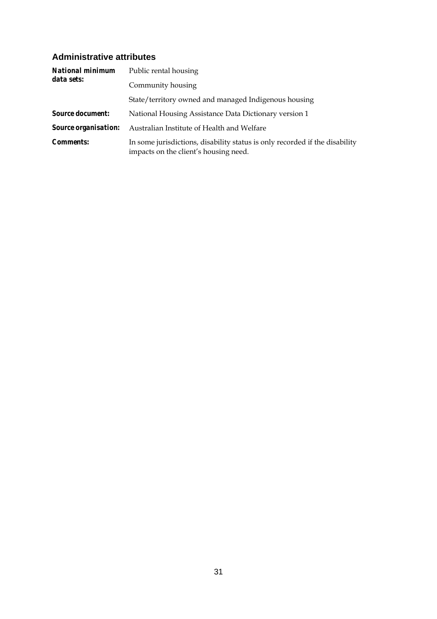#### **Administrative attributes**

| <b>National minimum</b>     | Public rental housing                                                                                                |
|-----------------------------|----------------------------------------------------------------------------------------------------------------------|
| data sets:                  | Community housing                                                                                                    |
|                             | State/territory owned and managed Indigenous housing                                                                 |
| <b>Source document:</b>     | National Housing Assistance Data Dictionary version 1                                                                |
| <i>Source organisation:</i> | Australian Institute of Health and Welfare                                                                           |
| <i>Comments:</i>            | In some jurisdictions, disability status is only recorded if the disability<br>impacts on the client's housing need. |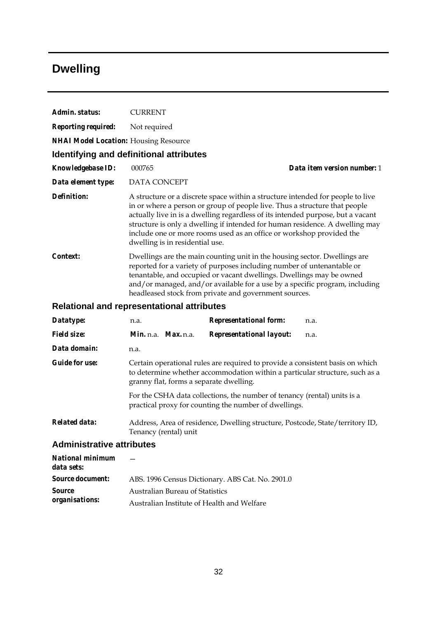## **Dwelling**

| Admin. status:                                    | <b>CURRENT</b>                                                                                                                                                                                                                                                                                                                                                      |                                 |                                                                                                                                                                                                                                                                                                                                                                                                         |      |  |  |
|---------------------------------------------------|---------------------------------------------------------------------------------------------------------------------------------------------------------------------------------------------------------------------------------------------------------------------------------------------------------------------------------------------------------------------|---------------------------------|---------------------------------------------------------------------------------------------------------------------------------------------------------------------------------------------------------------------------------------------------------------------------------------------------------------------------------------------------------------------------------------------------------|------|--|--|
| <b>Reporting required:</b>                        |                                                                                                                                                                                                                                                                                                                                                                     | Not required                    |                                                                                                                                                                                                                                                                                                                                                                                                         |      |  |  |
| <b>NHAI Model Location: Housing Resource</b>      |                                                                                                                                                                                                                                                                                                                                                                     |                                 |                                                                                                                                                                                                                                                                                                                                                                                                         |      |  |  |
| <b>Identifying and definitional attributes</b>    |                                                                                                                                                                                                                                                                                                                                                                     |                                 |                                                                                                                                                                                                                                                                                                                                                                                                         |      |  |  |
| <b>Knowledgebase ID:</b>                          | 000765                                                                                                                                                                                                                                                                                                                                                              | Data item version number: 1     |                                                                                                                                                                                                                                                                                                                                                                                                         |      |  |  |
| Data element type:                                | DATA CONCEPT                                                                                                                                                                                                                                                                                                                                                        |                                 |                                                                                                                                                                                                                                                                                                                                                                                                         |      |  |  |
| <b>Definition:</b>                                |                                                                                                                                                                                                                                                                                                                                                                     | dwelling is in residential use. | A structure or a discrete space within a structure intended for people to live<br>in or where a person or group of people live. Thus a structure that people<br>actually live in is a dwelling regardless of its intended purpose, but a vacant<br>structure is only a dwelling if intended for human residence. A dwelling may<br>include one or more rooms used as an office or workshop provided the |      |  |  |
| Context:                                          | Dwellings are the main counting unit in the housing sector. Dwellings are<br>reported for a variety of purposes including number of untenantable or<br>tenantable, and occupied or vacant dwellings. Dwellings may be owned<br>and/or managed, and/or available for a use by a specific program, including<br>headleased stock from private and government sources. |                                 |                                                                                                                                                                                                                                                                                                                                                                                                         |      |  |  |
| <b>Relational and representational attributes</b> |                                                                                                                                                                                                                                                                                                                                                                     |                                 |                                                                                                                                                                                                                                                                                                                                                                                                         |      |  |  |
| Datatype:                                         | n.a.                                                                                                                                                                                                                                                                                                                                                                |                                 | <b>Representational form:</b>                                                                                                                                                                                                                                                                                                                                                                           | n.a. |  |  |
| <b>Field size:</b>                                |                                                                                                                                                                                                                                                                                                                                                                     | <i>Min. n.a. Max. n.a.</i>      | <b>Representational layout:</b>                                                                                                                                                                                                                                                                                                                                                                         | n.a. |  |  |
| Data domain:                                      | n.a.                                                                                                                                                                                                                                                                                                                                                                |                                 |                                                                                                                                                                                                                                                                                                                                                                                                         |      |  |  |
| <b>Guide for use:</b>                             |                                                                                                                                                                                                                                                                                                                                                                     |                                 | Certain operational rules are required to provide a consistent basis on which<br>to determine whether accommodation within a particular structure, such as a<br>granny flat, forms a separate dwelling.                                                                                                                                                                                                 |      |  |  |
|                                                   |                                                                                                                                                                                                                                                                                                                                                                     |                                 | For the CSHA data collections, the number of tenancy (rental) units is a                                                                                                                                                                                                                                                                                                                                |      |  |  |

practical proxy for counting the number of dwellings. *Related data:* Address, Area of residence, Dwelling structure, Postcode, State/territory ID,

#### Tenancy (rental) unit **Administrative attributes**

| National minimum<br>data sets: |                                                  |
|--------------------------------|--------------------------------------------------|
| <i>Source document:</i>        | ABS. 1996 Census Dictionary. ABS Cat. No. 2901.0 |
| <i>Source</i>                  | <b>Australian Bureau of Statistics</b>           |
| organisations:                 | Australian Institute of Health and Welfare       |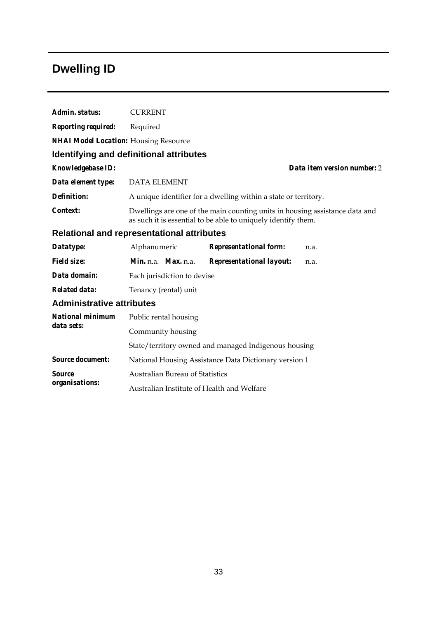## **Dwelling ID**

| Admin. status:                               | <b>CURRENT</b>                                                                                                                               |                                                                 |                             |  |  |  |
|----------------------------------------------|----------------------------------------------------------------------------------------------------------------------------------------------|-----------------------------------------------------------------|-----------------------------|--|--|--|
| <b>Reporting required:</b>                   | Required                                                                                                                                     |                                                                 |                             |  |  |  |
| <b>NHAI Model Location:</b> Housing Resource |                                                                                                                                              |                                                                 |                             |  |  |  |
|                                              | Identifying and definitional attributes                                                                                                      |                                                                 |                             |  |  |  |
| <b>Knowledgebase ID:</b>                     |                                                                                                                                              |                                                                 | Data item version number: 2 |  |  |  |
| Data element type:                           | <b>DATA ELEMENT</b>                                                                                                                          |                                                                 |                             |  |  |  |
| Definition:                                  |                                                                                                                                              | A unique identifier for a dwelling within a state or territory. |                             |  |  |  |
| Context:                                     | Dwellings are one of the main counting units in housing assistance data and<br>as such it is essential to be able to uniquely identify them. |                                                                 |                             |  |  |  |
|                                              | <b>Relational and representational attributes</b>                                                                                            |                                                                 |                             |  |  |  |
| Datatype:                                    | Alphanumeric                                                                                                                                 | <b>Representational form:</b>                                   | n.a.                        |  |  |  |
| <b>Field size:</b>                           | Min. n.a. Max. n.a.                                                                                                                          | <b>Representational layout:</b>                                 | n.a.                        |  |  |  |
| Data domain:                                 | Each jurisdiction to devise                                                                                                                  |                                                                 |                             |  |  |  |
| <b>Related data:</b>                         | Tenancy (rental) unit                                                                                                                        |                                                                 |                             |  |  |  |
| <b>Administrative attributes</b>             |                                                                                                                                              |                                                                 |                             |  |  |  |
| <b>National minimum</b>                      | Public rental housing                                                                                                                        |                                                                 |                             |  |  |  |
| data sets:                                   | Community housing                                                                                                                            |                                                                 |                             |  |  |  |
|                                              |                                                                                                                                              | State/territory owned and managed Indigenous housing            |                             |  |  |  |
| <b>Source document:</b>                      |                                                                                                                                              | National Housing Assistance Data Dictionary version 1           |                             |  |  |  |
| <b>Source</b>                                | <b>Australian Bureau of Statistics</b>                                                                                                       |                                                                 |                             |  |  |  |
| organisations:                               | Australian Institute of Health and Welfare                                                                                                   |                                                                 |                             |  |  |  |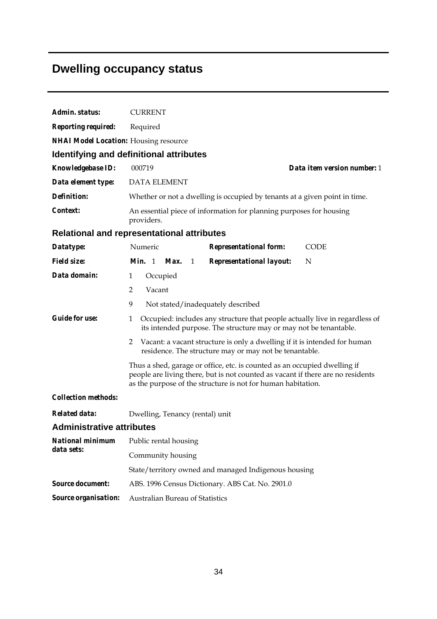## **Dwelling occupancy status**

| Admin. status:                               | <b>CURRENT</b>                                                                                                                                                                                                               |  |  |  |  |
|----------------------------------------------|------------------------------------------------------------------------------------------------------------------------------------------------------------------------------------------------------------------------------|--|--|--|--|
| <b>Reporting required:</b>                   | Required                                                                                                                                                                                                                     |  |  |  |  |
| <b>NHAI Model Location:</b> Housing resource |                                                                                                                                                                                                                              |  |  |  |  |
|                                              | <b>Identifying and definitional attributes</b>                                                                                                                                                                               |  |  |  |  |
| Knowledgebase ID:                            | 000719<br>Data item version number: 1                                                                                                                                                                                        |  |  |  |  |
| Data element type:                           | <b>DATA ELEMENT</b>                                                                                                                                                                                                          |  |  |  |  |
| <b>Definition:</b>                           | Whether or not a dwelling is occupied by tenants at a given point in time.                                                                                                                                                   |  |  |  |  |
| Context:                                     | An essential piece of information for planning purposes for housing<br>providers.                                                                                                                                            |  |  |  |  |
|                                              | Relational and representational attributes                                                                                                                                                                                   |  |  |  |  |
| Datatype:                                    | Numeric<br><b>Representational form:</b><br><b>CODE</b>                                                                                                                                                                      |  |  |  |  |
| <b>Field size:</b>                           | Min. 1 Max.<br>Representational layout:<br>N<br>1                                                                                                                                                                            |  |  |  |  |
| Data domain:                                 | $\mathbf{1}$<br>Occupied                                                                                                                                                                                                     |  |  |  |  |
|                                              | $\overline{2}$<br>Vacant                                                                                                                                                                                                     |  |  |  |  |
|                                              | 9<br>Not stated/inadequately described                                                                                                                                                                                       |  |  |  |  |
| <b>Guide for use:</b>                        | Occupied: includes any structure that people actually live in regardless of<br>$\mathbf{1}$<br>its intended purpose. The structure may or may not be tenantable.                                                             |  |  |  |  |
|                                              | Vacant: a vacant structure is only a dwelling if it is intended for human<br>2<br>residence. The structure may or may not be tenantable.                                                                                     |  |  |  |  |
|                                              | Thus a shed, garage or office, etc. is counted as an occupied dwelling if<br>people are living there, but is not counted as vacant if there are no residents<br>as the purpose of the structure is not for human habitation. |  |  |  |  |
| <b>Collection methods:</b>                   |                                                                                                                                                                                                                              |  |  |  |  |
| <b>Related data:</b>                         | Dwelling, Tenancy (rental) unit                                                                                                                                                                                              |  |  |  |  |
| <b>Administrative attributes</b>             |                                                                                                                                                                                                                              |  |  |  |  |
| <b>National minimum</b>                      | Public rental housing                                                                                                                                                                                                        |  |  |  |  |
| data sets:                                   | Community housing                                                                                                                                                                                                            |  |  |  |  |
|                                              | State/territory owned and managed Indigenous housing                                                                                                                                                                         |  |  |  |  |
| <b>Source document:</b>                      | ABS. 1996 Census Dictionary. ABS Cat. No. 2901.0                                                                                                                                                                             |  |  |  |  |
| <b>Source organisation:</b>                  | Australian Bureau of Statistics                                                                                                                                                                                              |  |  |  |  |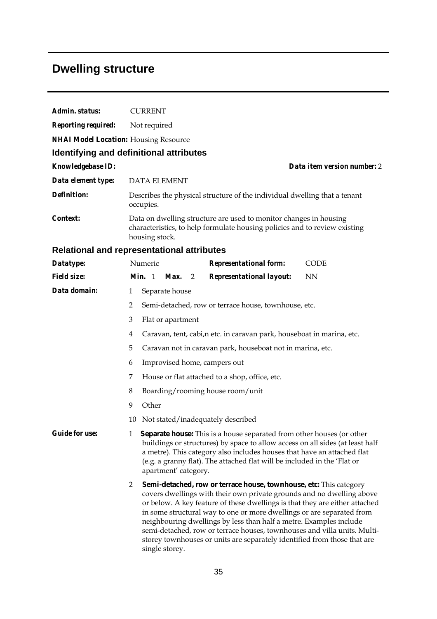# **Dwelling structure**

| Admin. status:                               | <b>CURRENT</b>                                                                                                                                                                                                                                                                                                                                                                                                                                                                                                                                                        |  |  |  |  |  |  |
|----------------------------------------------|-----------------------------------------------------------------------------------------------------------------------------------------------------------------------------------------------------------------------------------------------------------------------------------------------------------------------------------------------------------------------------------------------------------------------------------------------------------------------------------------------------------------------------------------------------------------------|--|--|--|--|--|--|
| <b>Reporting required:</b>                   | Not required                                                                                                                                                                                                                                                                                                                                                                                                                                                                                                                                                          |  |  |  |  |  |  |
| <b>NHAI Model Location:</b> Housing Resource |                                                                                                                                                                                                                                                                                                                                                                                                                                                                                                                                                                       |  |  |  |  |  |  |
|                                              | Identifying and definitional attributes                                                                                                                                                                                                                                                                                                                                                                                                                                                                                                                               |  |  |  |  |  |  |
| Knowledgebase ID:                            | Data item version number: 2                                                                                                                                                                                                                                                                                                                                                                                                                                                                                                                                           |  |  |  |  |  |  |
| Data element type:                           | <b>DATA ELEMENT</b>                                                                                                                                                                                                                                                                                                                                                                                                                                                                                                                                                   |  |  |  |  |  |  |
| <b>Definition:</b>                           | Describes the physical structure of the individual dwelling that a tenant<br>occupies.                                                                                                                                                                                                                                                                                                                                                                                                                                                                                |  |  |  |  |  |  |
| Context:                                     | Data on dwelling structure are used to monitor changes in housing<br>characteristics, to help formulate housing policies and to review existing<br>housing stock.                                                                                                                                                                                                                                                                                                                                                                                                     |  |  |  |  |  |  |
|                                              | Relational and representational attributes                                                                                                                                                                                                                                                                                                                                                                                                                                                                                                                            |  |  |  |  |  |  |
| Datatype:                                    | Numeric<br><b>Representational form:</b><br><b>CODE</b>                                                                                                                                                                                                                                                                                                                                                                                                                                                                                                               |  |  |  |  |  |  |
| <b>Field size:</b>                           | Min. 1<br>Max.<br><b>Representational layout:</b><br><b>NN</b><br>$\overline{2}$                                                                                                                                                                                                                                                                                                                                                                                                                                                                                      |  |  |  |  |  |  |
| Data domain:                                 | Separate house<br>1                                                                                                                                                                                                                                                                                                                                                                                                                                                                                                                                                   |  |  |  |  |  |  |
|                                              | 2<br>Semi-detached, row or terrace house, townhouse, etc.                                                                                                                                                                                                                                                                                                                                                                                                                                                                                                             |  |  |  |  |  |  |
|                                              | 3<br>Flat or apartment                                                                                                                                                                                                                                                                                                                                                                                                                                                                                                                                                |  |  |  |  |  |  |
|                                              | Caravan, tent, cabi, n etc. in caravan park, houseboat in marina, etc.<br>4                                                                                                                                                                                                                                                                                                                                                                                                                                                                                           |  |  |  |  |  |  |
|                                              | 5<br>Caravan not in caravan park, houseboat not in marina, etc.                                                                                                                                                                                                                                                                                                                                                                                                                                                                                                       |  |  |  |  |  |  |
|                                              | Improvised home, campers out<br>6                                                                                                                                                                                                                                                                                                                                                                                                                                                                                                                                     |  |  |  |  |  |  |
|                                              | House or flat attached to a shop, office, etc.<br>7                                                                                                                                                                                                                                                                                                                                                                                                                                                                                                                   |  |  |  |  |  |  |
|                                              | 8<br>Boarding/rooming house room/unit                                                                                                                                                                                                                                                                                                                                                                                                                                                                                                                                 |  |  |  |  |  |  |
|                                              | Other<br>9                                                                                                                                                                                                                                                                                                                                                                                                                                                                                                                                                            |  |  |  |  |  |  |
|                                              | 10 Not stated/inadequately described                                                                                                                                                                                                                                                                                                                                                                                                                                                                                                                                  |  |  |  |  |  |  |
| <b>Guide for use:</b>                        | 1<br><b>Separate house:</b> This is a house separated from other houses (or other<br>buildings or structures) by space to allow access on all sides (at least half<br>a metre). This category also includes houses that have an attached flat<br>(e.g. a granny flat). The attached flat will be included in the 'Flat or<br>apartment' category.                                                                                                                                                                                                                     |  |  |  |  |  |  |
|                                              | Semi-detached, row or terrace house, townhouse, etc: This category<br>$\overline{2}$<br>covers dwellings with their own private grounds and no dwelling above<br>or below. A key feature of these dwellings is that they are either attached<br>in some structural way to one or more dwellings or are separated from<br>neighbouring dwellings by less than half a metre. Examples include<br>semi-detached, row or terrace houses, townhouses and villa units. Multi-<br>storey townhouses or units are separately identified from those that are<br>single storey. |  |  |  |  |  |  |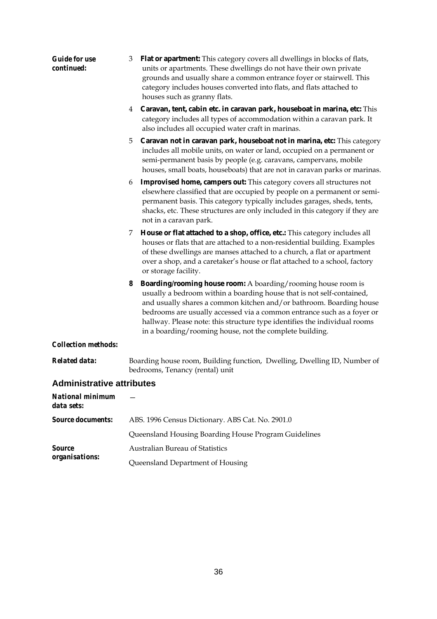| <b>Guide for use</b><br>continued:    | Flat or apartment: This category covers all dwellings in blocks of flats,<br>3<br>units or apartments. These dwellings do not have their own private<br>grounds and usually share a common entrance foyer or stairwell. This<br>category includes houses converted into flats, and flats attached to<br>houses such as granny flats.                                                                                                        |
|---------------------------------------|---------------------------------------------------------------------------------------------------------------------------------------------------------------------------------------------------------------------------------------------------------------------------------------------------------------------------------------------------------------------------------------------------------------------------------------------|
|                                       | Caravan, tent, cabin etc. in caravan park, houseboat in marina, etc: This<br>4<br>category includes all types of accommodation within a caravan park. It<br>also includes all occupied water craft in marinas.                                                                                                                                                                                                                              |
|                                       | Caravan not in caravan park, houseboat not in marina, etc: This category<br>5<br>includes all mobile units, on water or land, occupied on a permanent or<br>semi-permanent basis by people (e.g. caravans, campervans, mobile<br>houses, small boats, houseboats) that are not in caravan parks or marinas.                                                                                                                                 |
|                                       | <b>Improvised home, campers out:</b> This category covers all structures not<br>6<br>elsewhere classified that are occupied by people on a permanent or semi-<br>permanent basis. This category typically includes garages, sheds, tents,<br>shacks, etc. These structures are only included in this category if they are<br>not in a caravan park.                                                                                         |
|                                       | House or flat attached to a shop, office, etc.: This category includes all<br>7<br>houses or flats that are attached to a non-residential building. Examples<br>of these dwellings are manses attached to a church, a flat or apartment<br>over a shop, and a caretaker's house or flat attached to a school, factory<br>or storage facility.                                                                                               |
|                                       | <b>Boarding/rooming house room:</b> A boarding/rooming house room is<br>8<br>usually a bedroom within a boarding house that is not self-contained,<br>and usually shares a common kitchen and/or bathroom. Boarding house<br>bedrooms are usually accessed via a common entrance such as a foyer or<br>hallway. Please note: this structure type identifies the individual rooms<br>in a boarding/rooming house, not the complete building. |
| <b>Collection methods:</b>            |                                                                                                                                                                                                                                                                                                                                                                                                                                             |
| <b>Related data:</b>                  | Boarding house room, Building function, Dwelling, Dwelling ID, Number of<br>bedrooms, Tenancy (rental) unit                                                                                                                                                                                                                                                                                                                                 |
| <b>Administrative attributes</b>      |                                                                                                                                                                                                                                                                                                                                                                                                                                             |
| <b>National minimum</b><br>data sets: |                                                                                                                                                                                                                                                                                                                                                                                                                                             |
| <b>Source documents:</b>              | ABS. 1996 Census Dictionary. ABS Cat. No. 2901.0                                                                                                                                                                                                                                                                                                                                                                                            |
|                                       | Queensland Housing Boarding House Program Guidelines                                                                                                                                                                                                                                                                                                                                                                                        |
| <i>Source</i>                         | Australian Bureau of Statistics                                                                                                                                                                                                                                                                                                                                                                                                             |
| organisations:                        | Queensland Department of Housing                                                                                                                                                                                                                                                                                                                                                                                                            |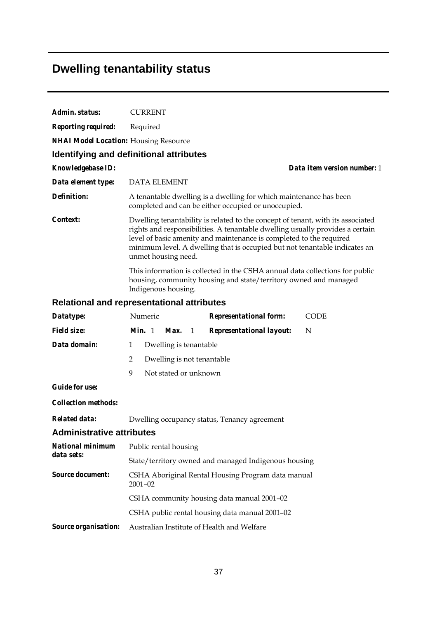# **Dwelling tenantability status**

| Admin. status:                               | <b>CURRENT</b>                                                                                                                                                                                                                                                                                                                               |  |  |  |  |  |
|----------------------------------------------|----------------------------------------------------------------------------------------------------------------------------------------------------------------------------------------------------------------------------------------------------------------------------------------------------------------------------------------------|--|--|--|--|--|
| <b>Reporting required:</b>                   | Required                                                                                                                                                                                                                                                                                                                                     |  |  |  |  |  |
| <b>NHAI Model Location:</b> Housing Resource |                                                                                                                                                                                                                                                                                                                                              |  |  |  |  |  |
|                                              | Identifying and definitional attributes                                                                                                                                                                                                                                                                                                      |  |  |  |  |  |
| Knowledgebase ID:                            | Data item version number: 1                                                                                                                                                                                                                                                                                                                  |  |  |  |  |  |
| Data element type:                           | <b>DATA ELEMENT</b>                                                                                                                                                                                                                                                                                                                          |  |  |  |  |  |
| <b>Definition:</b>                           | A tenantable dwelling is a dwelling for which maintenance has been<br>completed and can be either occupied or unoccupied.                                                                                                                                                                                                                    |  |  |  |  |  |
| <i>Context:</i>                              | Dwelling tenantability is related to the concept of tenant, with its associated<br>rights and responsibilities. A tenantable dwelling usually provides a certain<br>level of basic amenity and maintenance is completed to the required<br>minimum level. A dwelling that is occupied but not tenantable indicates an<br>unmet housing need. |  |  |  |  |  |
|                                              | This information is collected in the CSHA annual data collections for public<br>housing, community housing and state/territory owned and managed<br>Indigenous housing.                                                                                                                                                                      |  |  |  |  |  |
|                                              | <b>Relational and representational attributes</b>                                                                                                                                                                                                                                                                                            |  |  |  |  |  |
| Datatype:                                    | Numeric<br><b>Representational form:</b><br><b>CODE</b>                                                                                                                                                                                                                                                                                      |  |  |  |  |  |
| <b>Field size:</b>                           | Min. 1<br><b>Representational layout:</b><br>Max.<br>1<br>N                                                                                                                                                                                                                                                                                  |  |  |  |  |  |
| Data domain:                                 | $\mathbf{1}$<br>Dwelling is tenantable                                                                                                                                                                                                                                                                                                       |  |  |  |  |  |
|                                              | 2<br>Dwelling is not tenantable                                                                                                                                                                                                                                                                                                              |  |  |  |  |  |
|                                              | 9<br>Not stated or unknown                                                                                                                                                                                                                                                                                                                   |  |  |  |  |  |
| <b>Guide for use:</b>                        |                                                                                                                                                                                                                                                                                                                                              |  |  |  |  |  |
| <b>Collection methods:</b>                   |                                                                                                                                                                                                                                                                                                                                              |  |  |  |  |  |
| Related data:                                | Dwelling occupancy status, Tenancy agreement                                                                                                                                                                                                                                                                                                 |  |  |  |  |  |
| <b>Administrative attributes</b>             |                                                                                                                                                                                                                                                                                                                                              |  |  |  |  |  |
| <b>National minimum</b>                      | Public rental housing                                                                                                                                                                                                                                                                                                                        |  |  |  |  |  |
| data sets:                                   | State/territory owned and managed Indigenous housing                                                                                                                                                                                                                                                                                         |  |  |  |  |  |
| <b>Source document:</b>                      | CSHA Aboriginal Rental Housing Program data manual<br>$2001 - 02$                                                                                                                                                                                                                                                                            |  |  |  |  |  |
|                                              | CSHA community housing data manual 2001-02                                                                                                                                                                                                                                                                                                   |  |  |  |  |  |
|                                              | CSHA public rental housing data manual 2001-02                                                                                                                                                                                                                                                                                               |  |  |  |  |  |
| Source organisation:                         | Australian Institute of Health and Welfare                                                                                                                                                                                                                                                                                                   |  |  |  |  |  |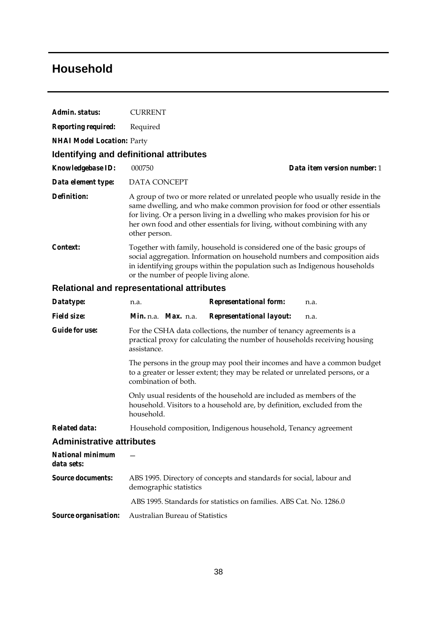### **Household**

| Admin. status:                        | <b>CURRENT</b>                                                                                                                                                                                                                                                                                                                        |                                                                                                                                                                                                                                    |                             |  |
|---------------------------------------|---------------------------------------------------------------------------------------------------------------------------------------------------------------------------------------------------------------------------------------------------------------------------------------------------------------------------------------|------------------------------------------------------------------------------------------------------------------------------------------------------------------------------------------------------------------------------------|-----------------------------|--|
| <b>Reporting required:</b>            | Required                                                                                                                                                                                                                                                                                                                              |                                                                                                                                                                                                                                    |                             |  |
| <b>NHAI Model Location: Party</b>     |                                                                                                                                                                                                                                                                                                                                       |                                                                                                                                                                                                                                    |                             |  |
|                                       | Identifying and definitional attributes                                                                                                                                                                                                                                                                                               |                                                                                                                                                                                                                                    |                             |  |
| Knowledgebase ID:                     | 000750                                                                                                                                                                                                                                                                                                                                |                                                                                                                                                                                                                                    | Data item version number: 1 |  |
| Data element type:                    | <b>DATA CONCEPT</b>                                                                                                                                                                                                                                                                                                                   |                                                                                                                                                                                                                                    |                             |  |
| <b>Definition:</b>                    | A group of two or more related or unrelated people who usually reside in the<br>same dwelling, and who make common provision for food or other essentials<br>for living. Or a person living in a dwelling who makes provision for his or<br>her own food and other essentials for living, without combining with any<br>other person. |                                                                                                                                                                                                                                    |                             |  |
| Context:                              | or the number of people living alone.                                                                                                                                                                                                                                                                                                 | Together with family, household is considered one of the basic groups of<br>social aggregation. Information on household numbers and composition aids<br>in identifying groups within the population such as Indigenous households |                             |  |
|                                       | Relational and representational attributes                                                                                                                                                                                                                                                                                            |                                                                                                                                                                                                                                    |                             |  |
| Datatype:                             | n.a.                                                                                                                                                                                                                                                                                                                                  | <b>Representational form:</b>                                                                                                                                                                                                      | n.a.                        |  |
| <b>Field size:</b>                    | Min. n.a. Max. n.a.                                                                                                                                                                                                                                                                                                                   | <b>Representational layout:</b>                                                                                                                                                                                                    | n.a.                        |  |
| <b>Guide for use:</b>                 | assistance.                                                                                                                                                                                                                                                                                                                           | For the CSHA data collections, the number of tenancy agreements is a<br>practical proxy for calculating the number of households receiving housing                                                                                 |                             |  |
|                                       | combination of both.                                                                                                                                                                                                                                                                                                                  | The persons in the group may pool their incomes and have a common budget<br>to a greater or lesser extent; they may be related or unrelated persons, or a                                                                          |                             |  |
|                                       | household.                                                                                                                                                                                                                                                                                                                            | Only usual residents of the household are included as members of the<br>household. Visitors to a household are, by definition, excluded from the                                                                                   |                             |  |
| <b>Related data:</b>                  |                                                                                                                                                                                                                                                                                                                                       | Household composition, Indigenous household, Tenancy agreement                                                                                                                                                                     |                             |  |
| <b>Administrative attributes</b>      |                                                                                                                                                                                                                                                                                                                                       |                                                                                                                                                                                                                                    |                             |  |
| <b>National minimum</b><br>data sets: |                                                                                                                                                                                                                                                                                                                                       |                                                                                                                                                                                                                                    |                             |  |
| <b>Source documents:</b>              | demographic statistics                                                                                                                                                                                                                                                                                                                | ABS 1995. Directory of concepts and standards for social, labour and                                                                                                                                                               |                             |  |
|                                       |                                                                                                                                                                                                                                                                                                                                       | ABS 1995. Standards for statistics on families. ABS Cat. No. 1286.0                                                                                                                                                                |                             |  |
| Source organisation:                  | Australian Bureau of Statistics                                                                                                                                                                                                                                                                                                       |                                                                                                                                                                                                                                    |                             |  |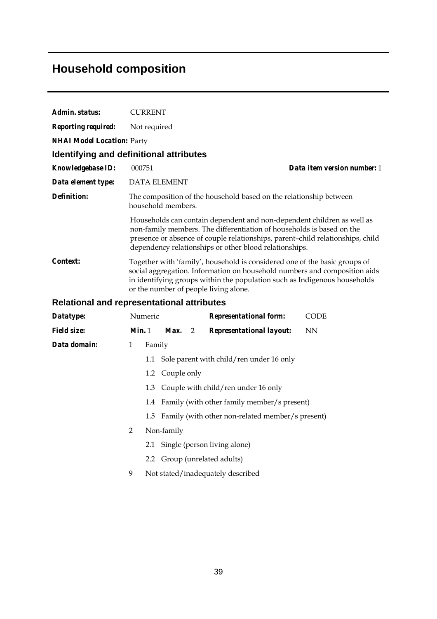# **Household composition**

| Admin. status:                    | <b>CURRENT</b>                                    |                                                                                                                                                                                                                                                                                             |                             |
|-----------------------------------|---------------------------------------------------|---------------------------------------------------------------------------------------------------------------------------------------------------------------------------------------------------------------------------------------------------------------------------------------------|-----------------------------|
| <b>Reporting required:</b>        | Not required                                      |                                                                                                                                                                                                                                                                                             |                             |
| <b>NHAI Model Location: Party</b> |                                                   |                                                                                                                                                                                                                                                                                             |                             |
|                                   | Identifying and definitional attributes           |                                                                                                                                                                                                                                                                                             |                             |
| <b>Knowledgebase ID:</b>          | 000751                                            |                                                                                                                                                                                                                                                                                             | Data item version number: 1 |
| Data element type:                | <b>DATA ELEMENT</b>                               |                                                                                                                                                                                                                                                                                             |                             |
| Definition:                       | household members.                                | The composition of the household based on the relationship between                                                                                                                                                                                                                          |                             |
|                                   |                                                   | Households can contain dependent and non-dependent children as well as<br>non-family members. The differentiation of households is based on the<br>presence or absence of couple relationships, parent-child relationships, child<br>dependency relationships or other blood relationships. |                             |
| Context:                          | or the number of people living alone.             | Together with 'family', household is considered one of the basic groups of<br>social aggregation. Information on household numbers and composition aids<br>in identifying groups within the population such as Indigenous households                                                        |                             |
|                                   | <b>Relational and representational attributes</b> |                                                                                                                                                                                                                                                                                             |                             |
| Datatype:                         | Numeric                                           | <b>Representational form:</b>                                                                                                                                                                                                                                                               | <b>CODE</b>                 |

| Datatype:          |              | Numeric |                                         |                |  | <i>Representational form:</i>                        | <b>CODE</b> |
|--------------------|--------------|---------|-----------------------------------------|----------------|--|------------------------------------------------------|-------------|
| <i>Field size:</i> | Min.1        |         | Max.                                    | $\overline{2}$ |  | <b>Representational layout:</b>                      | NN          |
| Data domain:       | $\mathbf{1}$ | Family  |                                         |                |  |                                                      |             |
|                    |              |         |                                         |                |  | 1.1 Sole parent with child/ren under 16 only         |             |
|                    |              |         | 1.2 Couple only                         |                |  |                                                      |             |
|                    |              |         | 1.3 Couple with child/ren under 16 only |                |  |                                                      |             |
|                    |              |         |                                         |                |  | 1.4 Family (with other family member/s present)      |             |
|                    |              |         |                                         |                |  | 1.5 Family (with other non-related member/s present) |             |
|                    | 2            |         | Non-family                              |                |  |                                                      |             |
|                    |              |         | 2.1 Single (person living alone)        |                |  |                                                      |             |
|                    |              |         | 2.2 Group (unrelated adults)            |                |  |                                                      |             |
|                    | 9            |         | Not stated/inadequately described       |                |  |                                                      |             |
|                    |              |         |                                         |                |  |                                                      |             |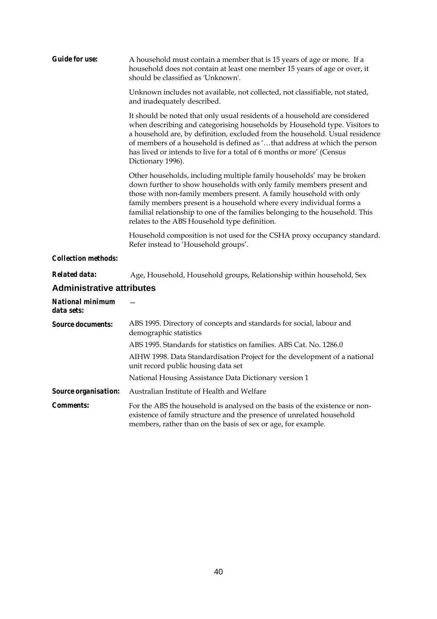| <b>Guide for use:</b>                 | A household must contain a member that is 15 years of age or more. If a<br>household does not contain at least one member 15 years of age or over, it<br>should be classified as 'Unknown'.                                                                                                                                                                                                                                    |
|---------------------------------------|--------------------------------------------------------------------------------------------------------------------------------------------------------------------------------------------------------------------------------------------------------------------------------------------------------------------------------------------------------------------------------------------------------------------------------|
|                                       | Unknown includes not available, not collected, not classifiable, not stated,<br>and inadequately described.                                                                                                                                                                                                                                                                                                                    |
|                                       | It should be noted that only usual residents of a household are considered<br>when describing and categorising households by Household type. Visitors to<br>a household are, by definition, excluded from the household. Usual residence<br>of members of a household is defined as 'that address at which the person<br>has lived or intends to live for a total of 6 months or more' (Census<br>Dictionary 1996).            |
|                                       | Other households, including multiple family households' may be broken<br>down further to show households with only family members present and<br>those with non-family members present. A family household with only<br>family members present is a household where every individual forms a<br>familial relationship to one of the families belonging to the household. This<br>relates to the ABS Household type definition. |
|                                       | Household composition is not used for the CSHA proxy occupancy standard.<br>Refer instead to 'Household groups'.                                                                                                                                                                                                                                                                                                               |
| <b>Collection methods:</b>            |                                                                                                                                                                                                                                                                                                                                                                                                                                |
| <b>Related data:</b>                  | Age, Household, Household groups, Relationship within household, Sex                                                                                                                                                                                                                                                                                                                                                           |
| <b>Administrative attributes</b>      |                                                                                                                                                                                                                                                                                                                                                                                                                                |
| <b>National minimum</b><br>data sets: |                                                                                                                                                                                                                                                                                                                                                                                                                                |
| <b>Source documents:</b>              | ABS 1995. Directory of concepts and standards for social, labour and<br>demographic statistics                                                                                                                                                                                                                                                                                                                                 |
|                                       | ABS 1995. Standards for statistics on families. ABS Cat. No. 1286.0                                                                                                                                                                                                                                                                                                                                                            |
|                                       | AIHW 1998. Data Standardisation Project for the development of a national<br>unit record public housing data set                                                                                                                                                                                                                                                                                                               |
|                                       | National Housing Assistance Data Dictionary version 1                                                                                                                                                                                                                                                                                                                                                                          |
| Source organisation:                  | Australian Institute of Health and Welfare                                                                                                                                                                                                                                                                                                                                                                                     |
| <b>Comments:</b>                      | For the ABS the household is analysed on the basis of the existence or non-<br>existence of family structure and the presence of unrelated household<br>members, rather than on the basis of sex or age, for example.                                                                                                                                                                                                          |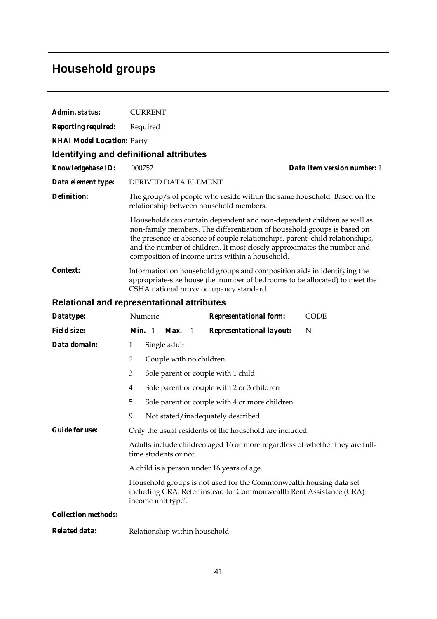# **Household groups**

| Admin. status:                    | <b>CURRENT</b>                                                                                                                                                                                                                                                                                                                                                  |  |  |  |  |  |  |
|-----------------------------------|-----------------------------------------------------------------------------------------------------------------------------------------------------------------------------------------------------------------------------------------------------------------------------------------------------------------------------------------------------------------|--|--|--|--|--|--|
| <b>Reporting required:</b>        | Required                                                                                                                                                                                                                                                                                                                                                        |  |  |  |  |  |  |
| <b>NHAI Model Location: Party</b> |                                                                                                                                                                                                                                                                                                                                                                 |  |  |  |  |  |  |
|                                   | Identifying and definitional attributes                                                                                                                                                                                                                                                                                                                         |  |  |  |  |  |  |
| Knowledgebase ID:                 | 000752<br>Data item version number: 1                                                                                                                                                                                                                                                                                                                           |  |  |  |  |  |  |
| Data element type:                | DERIVED DATA ELEMENT                                                                                                                                                                                                                                                                                                                                            |  |  |  |  |  |  |
| <b>Definition:</b>                | The group/s of people who reside within the same household. Based on the<br>relationship between household members.                                                                                                                                                                                                                                             |  |  |  |  |  |  |
|                                   | Households can contain dependent and non-dependent children as well as<br>non-family members. The differentiation of household groups is based on<br>the presence or absence of couple relationships, parent-child relationships,<br>and the number of children. It most closely approximates the number and<br>composition of income units within a household. |  |  |  |  |  |  |
| Context:                          | Information on household groups and composition aids in identifying the<br>appropriate-size house (i.e. number of bedrooms to be allocated) to meet the<br>CSHA national proxy occupancy standard.                                                                                                                                                              |  |  |  |  |  |  |
|                                   | <b>Relational and representational attributes</b>                                                                                                                                                                                                                                                                                                               |  |  |  |  |  |  |
| Datatype:                         | Numeric<br><b>Representational form:</b><br><b>CODE</b>                                                                                                                                                                                                                                                                                                         |  |  |  |  |  |  |
| <b>Field size:</b>                | Min. 1 Max.<br><b>Representational layout:</b><br>$\mathbf{1}$<br>N                                                                                                                                                                                                                                                                                             |  |  |  |  |  |  |
| Data domain:                      | $\mathbf{1}$<br>Single adult                                                                                                                                                                                                                                                                                                                                    |  |  |  |  |  |  |
|                                   | $\overline{2}$<br>Couple with no children                                                                                                                                                                                                                                                                                                                       |  |  |  |  |  |  |
|                                   | 3<br>Sole parent or couple with 1 child                                                                                                                                                                                                                                                                                                                         |  |  |  |  |  |  |
|                                   | Sole parent or couple with 2 or 3 children<br>4                                                                                                                                                                                                                                                                                                                 |  |  |  |  |  |  |
|                                   | 5<br>Sole parent or couple with 4 or more children                                                                                                                                                                                                                                                                                                              |  |  |  |  |  |  |
|                                   | 9<br>Not stated/inadequately described                                                                                                                                                                                                                                                                                                                          |  |  |  |  |  |  |
| <b>Guide for use:</b>             | Only the usual residents of the household are included.                                                                                                                                                                                                                                                                                                         |  |  |  |  |  |  |
|                                   | Adults include children aged 16 or more regardless of whether they are full-<br>time students or not.                                                                                                                                                                                                                                                           |  |  |  |  |  |  |
|                                   | A child is a person under 16 years of age.                                                                                                                                                                                                                                                                                                                      |  |  |  |  |  |  |
|                                   | Household groups is not used for the Commonwealth housing data set<br>including CRA. Refer instead to 'Commonwealth Rent Assistance (CRA)<br>income unit type'.                                                                                                                                                                                                 |  |  |  |  |  |  |
| <b>Collection methods:</b>        |                                                                                                                                                                                                                                                                                                                                                                 |  |  |  |  |  |  |
| Related data:                     | Relationship within household                                                                                                                                                                                                                                                                                                                                   |  |  |  |  |  |  |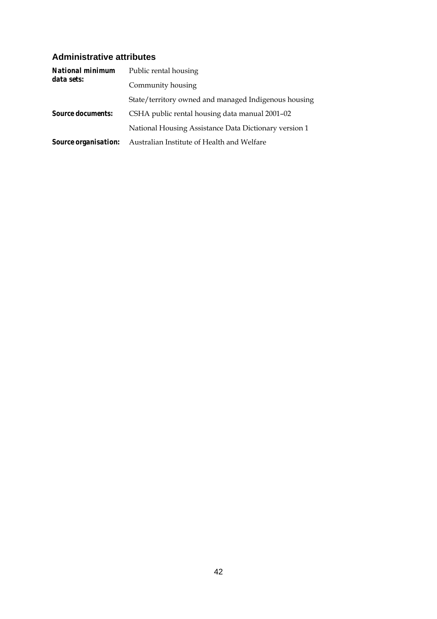#### **Administrative attributes**

| National minimum<br>data sets: | Public rental housing                                 |
|--------------------------------|-------------------------------------------------------|
|                                | Community housing                                     |
|                                | State/territory owned and managed Indigenous housing  |
| <b>Source documents:</b>       | CSHA public rental housing data manual 2001–02        |
|                                | National Housing Assistance Data Dictionary version 1 |
| <b>Source organisation:</b>    | Australian Institute of Health and Welfare            |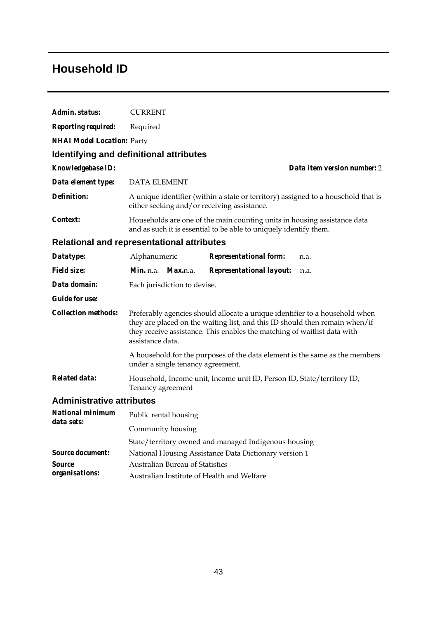### **Household ID**

| Admin. status:                        | <b>CURRENT</b>                                                                                                                                                                                                                                             |  |  |  |  |  |
|---------------------------------------|------------------------------------------------------------------------------------------------------------------------------------------------------------------------------------------------------------------------------------------------------------|--|--|--|--|--|
| <b>Reporting required:</b>            | Required                                                                                                                                                                                                                                                   |  |  |  |  |  |
| <b>NHAI Model Location: Party</b>     |                                                                                                                                                                                                                                                            |  |  |  |  |  |
|                                       | Identifying and definitional attributes                                                                                                                                                                                                                    |  |  |  |  |  |
| <b>Knowledgebase ID:</b>              | Data item version number: 2                                                                                                                                                                                                                                |  |  |  |  |  |
| Data element type:                    | <b>DATA ELEMENT</b>                                                                                                                                                                                                                                        |  |  |  |  |  |
| Definition:                           | A unique identifier (within a state or territory) assigned to a household that is<br>either seeking and/or receiving assistance.                                                                                                                           |  |  |  |  |  |
| Context:                              | Households are one of the main counting units in housing assistance data<br>and as such it is essential to be able to uniquely identify them.                                                                                                              |  |  |  |  |  |
|                                       | <b>Relational and representational attributes</b>                                                                                                                                                                                                          |  |  |  |  |  |
| Datatype:                             | Alphanumeric<br><b>Representational form:</b><br>n.a.                                                                                                                                                                                                      |  |  |  |  |  |
| <b>Field size:</b>                    | <b>Representational layout:</b><br><i>Min.</i> n.a.<br><i>Max.n.a.</i><br>n.a.                                                                                                                                                                             |  |  |  |  |  |
| Data domain:                          | Each jurisdiction to devise.                                                                                                                                                                                                                               |  |  |  |  |  |
| <b>Guide for use:</b>                 |                                                                                                                                                                                                                                                            |  |  |  |  |  |
| <b>Collection methods:</b>            | Preferably agencies should allocate a unique identifier to a household when<br>they are placed on the waiting list, and this ID should then remain when/if<br>they receive assistance. This enables the matching of waitlist data with<br>assistance data. |  |  |  |  |  |
|                                       | A household for the purposes of the data element is the same as the members<br>under a single tenancy agreement.                                                                                                                                           |  |  |  |  |  |
| <b>Related data:</b>                  | Household, Income unit, Income unit ID, Person ID, State/territory ID,<br>Tenancy agreement                                                                                                                                                                |  |  |  |  |  |
| <b>Administrative attributes</b>      |                                                                                                                                                                                                                                                            |  |  |  |  |  |
| <b>National minimum</b><br>data sets: | Public rental housing                                                                                                                                                                                                                                      |  |  |  |  |  |
|                                       | Community housing                                                                                                                                                                                                                                          |  |  |  |  |  |
|                                       | State/territory owned and managed Indigenous housing                                                                                                                                                                                                       |  |  |  |  |  |
| <b>Source document:</b>               | National Housing Assistance Data Dictionary version 1                                                                                                                                                                                                      |  |  |  |  |  |
| Source                                | <b>Australian Bureau of Statistics</b>                                                                                                                                                                                                                     |  |  |  |  |  |
| organisations:                        | Australian Institute of Health and Welfare                                                                                                                                                                                                                 |  |  |  |  |  |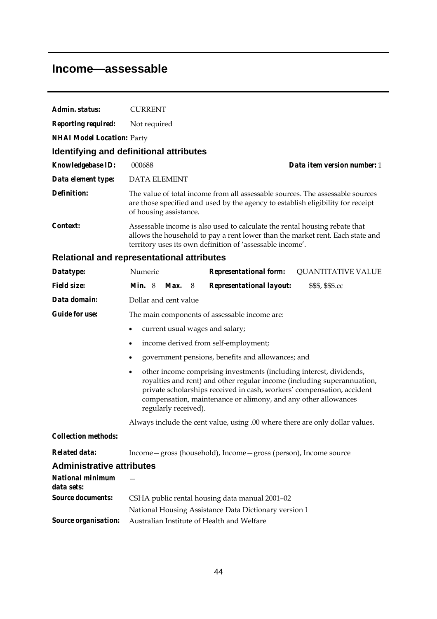### **Income—assessable**

| Admin. status:                                   | <b>CURRENT</b>                                                                                                                                                                                                                                                                                                                  |  |  |  |  |  |
|--------------------------------------------------|---------------------------------------------------------------------------------------------------------------------------------------------------------------------------------------------------------------------------------------------------------------------------------------------------------------------------------|--|--|--|--|--|
| <b>Reporting required:</b>                       | Not required                                                                                                                                                                                                                                                                                                                    |  |  |  |  |  |
| <b>NHAI Model Location: Party</b>                |                                                                                                                                                                                                                                                                                                                                 |  |  |  |  |  |
|                                                  | Identifying and definitional attributes                                                                                                                                                                                                                                                                                         |  |  |  |  |  |
| Knowledgebase ID:                                | Data item version number: 1<br>000688                                                                                                                                                                                                                                                                                           |  |  |  |  |  |
| Data element type:                               | <b>DATA ELEMENT</b>                                                                                                                                                                                                                                                                                                             |  |  |  |  |  |
| Definition:                                      | The value of total income from all assessable sources. The assessable sources<br>are those specified and used by the agency to establish eligibility for receipt<br>of housing assistance.                                                                                                                                      |  |  |  |  |  |
| Context:                                         | Assessable income is also used to calculate the rental housing rebate that<br>allows the household to pay a rent lower than the market rent. Each state and<br>territory uses its own definition of 'assessable income'.                                                                                                        |  |  |  |  |  |
|                                                  | <b>Relational and representational attributes</b>                                                                                                                                                                                                                                                                               |  |  |  |  |  |
| Datatype:                                        | Numeric<br><b>Representational form:</b><br><b>QUANTITATIVE VALUE</b>                                                                                                                                                                                                                                                           |  |  |  |  |  |
| <b>Field size:</b>                               | <b>Min.</b> 8<br>Max.<br>Representational layout:<br>\$\$\$, \$\$\$.cc<br>8                                                                                                                                                                                                                                                     |  |  |  |  |  |
| Data domain:                                     | Dollar and cent value                                                                                                                                                                                                                                                                                                           |  |  |  |  |  |
| <b>Guide for use:</b>                            | The main components of assessable income are:                                                                                                                                                                                                                                                                                   |  |  |  |  |  |
|                                                  | current usual wages and salary;<br>$\bullet$                                                                                                                                                                                                                                                                                    |  |  |  |  |  |
|                                                  | income derived from self-employment;<br>$\bullet$<br>government pensions, benefits and allowances; and<br>$\bullet$                                                                                                                                                                                                             |  |  |  |  |  |
|                                                  |                                                                                                                                                                                                                                                                                                                                 |  |  |  |  |  |
|                                                  | other income comprising investments (including interest, dividends,<br>$\bullet$<br>royalties and rent) and other regular income (including superannuation,<br>private scholarships received in cash, workers' compensation, accident<br>compensation, maintenance or alimony, and any other allowances<br>regularly received). |  |  |  |  |  |
|                                                  | Always include the cent value, using .00 where there are only dollar values.                                                                                                                                                                                                                                                    |  |  |  |  |  |
| <b>Collection methods:</b>                       |                                                                                                                                                                                                                                                                                                                                 |  |  |  |  |  |
| <b>Related data:</b>                             | Income - gross (household), Income - gross (person), Income source                                                                                                                                                                                                                                                              |  |  |  |  |  |
| <b>Administrative attributes</b>                 |                                                                                                                                                                                                                                                                                                                                 |  |  |  |  |  |
| <b>National minimum</b><br>data sets:            |                                                                                                                                                                                                                                                                                                                                 |  |  |  |  |  |
| <b>Source documents:</b><br>Source organisation: | CSHA public rental housing data manual 2001-02<br>National Housing Assistance Data Dictionary version 1<br>Australian Institute of Health and Welfare                                                                                                                                                                           |  |  |  |  |  |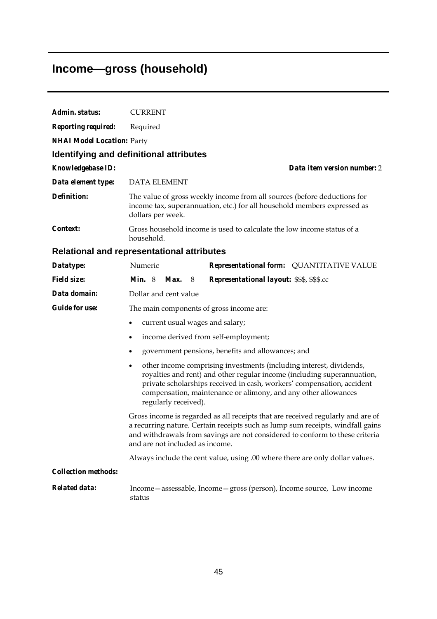# **Income—gross (household)**

| Admin. status:                    | <b>CURRENT</b>                                                                                                                                                                                                                                                                                                          |  |  |  |  |  |
|-----------------------------------|-------------------------------------------------------------------------------------------------------------------------------------------------------------------------------------------------------------------------------------------------------------------------------------------------------------------------|--|--|--|--|--|
| <b>Reporting required:</b>        | Required                                                                                                                                                                                                                                                                                                                |  |  |  |  |  |
| <b>NHAI Model Location: Party</b> |                                                                                                                                                                                                                                                                                                                         |  |  |  |  |  |
|                                   | Identifying and definitional attributes                                                                                                                                                                                                                                                                                 |  |  |  |  |  |
| <b>Knowledgebase ID:</b>          | Data item version number: 2                                                                                                                                                                                                                                                                                             |  |  |  |  |  |
| Data element type:                | <b>DATA ELEMENT</b>                                                                                                                                                                                                                                                                                                     |  |  |  |  |  |
| Definition:                       | The value of gross weekly income from all sources (before deductions for<br>income tax, superannuation, etc.) for all household members expressed as<br>dollars per week.                                                                                                                                               |  |  |  |  |  |
| Context:                          | Gross household income is used to calculate the low income status of a<br>household.                                                                                                                                                                                                                                    |  |  |  |  |  |
|                                   | <b>Relational and representational attributes</b>                                                                                                                                                                                                                                                                       |  |  |  |  |  |
| Datatype:                         | Numeric<br>Representational form: QUANTITATIVE VALUE                                                                                                                                                                                                                                                                    |  |  |  |  |  |
| <b>Field size:</b>                | Min. 8<br><b>Max.</b> 8<br>Representational layout: \$\$\$, \$\$\$.cc                                                                                                                                                                                                                                                   |  |  |  |  |  |
| Data domain:                      | Dollar and cent value                                                                                                                                                                                                                                                                                                   |  |  |  |  |  |
| <b>Guide for use:</b>             | The main components of gross income are:                                                                                                                                                                                                                                                                                |  |  |  |  |  |
|                                   | current usual wages and salary;<br>$\bullet$                                                                                                                                                                                                                                                                            |  |  |  |  |  |
|                                   | income derived from self-employment;<br>٠                                                                                                                                                                                                                                                                               |  |  |  |  |  |
|                                   | government pensions, benefits and allowances; and<br>$\bullet$                                                                                                                                                                                                                                                          |  |  |  |  |  |
|                                   | other income comprising investments (including interest, dividends,<br>٠<br>royalties and rent) and other regular income (including superannuation,<br>private scholarships received in cash, workers' compensation, accident<br>compensation, maintenance or alimony, and any other allowances<br>regularly received). |  |  |  |  |  |
|                                   | Gross income is regarded as all receipts that are received regularly and are of<br>a recurring nature. Certain receipts such as lump sum receipts, windfall gains<br>and withdrawals from savings are not considered to conform to these criteria<br>and are not included as income.                                    |  |  |  |  |  |
|                                   | Always include the cent value, using .00 where there are only dollar values.                                                                                                                                                                                                                                            |  |  |  |  |  |
| <b>Collection methods:</b>        |                                                                                                                                                                                                                                                                                                                         |  |  |  |  |  |
| <b>Related data:</b>              | Income - assessable, Income - gross (person), Income source, Low income<br>status                                                                                                                                                                                                                                       |  |  |  |  |  |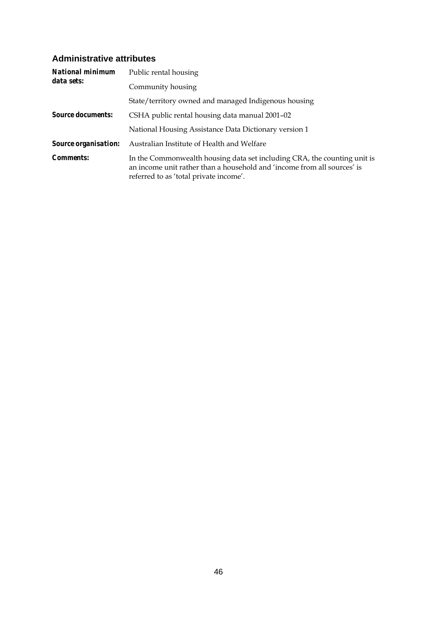#### **Administrative attributes**

| <b>National minimum</b>     | Public rental housing                                                                                                                                                                         |  |  |  |  |
|-----------------------------|-----------------------------------------------------------------------------------------------------------------------------------------------------------------------------------------------|--|--|--|--|
| data sets:                  | Community housing                                                                                                                                                                             |  |  |  |  |
|                             | State/territory owned and managed Indigenous housing                                                                                                                                          |  |  |  |  |
| <b>Source documents:</b>    | CSHA public rental housing data manual 2001–02                                                                                                                                                |  |  |  |  |
|                             | National Housing Assistance Data Dictionary version 1                                                                                                                                         |  |  |  |  |
| <b>Source organisation:</b> | Australian Institute of Health and Welfare                                                                                                                                                    |  |  |  |  |
| <i>Comments:</i>            | In the Commonwealth housing data set including CRA, the counting unit is<br>an income unit rather than a household and 'income from all sources' is<br>referred to as 'total private income'. |  |  |  |  |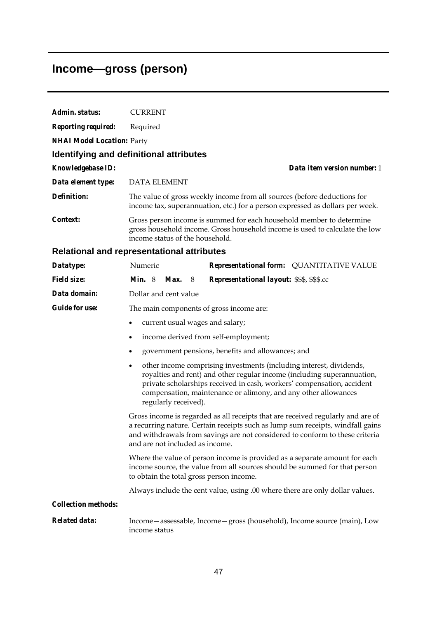# **Income—gross (person)**

| Admin. status:                    |                                                                                                                                                                                                                                                                                                                         |  |  |  |  |  |
|-----------------------------------|-------------------------------------------------------------------------------------------------------------------------------------------------------------------------------------------------------------------------------------------------------------------------------------------------------------------------|--|--|--|--|--|
|                                   | <b>CURRENT</b>                                                                                                                                                                                                                                                                                                          |  |  |  |  |  |
| <b>Reporting required:</b>        | Required                                                                                                                                                                                                                                                                                                                |  |  |  |  |  |
| <b>NHAI Model Location: Party</b> |                                                                                                                                                                                                                                                                                                                         |  |  |  |  |  |
|                                   | Identifying and definitional attributes                                                                                                                                                                                                                                                                                 |  |  |  |  |  |
| Knowledgebase ID:                 | Data item version number: 1                                                                                                                                                                                                                                                                                             |  |  |  |  |  |
| Data element type:                | <b>DATA ELEMENT</b>                                                                                                                                                                                                                                                                                                     |  |  |  |  |  |
| <b>Definition:</b>                | The value of gross weekly income from all sources (before deductions for<br>income tax, superannuation, etc.) for a person expressed as dollars per week.                                                                                                                                                               |  |  |  |  |  |
| Context:                          | Gross person income is summed for each household member to determine<br>gross household income. Gross household income is used to calculate the low<br>income status of the household.                                                                                                                                  |  |  |  |  |  |
|                                   | <b>Relational and representational attributes</b>                                                                                                                                                                                                                                                                       |  |  |  |  |  |
| Datatype:                         | Representational form: QUANTITATIVE VALUE<br>Numeric                                                                                                                                                                                                                                                                    |  |  |  |  |  |
| <b>Field size:</b>                | <i>Min.</i> $8$<br>Max.<br>Representational layout: \$\$\$, \$\$\$.cc<br>8                                                                                                                                                                                                                                              |  |  |  |  |  |
| Data domain:                      | Dollar and cent value                                                                                                                                                                                                                                                                                                   |  |  |  |  |  |
| <b>Guide for use:</b>             | The main components of gross income are:                                                                                                                                                                                                                                                                                |  |  |  |  |  |
|                                   | current usual wages and salary;<br>٠                                                                                                                                                                                                                                                                                    |  |  |  |  |  |
|                                   | income derived from self-employment;<br>$\bullet$                                                                                                                                                                                                                                                                       |  |  |  |  |  |
|                                   | government pensions, benefits and allowances; and                                                                                                                                                                                                                                                                       |  |  |  |  |  |
|                                   | other income comprising investments (including interest, dividends,<br>٠<br>royalties and rent) and other regular income (including superannuation,<br>private scholarships received in cash, workers' compensation, accident<br>compensation, maintenance or alimony, and any other allowances<br>regularly received). |  |  |  |  |  |
|                                   | Gross income is regarded as all receipts that are received regularly and are of<br>a recurring nature. Certain receipts such as lump sum receipts, windfall gains<br>and withdrawals from savings are not considered to conform to these criteria<br>and are not included as income.                                    |  |  |  |  |  |
|                                   | Where the value of person income is provided as a separate amount for each<br>income source, the value from all sources should be summed for that person<br>to obtain the total gross person income.                                                                                                                    |  |  |  |  |  |
|                                   | Always include the cent value, using .00 where there are only dollar values.                                                                                                                                                                                                                                            |  |  |  |  |  |
| <b>Collection methods:</b>        |                                                                                                                                                                                                                                                                                                                         |  |  |  |  |  |
| <b>Related data:</b>              | Income - assessable, Income - gross (household), Income source (main), Low<br>income status                                                                                                                                                                                                                             |  |  |  |  |  |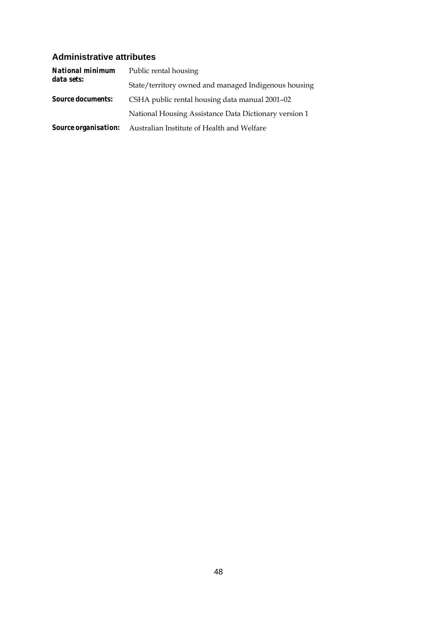#### **Administrative attributes**

| <b>National minimum</b>     | Public rental housing                                 |  |  |  |
|-----------------------------|-------------------------------------------------------|--|--|--|
| data sets:                  | State/territory owned and managed Indigenous housing  |  |  |  |
| <b>Source documents:</b>    | CSHA public rental housing data manual 2001–02        |  |  |  |
|                             | National Housing Assistance Data Dictionary version 1 |  |  |  |
| <b>Source organisation:</b> | Australian Institute of Health and Welfare            |  |  |  |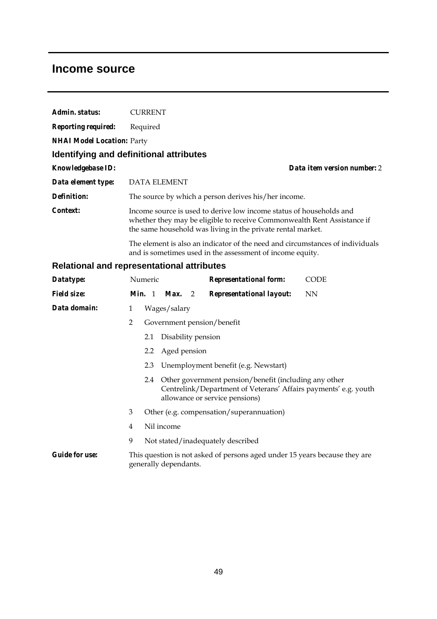#### **Income source**

| Admin. status:                    | <b>CURRENT</b>                                                                                                                                                                                                |
|-----------------------------------|---------------------------------------------------------------------------------------------------------------------------------------------------------------------------------------------------------------|
| <b>Reporting required:</b>        | Required                                                                                                                                                                                                      |
| <b>NHAI Model Location: Party</b> |                                                                                                                                                                                                               |
|                                   | Identifying and definitional attributes                                                                                                                                                                       |
| <b>Knowledgebase ID:</b>          | Data item version number: 2                                                                                                                                                                                   |
| Data element type:                | <b>DATA ELEMENT</b>                                                                                                                                                                                           |
| Definition:                       | The source by which a person derives his/her income.                                                                                                                                                          |
| Context:                          | Income source is used to derive low income status of households and<br>whether they may be eligible to receive Commonwealth Rent Assistance if<br>the same household was living in the private rental market. |
|                                   | The element is also an indicator of the need and circumstances of individuals<br>and is sometimes used in the assessment of income equity.                                                                    |

### **Relational and representational attributes**

| Datatype:             |                | Numeric                                  |                       |  | <b>Representational form:</b>                                                                                                                                  | <b>CODE</b> |  |
|-----------------------|----------------|------------------------------------------|-----------------------|--|----------------------------------------------------------------------------------------------------------------------------------------------------------------|-------------|--|
| <i>Field size:</i>    |                |                                          |                       |  | Min. 1 Max. 2 Representational layout:                                                                                                                         | NN          |  |
| Data domain:          | 1              |                                          | Wages/salary          |  |                                                                                                                                                                |             |  |
|                       | $\overline{2}$ |                                          |                       |  | Government pension/benefit                                                                                                                                     |             |  |
|                       |                | 2.1                                      | Disability pension    |  |                                                                                                                                                                |             |  |
|                       |                |                                          | 2.2 Aged pension      |  |                                                                                                                                                                |             |  |
|                       |                |                                          |                       |  | 2.3 Unemployment benefit (e.g. Newstart)                                                                                                                       |             |  |
|                       |                |                                          |                       |  | 2.4 Other government pension/benefit (including any other<br>Centrelink/Department of Veterans' Affairs payments' e.g. youth<br>allowance or service pensions) |             |  |
|                       | 3              | Other (e.g. compensation/superannuation) |                       |  |                                                                                                                                                                |             |  |
|                       | $\overline{4}$ |                                          | Nil income            |  |                                                                                                                                                                |             |  |
|                       | 9              |                                          |                       |  | Not stated/inadequately described                                                                                                                              |             |  |
| <b>Guide for use:</b> |                |                                          | generally dependants. |  | This question is not asked of persons aged under 15 years because they are                                                                                     |             |  |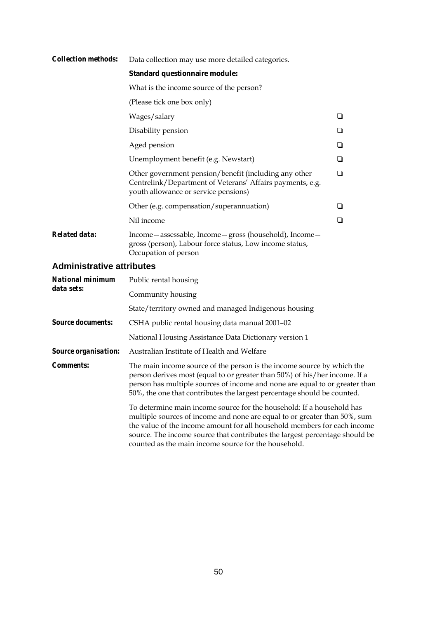| <b>Collection methods:</b> | Data collection may use more detailed categories.                                                                                                          |        |  |  |  |  |  |
|----------------------------|------------------------------------------------------------------------------------------------------------------------------------------------------------|--------|--|--|--|--|--|
|                            | Standard questionnaire module:                                                                                                                             |        |  |  |  |  |  |
|                            | What is the income source of the person?                                                                                                                   |        |  |  |  |  |  |
|                            | (Please tick one box only)                                                                                                                                 |        |  |  |  |  |  |
|                            | Wages/salary                                                                                                                                               | ❏      |  |  |  |  |  |
|                            | Disability pension                                                                                                                                         |        |  |  |  |  |  |
|                            | Aged pension                                                                                                                                               | $\Box$ |  |  |  |  |  |
|                            | Unemployment benefit (e.g. Newstart)                                                                                                                       | ❏      |  |  |  |  |  |
|                            | Other government pension/benefit (including any other<br>Centrelink/Department of Veterans' Affairs payments, e.g.<br>youth allowance or service pensions) | ❏      |  |  |  |  |  |
|                            | Other (e.g. compensation/superannuation)                                                                                                                   |        |  |  |  |  |  |
|                            | Nil income                                                                                                                                                 | ❏      |  |  |  |  |  |
| <b>Related data:</b>       | Income - assessable, Income - gross (household), Income -<br>gross (person), Labour force status, Low income status,<br>Occupation of person               |        |  |  |  |  |  |

#### **Administrative attributes**

| <b>National minimum</b>     | Public rental housing                                                                                                                                                                                                                                                                                                                                                 |  |  |  |  |
|-----------------------------|-----------------------------------------------------------------------------------------------------------------------------------------------------------------------------------------------------------------------------------------------------------------------------------------------------------------------------------------------------------------------|--|--|--|--|
| data sets:                  | Community housing                                                                                                                                                                                                                                                                                                                                                     |  |  |  |  |
|                             | State/territory owned and managed Indigenous housing                                                                                                                                                                                                                                                                                                                  |  |  |  |  |
| <b>Source documents:</b>    | CSHA public rental housing data manual 2001-02                                                                                                                                                                                                                                                                                                                        |  |  |  |  |
|                             | National Housing Assistance Data Dictionary version 1                                                                                                                                                                                                                                                                                                                 |  |  |  |  |
| <b>Source organisation:</b> | Australian Institute of Health and Welfare                                                                                                                                                                                                                                                                                                                            |  |  |  |  |
| <b>Comments:</b>            | The main income source of the person is the income source by which the<br>person derives most (equal to or greater than 50%) of his/her income. If a<br>person has multiple sources of income and none are equal to or greater than<br>50%, the one that contributes the largest percentage should be counted.                                                        |  |  |  |  |
|                             | To determine main income source for the household: If a household has<br>multiple sources of income and none are equal to or greater than 50%, sum<br>the value of the income amount for all household members for each income<br>source. The income source that contributes the largest percentage should be<br>counted as the main income source for the household. |  |  |  |  |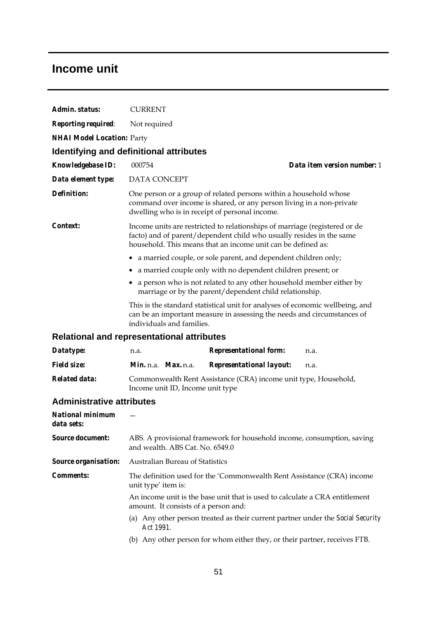### **Income unit**

| Admin. status:                        | <b>CURRENT</b>                                                                                                                      |                                                                                                                                                                                                                    |  |  |  |  |
|---------------------------------------|-------------------------------------------------------------------------------------------------------------------------------------|--------------------------------------------------------------------------------------------------------------------------------------------------------------------------------------------------------------------|--|--|--|--|
| <b>Reporting required:</b>            | Not required                                                                                                                        |                                                                                                                                                                                                                    |  |  |  |  |
| <b>NHAI Model Location: Party</b>     |                                                                                                                                     |                                                                                                                                                                                                                    |  |  |  |  |
|                                       | Identifying and definitional attributes                                                                                             |                                                                                                                                                                                                                    |  |  |  |  |
| Knowledgebase ID:                     | 000754                                                                                                                              | Data item version number: 1                                                                                                                                                                                        |  |  |  |  |
| Data element type:                    | DATA CONCEPT                                                                                                                        |                                                                                                                                                                                                                    |  |  |  |  |
| <b>Definition:</b>                    | dwelling who is in receipt of personal income.                                                                                      | One person or a group of related persons within a household whose<br>command over income is shared, or any person living in a non-private                                                                          |  |  |  |  |
| Context:                              |                                                                                                                                     | Income units are restricted to relationships of marriage (registered or de<br>facto) and of parent/dependent child who usually resides in the same<br>household. This means that an income unit can be defined as: |  |  |  |  |
|                                       | ٠                                                                                                                                   | a married couple, or sole parent, and dependent children only;                                                                                                                                                     |  |  |  |  |
|                                       | ٠                                                                                                                                   | a married couple only with no dependent children present; or                                                                                                                                                       |  |  |  |  |
|                                       | a person who is not related to any other household member either by<br>٠<br>marriage or by the parent/dependent child relationship. |                                                                                                                                                                                                                    |  |  |  |  |
|                                       | individuals and families.                                                                                                           | This is the standard statistical unit for analyses of economic wellbeing, and<br>can be an important measure in assessing the needs and circumstances of                                                           |  |  |  |  |
|                                       | <b>Relational and representational attributes</b>                                                                                   |                                                                                                                                                                                                                    |  |  |  |  |
| Datatype:                             | n.a.                                                                                                                                | <b>Representational form:</b><br>n.a.                                                                                                                                                                              |  |  |  |  |
| <b>Field size:</b>                    | <i>Min.</i> n.a. <i>Max.</i> n.a.                                                                                                   | <b>Representational layout:</b><br>n.a.                                                                                                                                                                            |  |  |  |  |
| <b>Related data:</b>                  | Income unit ID, Income unit type                                                                                                    | Commonwealth Rent Assistance (CRA) income unit type, Household,                                                                                                                                                    |  |  |  |  |
| <b>Administrative attributes</b>      |                                                                                                                                     |                                                                                                                                                                                                                    |  |  |  |  |
| <b>National minimum</b><br>data sets: |                                                                                                                                     |                                                                                                                                                                                                                    |  |  |  |  |
| <b>Source document:</b>               | ABS. A provisional framework for household income, consumption, saving<br>and wealth. ABS Cat. No. 6549.0                           |                                                                                                                                                                                                                    |  |  |  |  |
| <b>Source organisation:</b>           | Australian Bureau of Statistics                                                                                                     |                                                                                                                                                                                                                    |  |  |  |  |
| <b>Comments:</b>                      | unit type' item is:                                                                                                                 | The definition used for the 'Commonwealth Rent Assistance (CRA) income                                                                                                                                             |  |  |  |  |
|                                       | An income unit is the base unit that is used to calculate a CRA entitlement<br>amount. It consists of a person and:                 |                                                                                                                                                                                                                    |  |  |  |  |
|                                       | Act 1991.                                                                                                                           | (a) Any other person treated as their current partner under the Social Security                                                                                                                                    |  |  |  |  |
|                                       | (b) Any other person for whom either they, or their partner, receives FTB.                                                          |                                                                                                                                                                                                                    |  |  |  |  |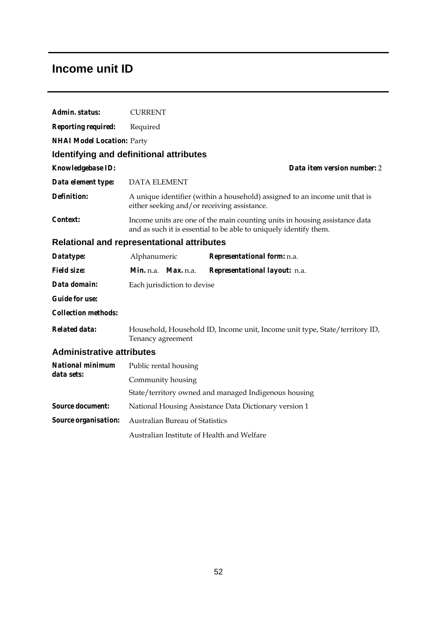### **Income unit ID**

| Admin. status:                                    | <b>CURRENT</b>                                                                                                                                  |  |                                                       |  |  |
|---------------------------------------------------|-------------------------------------------------------------------------------------------------------------------------------------------------|--|-------------------------------------------------------|--|--|
| <b>Reporting required:</b>                        | Required                                                                                                                                        |  |                                                       |  |  |
| <b>NHAI Model Location: Party</b>                 |                                                                                                                                                 |  |                                                       |  |  |
| <b>Identifying and definitional attributes</b>    |                                                                                                                                                 |  |                                                       |  |  |
| Knowledgebase ID:                                 |                                                                                                                                                 |  | Data item version number: 2                           |  |  |
| Data element type:                                | <b>DATA ELEMENT</b>                                                                                                                             |  |                                                       |  |  |
| <b>Definition:</b>                                | A unique identifier (within a household) assigned to an income unit that is<br>either seeking and/or receiving assistance.                      |  |                                                       |  |  |
| <i>Context:</i>                                   | Income units are one of the main counting units in housing assistance data<br>and as such it is essential to be able to uniquely identify them. |  |                                                       |  |  |
| <b>Relational and representational attributes</b> |                                                                                                                                                 |  |                                                       |  |  |
| Datatype:                                         | Alphanumeric                                                                                                                                    |  | Representational form: n.a.                           |  |  |
| <b>Field size:</b>                                | Min. n.a. Max. n.a.                                                                                                                             |  | Representational layout: n.a.                         |  |  |
| Data domain:                                      | Each jurisdiction to devise                                                                                                                     |  |                                                       |  |  |
| <b>Guide for use:</b>                             |                                                                                                                                                 |  |                                                       |  |  |
| <b>Collection methods:</b>                        |                                                                                                                                                 |  |                                                       |  |  |
| <b>Related data:</b>                              | Household, Household ID, Income unit, Income unit type, State/territory ID,<br>Tenancy agreement                                                |  |                                                       |  |  |
|                                                   | <b>Administrative attributes</b>                                                                                                                |  |                                                       |  |  |
| <b>National minimum</b>                           | Public rental housing                                                                                                                           |  |                                                       |  |  |
| data sets:                                        | Community housing                                                                                                                               |  |                                                       |  |  |
|                                                   |                                                                                                                                                 |  | State/territory owned and managed Indigenous housing  |  |  |
| <b>Source document:</b>                           |                                                                                                                                                 |  | National Housing Assistance Data Dictionary version 1 |  |  |
| Source organisation:                              | Australian Bureau of Statistics                                                                                                                 |  |                                                       |  |  |
|                                                   | Australian Institute of Health and Welfare                                                                                                      |  |                                                       |  |  |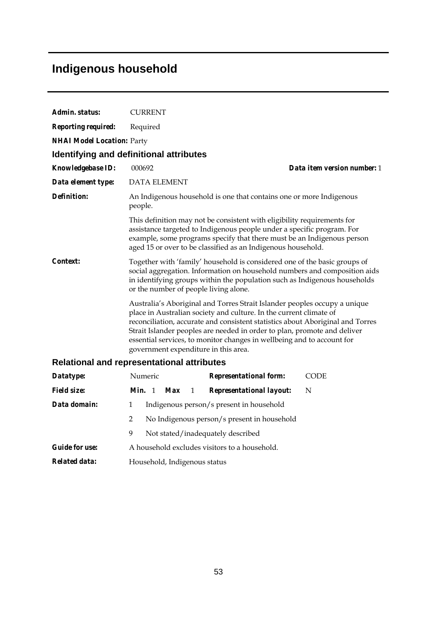# **Indigenous household**

| Admin. status:                    | <b>CURRENT</b>                                                                                                                                                                                                                                                                                                                                                                                                                  |  |  |  |  |
|-----------------------------------|---------------------------------------------------------------------------------------------------------------------------------------------------------------------------------------------------------------------------------------------------------------------------------------------------------------------------------------------------------------------------------------------------------------------------------|--|--|--|--|
| <b>Reporting required:</b>        | Required                                                                                                                                                                                                                                                                                                                                                                                                                        |  |  |  |  |
| <b>NHAI Model Location: Party</b> |                                                                                                                                                                                                                                                                                                                                                                                                                                 |  |  |  |  |
|                                   | Identifying and definitional attributes                                                                                                                                                                                                                                                                                                                                                                                         |  |  |  |  |
| Knowledgebase ID:                 | Data item version number: 1<br>000692                                                                                                                                                                                                                                                                                                                                                                                           |  |  |  |  |
| Data element type:                | <b>DATA ELEMENT</b>                                                                                                                                                                                                                                                                                                                                                                                                             |  |  |  |  |
| <b>Definition:</b>                | An Indigenous household is one that contains one or more Indigenous<br>people.                                                                                                                                                                                                                                                                                                                                                  |  |  |  |  |
|                                   | This definition may not be consistent with eligibility requirements for<br>assistance targeted to Indigenous people under a specific program. For<br>example, some programs specify that there must be an Indigenous person<br>aged 15 or over to be classified as an Indigenous household.                                                                                                                                     |  |  |  |  |
| <i>Context:</i>                   | Together with 'family' household is considered one of the basic groups of<br>social aggregation. Information on household numbers and composition aids<br>in identifying groups within the population such as Indigenous households<br>or the number of people living alone.                                                                                                                                                    |  |  |  |  |
|                                   | Australia's Aboriginal and Torres Strait Islander peoples occupy a unique<br>place in Australian society and culture. In the current climate of<br>reconciliation, accurate and consistent statistics about Aboriginal and Torres<br>Strait Islander peoples are needed in order to plan, promote and deliver<br>essential services, to monitor changes in wellbeing and to account for<br>government expenditure in this area. |  |  |  |  |
|                                   | <b>Relational and representational attributes</b>                                                                                                                                                                                                                                                                                                                                                                               |  |  |  |  |
| Datatype:                         | Numeric<br><b>Representational form:</b><br><b>CODE</b>                                                                                                                                                                                                                                                                                                                                                                         |  |  |  |  |
| <i>Field size:</i>                | Min. 1<br><b>Max</b><br>N<br>1<br><b>Representational layout:</b>                                                                                                                                                                                                                                                                                                                                                               |  |  |  |  |
| Data domain:                      | 1<br>Indigenous person/s present in household                                                                                                                                                                                                                                                                                                                                                                                   |  |  |  |  |
|                                   | $\overline{2}$<br>No Indigenous person/s present in household                                                                                                                                                                                                                                                                                                                                                                   |  |  |  |  |
|                                   | 9<br>Not stated/inadequately described                                                                                                                                                                                                                                                                                                                                                                                          |  |  |  |  |
| <b>Guide for use:</b>             | A household excludes visitors to a household.                                                                                                                                                                                                                                                                                                                                                                                   |  |  |  |  |
| <b>Related data:</b>              | Household, Indigenous status                                                                                                                                                                                                                                                                                                                                                                                                    |  |  |  |  |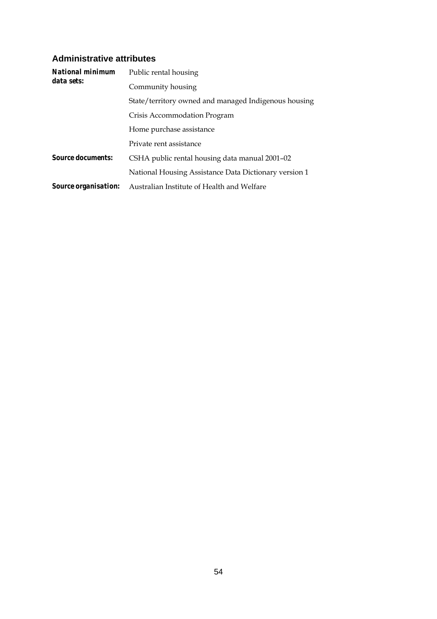#### **Administrative attributes**

| <b>National minimum</b>     | Public rental housing                                 |  |  |  |
|-----------------------------|-------------------------------------------------------|--|--|--|
| data sets:                  | Community housing                                     |  |  |  |
|                             | State/territory owned and managed Indigenous housing  |  |  |  |
|                             | Crisis Accommodation Program                          |  |  |  |
|                             | Home purchase assistance                              |  |  |  |
|                             | Private rent assistance                               |  |  |  |
| <b>Source documents:</b>    | CSHA public rental housing data manual 2001–02        |  |  |  |
|                             | National Housing Assistance Data Dictionary version 1 |  |  |  |
| <i>Source organisation:</i> | Australian Institute of Health and Welfare            |  |  |  |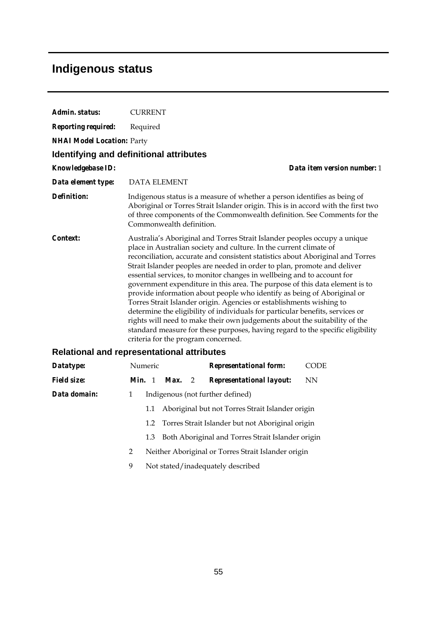## **Indigenous status**

| Admin. status:                    | <b>CURRENT</b>                                                                                                                                                                                                                                                                                                                                                                                                                                                                                                                                                                                                                                                                                                                                                                                                                                                                                                    |  |  |  |  |
|-----------------------------------|-------------------------------------------------------------------------------------------------------------------------------------------------------------------------------------------------------------------------------------------------------------------------------------------------------------------------------------------------------------------------------------------------------------------------------------------------------------------------------------------------------------------------------------------------------------------------------------------------------------------------------------------------------------------------------------------------------------------------------------------------------------------------------------------------------------------------------------------------------------------------------------------------------------------|--|--|--|--|
| <b>Reporting required:</b>        | Required                                                                                                                                                                                                                                                                                                                                                                                                                                                                                                                                                                                                                                                                                                                                                                                                                                                                                                          |  |  |  |  |
| <b>NHAI Model Location: Party</b> |                                                                                                                                                                                                                                                                                                                                                                                                                                                                                                                                                                                                                                                                                                                                                                                                                                                                                                                   |  |  |  |  |
|                                   | <b>Identifying and definitional attributes</b>                                                                                                                                                                                                                                                                                                                                                                                                                                                                                                                                                                                                                                                                                                                                                                                                                                                                    |  |  |  |  |
| <b>Knowledgebase ID:</b>          | Data item version number: 1                                                                                                                                                                                                                                                                                                                                                                                                                                                                                                                                                                                                                                                                                                                                                                                                                                                                                       |  |  |  |  |
| Data element type:                | <b>DATA ELEMENT</b>                                                                                                                                                                                                                                                                                                                                                                                                                                                                                                                                                                                                                                                                                                                                                                                                                                                                                               |  |  |  |  |
| <b>Definition:</b>                | Indigenous status is a measure of whether a person identifies as being of<br>Aboriginal or Torres Strait Islander origin. This is in accord with the first two<br>of three components of the Commonwealth definition. See Comments for the<br>Commonwealth definition.                                                                                                                                                                                                                                                                                                                                                                                                                                                                                                                                                                                                                                            |  |  |  |  |
| Context:                          | Australia's Aboriginal and Torres Strait Islander peoples occupy a unique<br>place in Australian society and culture. In the current climate of<br>reconciliation, accurate and consistent statistics about Aboriginal and Torres<br>Strait Islander peoples are needed in order to plan, promote and deliver<br>essential services, to monitor changes in wellbeing and to account for<br>government expenditure in this area. The purpose of this data element is to<br>provide information about people who identify as being of Aboriginal or<br>Torres Strait Islander origin. Agencies or establishments wishing to<br>determine the eligibility of individuals for particular benefits, services or<br>rights will need to make their own judgements about the suitability of the<br>standard measure for these purposes, having regard to the specific eligibility<br>criteria for the program concerned. |  |  |  |  |
|                                   | <b>Relational and representational attributes</b>                                                                                                                                                                                                                                                                                                                                                                                                                                                                                                                                                                                                                                                                                                                                                                                                                                                                 |  |  |  |  |
| Datatype:                         | Numeric<br><b>Representational form:</b><br><b>CODE</b>                                                                                                                                                                                                                                                                                                                                                                                                                                                                                                                                                                                                                                                                                                                                                                                                                                                           |  |  |  |  |
| <b>Field size:</b>                | Min. 1<br>Max.<br><b>Representational layout:</b><br><b>NN</b><br>2                                                                                                                                                                                                                                                                                                                                                                                                                                                                                                                                                                                                                                                                                                                                                                                                                                               |  |  |  |  |
| Data domain:                      | Indigenous (not further defined)<br>1                                                                                                                                                                                                                                                                                                                                                                                                                                                                                                                                                                                                                                                                                                                                                                                                                                                                             |  |  |  |  |
|                                   | Aboriginal but not Torres Strait Islander origin<br>1.1                                                                                                                                                                                                                                                                                                                                                                                                                                                                                                                                                                                                                                                                                                                                                                                                                                                           |  |  |  |  |
|                                   | Torres Strait Islander but not Aboriginal origin<br>1.2                                                                                                                                                                                                                                                                                                                                                                                                                                                                                                                                                                                                                                                                                                                                                                                                                                                           |  |  |  |  |

- 1.3 Both Aboriginal and Torres Strait Islander origin
- 2 Neither Aboriginal or Torres Strait Islander origin
- 9 Not stated/inadequately described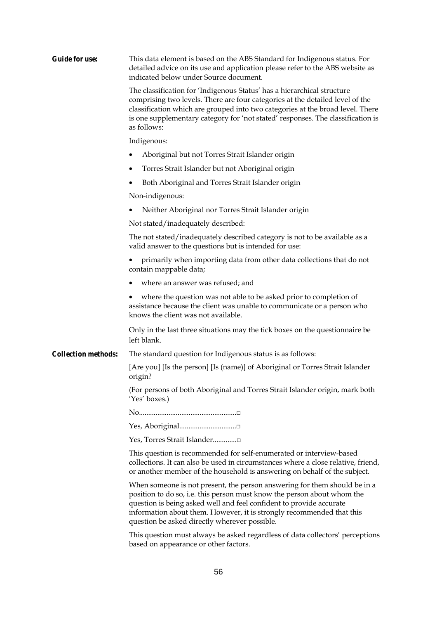| <b>Guide for use:</b>      | This data element is based on the ABS Standard for Indigenous status. For<br>detailed advice on its use and application please refer to the ABS website as<br>indicated below under Source document.                                                                                                                                                  |  |  |  |  |  |
|----------------------------|-------------------------------------------------------------------------------------------------------------------------------------------------------------------------------------------------------------------------------------------------------------------------------------------------------------------------------------------------------|--|--|--|--|--|
|                            | The classification for 'Indigenous Status' has a hierarchical structure<br>comprising two levels. There are four categories at the detailed level of the<br>classification which are grouped into two categories at the broad level. There<br>is one supplementary category for 'not stated' responses. The classification is<br>as follows:          |  |  |  |  |  |
|                            | Indigenous:                                                                                                                                                                                                                                                                                                                                           |  |  |  |  |  |
|                            | Aboriginal but not Torres Strait Islander origin                                                                                                                                                                                                                                                                                                      |  |  |  |  |  |
|                            | Torres Strait Islander but not Aboriginal origin                                                                                                                                                                                                                                                                                                      |  |  |  |  |  |
|                            | Both Aboriginal and Torres Strait Islander origin                                                                                                                                                                                                                                                                                                     |  |  |  |  |  |
|                            | Non-indigenous:                                                                                                                                                                                                                                                                                                                                       |  |  |  |  |  |
|                            | Neither Aboriginal nor Torres Strait Islander origin                                                                                                                                                                                                                                                                                                  |  |  |  |  |  |
|                            | Not stated/inadequately described:                                                                                                                                                                                                                                                                                                                    |  |  |  |  |  |
|                            | The not stated/inadequately described category is not to be available as a<br>valid answer to the questions but is intended for use:                                                                                                                                                                                                                  |  |  |  |  |  |
|                            | primarily when importing data from other data collections that do not<br>contain mappable data;                                                                                                                                                                                                                                                       |  |  |  |  |  |
|                            | where an answer was refused; and                                                                                                                                                                                                                                                                                                                      |  |  |  |  |  |
|                            | where the question was not able to be asked prior to completion of<br>assistance because the client was unable to communicate or a person who<br>knows the client was not available.                                                                                                                                                                  |  |  |  |  |  |
|                            | Only in the last three situations may the tick boxes on the questionnaire be<br>left blank.                                                                                                                                                                                                                                                           |  |  |  |  |  |
| <b>Collection methods:</b> | The standard question for Indigenous status is as follows:                                                                                                                                                                                                                                                                                            |  |  |  |  |  |
|                            | [Are you] [Is the person] [Is (name)] of Aboriginal or Torres Strait Islander<br>origin?                                                                                                                                                                                                                                                              |  |  |  |  |  |
|                            | (For persons of both Aboriginal and Torres Strait Islander origin, mark both<br>'Yes' boxes.)                                                                                                                                                                                                                                                         |  |  |  |  |  |
|                            |                                                                                                                                                                                                                                                                                                                                                       |  |  |  |  |  |
|                            |                                                                                                                                                                                                                                                                                                                                                       |  |  |  |  |  |
|                            | Yes, Torres Strait Islander                                                                                                                                                                                                                                                                                                                           |  |  |  |  |  |
|                            | This question is recommended for self-enumerated or interview-based<br>collections. It can also be used in circumstances where a close relative, friend,<br>or another member of the household is answering on behalf of the subject.                                                                                                                 |  |  |  |  |  |
|                            | When someone is not present, the person answering for them should be in a<br>position to do so, i.e. this person must know the person about whom the<br>question is being asked well and feel confident to provide accurate<br>information about them. However, it is strongly recommended that this<br>question be asked directly wherever possible. |  |  |  |  |  |
|                            | This question must always be asked regardless of data collectors' perceptions                                                                                                                                                                                                                                                                         |  |  |  |  |  |

This question must always be asked regardless of data collectors' perceptions based on appearance or other factors.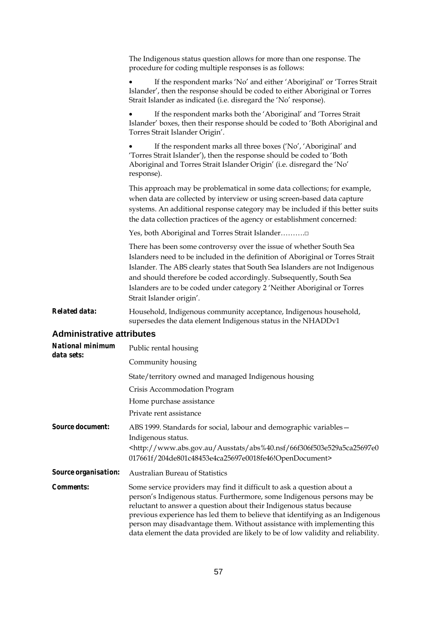|                                  | The Indigenous status question allows for more than one response. The<br>procedure for coding multiple responses is as follows:                                                                                                                                                                                                                                                                                     |  |  |  |  |  |
|----------------------------------|---------------------------------------------------------------------------------------------------------------------------------------------------------------------------------------------------------------------------------------------------------------------------------------------------------------------------------------------------------------------------------------------------------------------|--|--|--|--|--|
|                                  | If the respondent marks 'No' and either 'Aboriginal' or 'Torres Strait<br>Islander', then the response should be coded to either Aboriginal or Torres<br>Strait Islander as indicated (i.e. disregard the 'No' response).                                                                                                                                                                                           |  |  |  |  |  |
|                                  | If the respondent marks both the 'Aboriginal' and 'Torres Strait<br>Islander' boxes, then their response should be coded to 'Both Aboriginal and<br>Torres Strait Islander Origin'.                                                                                                                                                                                                                                 |  |  |  |  |  |
|                                  | If the respondent marks all three boxes ('No', 'Aboriginal' and<br>'Torres Strait Islander'), then the response should be coded to 'Both<br>Aboriginal and Torres Strait Islander Origin' (i.e. disregard the 'No'<br>response).                                                                                                                                                                                    |  |  |  |  |  |
|                                  | This approach may be problematical in some data collections; for example,<br>when data are collected by interview or using screen-based data capture<br>systems. An additional response category may be included if this better suits<br>the data collection practices of the agency or establishment concerned:                                                                                                    |  |  |  |  |  |
|                                  | Yes, both Aboriginal and Torres Strait Islander□                                                                                                                                                                                                                                                                                                                                                                    |  |  |  |  |  |
|                                  | There has been some controversy over the issue of whether South Sea<br>Islanders need to be included in the definition of Aboriginal or Torres Strait<br>Islander. The ABS clearly states that South Sea Islanders are not Indigenous<br>and should therefore be coded accordingly. Subsequently, South Sea<br>Islanders are to be coded under category 2 'Neither Aboriginal or Torres<br>Strait Islander origin'. |  |  |  |  |  |
| <b>Related data:</b>             | Household, Indigenous community acceptance, Indigenous household,<br>supersedes the data element Indigenous status in the NHADDv1                                                                                                                                                                                                                                                                                   |  |  |  |  |  |
| <b>Administrative attributes</b> |                                                                                                                                                                                                                                                                                                                                                                                                                     |  |  |  |  |  |
| <b>National minimum</b>          | Public rental housing                                                                                                                                                                                                                                                                                                                                                                                               |  |  |  |  |  |
| data sets:                       | Community housing                                                                                                                                                                                                                                                                                                                                                                                                   |  |  |  |  |  |
|                                  | State/territory owned and managed Indigenous housing                                                                                                                                                                                                                                                                                                                                                                |  |  |  |  |  |
|                                  | Crisis Accommodation Program                                                                                                                                                                                                                                                                                                                                                                                        |  |  |  |  |  |
|                                  | Home purchase assistance                                                                                                                                                                                                                                                                                                                                                                                            |  |  |  |  |  |
|                                  | Private rent assistance                                                                                                                                                                                                                                                                                                                                                                                             |  |  |  |  |  |
| <b>Source document:</b>          | ABS 1999. Standards for social, labour and demographic variables-<br>Indigenous status.                                                                                                                                                                                                                                                                                                                             |  |  |  |  |  |
|                                  | <http: 66f306f503e529a5ca25697e0<br="" abs%40.nsf="" ausstats="" www.abs.gov.au="">017661f/204de801c48453e4ca25697e0018fe46!OpenDocument&gt;</http:>                                                                                                                                                                                                                                                                |  |  |  |  |  |

*Source organisation:* Australian Bureau of Statistics

*Comments:* Some service providers may find it difficult to ask a question about a person's Indigenous status. Furthermore, some Indigenous persons may be reluctant to answer a question about their Indigenous status because previous experience has led them to believe that identifying as an Indigenous person may disadvantage them. Without assistance with implementing this data element the data provided are likely to be of low validity and reliability.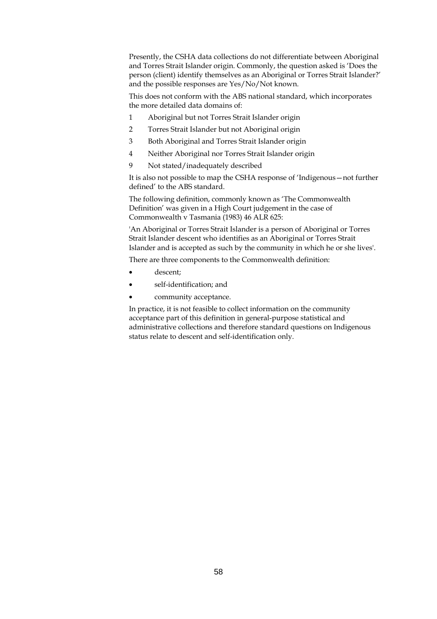Presently, the CSHA data collections do not differentiate between Aboriginal and Torres Strait Islander origin. Commonly, the question asked is 'Does the person (client) identify themselves as an Aboriginal or Torres Strait Islander?' and the possible responses are Yes/No/Not known.

This does not conform with the ABS national standard, which incorporates the more detailed data domains of:

- 1 Aboriginal but not Torres Strait Islander origin
- 2 Torres Strait Islander but not Aboriginal origin
- 3 Both Aboriginal and Torres Strait Islander origin
- 4 Neither Aboriginal nor Torres Strait Islander origin
- 9 Not stated/inadequately described

It is also not possible to map the CSHA response of 'Indigenous—not further defined' to the ABS standard.

The following definition, commonly known as 'The Commonwealth Definition' was given in a High Court judgement in the case of Commonwealth v Tasmania (1983) 46 ALR 625:

'An Aboriginal or Torres Strait Islander is a person of Aboriginal or Torres Strait Islander descent who identifies as an Aboriginal or Torres Strait Islander and is accepted as such by the community in which he or she lives'.

There are three components to the Commonwealth definition:

- descent:
- self-identification; and
- community acceptance.

In practice, it is not feasible to collect information on the community acceptance part of this definition in general-purpose statistical and administrative collections and therefore standard questions on Indigenous status relate to descent and self-identification only.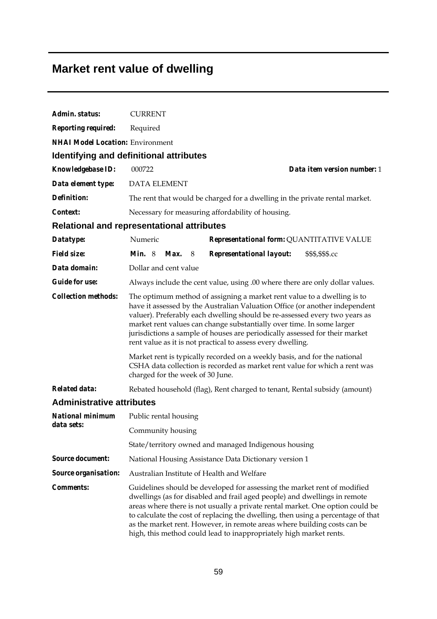## **Market rent value of dwelling**

| Admin. status:                                    | <b>CURRENT</b>                                                                                                                                                                                                                                                                                                                                                                                                                                                                                                                                                                                                         |      |   |                                                                              |                             |
|---------------------------------------------------|------------------------------------------------------------------------------------------------------------------------------------------------------------------------------------------------------------------------------------------------------------------------------------------------------------------------------------------------------------------------------------------------------------------------------------------------------------------------------------------------------------------------------------------------------------------------------------------------------------------------|------|---|------------------------------------------------------------------------------|-----------------------------|
| <b>Reporting required:</b>                        | Required                                                                                                                                                                                                                                                                                                                                                                                                                                                                                                                                                                                                               |      |   |                                                                              |                             |
| <b>NHAI Model Location: Environment</b>           |                                                                                                                                                                                                                                                                                                                                                                                                                                                                                                                                                                                                                        |      |   |                                                                              |                             |
| <b>Identifying and definitional attributes</b>    |                                                                                                                                                                                                                                                                                                                                                                                                                                                                                                                                                                                                                        |      |   |                                                                              |                             |
| Knowledgebase ID:                                 | 000722                                                                                                                                                                                                                                                                                                                                                                                                                                                                                                                                                                                                                 |      |   |                                                                              | Data item version number: 1 |
| Data element type:                                | <b>DATA ELEMENT</b>                                                                                                                                                                                                                                                                                                                                                                                                                                                                                                                                                                                                    |      |   |                                                                              |                             |
| <b>Definition:</b>                                |                                                                                                                                                                                                                                                                                                                                                                                                                                                                                                                                                                                                                        |      |   | The rent that would be charged for a dwelling in the private rental market.  |                             |
| Context:                                          |                                                                                                                                                                                                                                                                                                                                                                                                                                                                                                                                                                                                                        |      |   | Necessary for measuring affordability of housing.                            |                             |
| <b>Relational and representational attributes</b> |                                                                                                                                                                                                                                                                                                                                                                                                                                                                                                                                                                                                                        |      |   |                                                                              |                             |
| Datatype:                                         | Numeric                                                                                                                                                                                                                                                                                                                                                                                                                                                                                                                                                                                                                |      |   | Representational form: QUANTITATIVE VALUE                                    |                             |
| <b>Field size:</b>                                | Min. 8                                                                                                                                                                                                                                                                                                                                                                                                                                                                                                                                                                                                                 | Max. | 8 | <b>Representational layout:</b>                                              | \$\$\$,\$\$\$.cc            |
| Data domain:                                      | Dollar and cent value                                                                                                                                                                                                                                                                                                                                                                                                                                                                                                                                                                                                  |      |   |                                                                              |                             |
| <b>Guide for use:</b>                             |                                                                                                                                                                                                                                                                                                                                                                                                                                                                                                                                                                                                                        |      |   | Always include the cent value, using .00 where there are only dollar values. |                             |
| <b>Collection methods:</b>                        | The optimum method of assigning a market rent value to a dwelling is to<br>have it assessed by the Australian Valuation Office (or another independent<br>valuer). Preferably each dwelling should be re-assessed every two years as<br>market rent values can change substantially over time. In some larger<br>jurisdictions a sample of houses are periodically assessed for their market<br>rent value as it is not practical to assess every dwelling.<br>Market rent is typically recorded on a weekly basis, and for the national<br>CSHA data collection is recorded as market rent value for which a rent was |      |   |                                                                              |                             |
|                                                   | charged for the week of 30 June.                                                                                                                                                                                                                                                                                                                                                                                                                                                                                                                                                                                       |      |   |                                                                              |                             |
| <b>Related data:</b>                              | Rebated household (flag), Rent charged to tenant, Rental subsidy (amount)                                                                                                                                                                                                                                                                                                                                                                                                                                                                                                                                              |      |   |                                                                              |                             |
| <b>Administrative attributes</b>                  |                                                                                                                                                                                                                                                                                                                                                                                                                                                                                                                                                                                                                        |      |   |                                                                              |                             |
| <b>National minimum</b><br>data sets:             | Public rental housing                                                                                                                                                                                                                                                                                                                                                                                                                                                                                                                                                                                                  |      |   |                                                                              |                             |
|                                                   | Community housing                                                                                                                                                                                                                                                                                                                                                                                                                                                                                                                                                                                                      |      |   |                                                                              |                             |
|                                                   | State/territory owned and managed Indigenous housing                                                                                                                                                                                                                                                                                                                                                                                                                                                                                                                                                                   |      |   |                                                                              |                             |
| <b>Source document:</b>                           | National Housing Assistance Data Dictionary version 1                                                                                                                                                                                                                                                                                                                                                                                                                                                                                                                                                                  |      |   |                                                                              |                             |
| Source organisation:                              |                                                                                                                                                                                                                                                                                                                                                                                                                                                                                                                                                                                                                        |      |   | Australian Institute of Health and Welfare                                   |                             |
| <b>Comments:</b>                                  | Guidelines should be developed for assessing the market rent of modified<br>dwellings (as for disabled and frail aged people) and dwellings in remote<br>areas where there is not usually a private rental market. One option could be<br>to calculate the cost of replacing the dwelling, then using a percentage of that<br>as the market rent. However, in remote areas where building costs can be<br>high, this method could lead to inappropriately high market rents.                                                                                                                                           |      |   |                                                                              |                             |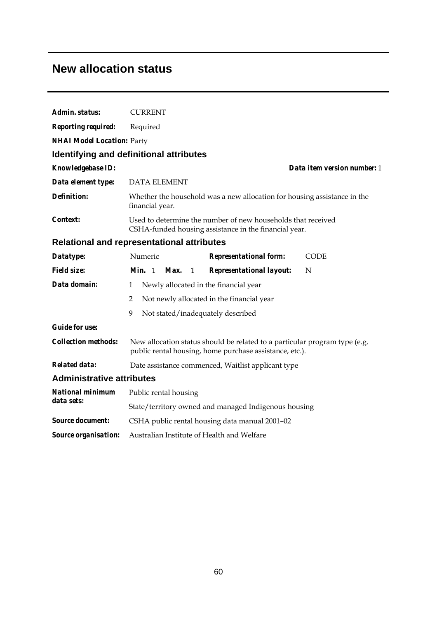### **New allocation status**

| <b>Reporting required:</b><br>Required<br><b>NHAI Model Location: Party</b><br><b>Identifying and definitional attributes</b><br>Knowledgebase ID:<br>Data item version number: 1<br>Data element type:<br><b>DATA ELEMENT</b><br><b>Definition:</b><br>Whether the household was a new allocation for housing assistance in the<br>financial year.<br>Context:<br>Used to determine the number of new households that received<br>CSHA-funded housing assistance in the financial year.<br><b>Relational and representational attributes</b><br>Numeric<br>Datatype:<br><b>Representational form:</b><br><b>CODE</b><br><b>Field size:</b><br><i>Min.</i> $1$<br><b>Representational layout:</b><br>N<br>Max.<br>1<br>Data domain:<br>Newly allocated in the financial year<br>$\mathbf{1}$<br>$\overline{2}$<br>Not newly allocated in the financial year<br>9<br>Not stated/inadequately described<br><b>Guide for use:</b><br><b>Collection methods:</b><br>New allocation status should be related to a particular program type (e.g.<br>public rental housing, home purchase assistance, etc.).<br><b>Related data:</b><br>Date assistance commenced, Waitlist applicant type<br><b>Administrative attributes</b><br><b>National minimum</b><br>Public rental housing<br>data sets:<br>State/territory owned and managed Indigenous housing<br><b>Source document:</b><br>CSHA public rental housing data manual 2001-02<br>Australian Institute of Health and Welfare<br>Source organisation: | Admin. status: | <b>CURRENT</b> |  |  |  |  |
|------------------------------------------------------------------------------------------------------------------------------------------------------------------------------------------------------------------------------------------------------------------------------------------------------------------------------------------------------------------------------------------------------------------------------------------------------------------------------------------------------------------------------------------------------------------------------------------------------------------------------------------------------------------------------------------------------------------------------------------------------------------------------------------------------------------------------------------------------------------------------------------------------------------------------------------------------------------------------------------------------------------------------------------------------------------------------------------------------------------------------------------------------------------------------------------------------------------------------------------------------------------------------------------------------------------------------------------------------------------------------------------------------------------------------------------------------------------------------------------------------|----------------|----------------|--|--|--|--|
|                                                                                                                                                                                                                                                                                                                                                                                                                                                                                                                                                                                                                                                                                                                                                                                                                                                                                                                                                                                                                                                                                                                                                                                                                                                                                                                                                                                                                                                                                                      |                |                |  |  |  |  |
|                                                                                                                                                                                                                                                                                                                                                                                                                                                                                                                                                                                                                                                                                                                                                                                                                                                                                                                                                                                                                                                                                                                                                                                                                                                                                                                                                                                                                                                                                                      |                |                |  |  |  |  |
|                                                                                                                                                                                                                                                                                                                                                                                                                                                                                                                                                                                                                                                                                                                                                                                                                                                                                                                                                                                                                                                                                                                                                                                                                                                                                                                                                                                                                                                                                                      |                |                |  |  |  |  |
|                                                                                                                                                                                                                                                                                                                                                                                                                                                                                                                                                                                                                                                                                                                                                                                                                                                                                                                                                                                                                                                                                                                                                                                                                                                                                                                                                                                                                                                                                                      |                |                |  |  |  |  |
|                                                                                                                                                                                                                                                                                                                                                                                                                                                                                                                                                                                                                                                                                                                                                                                                                                                                                                                                                                                                                                                                                                                                                                                                                                                                                                                                                                                                                                                                                                      |                |                |  |  |  |  |
|                                                                                                                                                                                                                                                                                                                                                                                                                                                                                                                                                                                                                                                                                                                                                                                                                                                                                                                                                                                                                                                                                                                                                                                                                                                                                                                                                                                                                                                                                                      |                |                |  |  |  |  |
|                                                                                                                                                                                                                                                                                                                                                                                                                                                                                                                                                                                                                                                                                                                                                                                                                                                                                                                                                                                                                                                                                                                                                                                                                                                                                                                                                                                                                                                                                                      |                |                |  |  |  |  |
|                                                                                                                                                                                                                                                                                                                                                                                                                                                                                                                                                                                                                                                                                                                                                                                                                                                                                                                                                                                                                                                                                                                                                                                                                                                                                                                                                                                                                                                                                                      |                |                |  |  |  |  |
|                                                                                                                                                                                                                                                                                                                                                                                                                                                                                                                                                                                                                                                                                                                                                                                                                                                                                                                                                                                                                                                                                                                                                                                                                                                                                                                                                                                                                                                                                                      |                |                |  |  |  |  |
|                                                                                                                                                                                                                                                                                                                                                                                                                                                                                                                                                                                                                                                                                                                                                                                                                                                                                                                                                                                                                                                                                                                                                                                                                                                                                                                                                                                                                                                                                                      |                |                |  |  |  |  |
|                                                                                                                                                                                                                                                                                                                                                                                                                                                                                                                                                                                                                                                                                                                                                                                                                                                                                                                                                                                                                                                                                                                                                                                                                                                                                                                                                                                                                                                                                                      |                |                |  |  |  |  |
|                                                                                                                                                                                                                                                                                                                                                                                                                                                                                                                                                                                                                                                                                                                                                                                                                                                                                                                                                                                                                                                                                                                                                                                                                                                                                                                                                                                                                                                                                                      |                |                |  |  |  |  |
|                                                                                                                                                                                                                                                                                                                                                                                                                                                                                                                                                                                                                                                                                                                                                                                                                                                                                                                                                                                                                                                                                                                                                                                                                                                                                                                                                                                                                                                                                                      |                |                |  |  |  |  |
|                                                                                                                                                                                                                                                                                                                                                                                                                                                                                                                                                                                                                                                                                                                                                                                                                                                                                                                                                                                                                                                                                                                                                                                                                                                                                                                                                                                                                                                                                                      |                |                |  |  |  |  |
|                                                                                                                                                                                                                                                                                                                                                                                                                                                                                                                                                                                                                                                                                                                                                                                                                                                                                                                                                                                                                                                                                                                                                                                                                                                                                                                                                                                                                                                                                                      |                |                |  |  |  |  |
|                                                                                                                                                                                                                                                                                                                                                                                                                                                                                                                                                                                                                                                                                                                                                                                                                                                                                                                                                                                                                                                                                                                                                                                                                                                                                                                                                                                                                                                                                                      |                |                |  |  |  |  |
|                                                                                                                                                                                                                                                                                                                                                                                                                                                                                                                                                                                                                                                                                                                                                                                                                                                                                                                                                                                                                                                                                                                                                                                                                                                                                                                                                                                                                                                                                                      |                |                |  |  |  |  |
|                                                                                                                                                                                                                                                                                                                                                                                                                                                                                                                                                                                                                                                                                                                                                                                                                                                                                                                                                                                                                                                                                                                                                                                                                                                                                                                                                                                                                                                                                                      |                |                |  |  |  |  |
|                                                                                                                                                                                                                                                                                                                                                                                                                                                                                                                                                                                                                                                                                                                                                                                                                                                                                                                                                                                                                                                                                                                                                                                                                                                                                                                                                                                                                                                                                                      |                |                |  |  |  |  |
|                                                                                                                                                                                                                                                                                                                                                                                                                                                                                                                                                                                                                                                                                                                                                                                                                                                                                                                                                                                                                                                                                                                                                                                                                                                                                                                                                                                                                                                                                                      |                |                |  |  |  |  |
|                                                                                                                                                                                                                                                                                                                                                                                                                                                                                                                                                                                                                                                                                                                                                                                                                                                                                                                                                                                                                                                                                                                                                                                                                                                                                                                                                                                                                                                                                                      |                |                |  |  |  |  |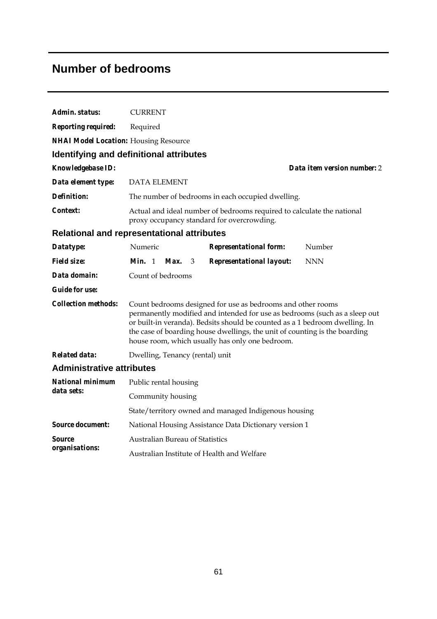## **Number of bedrooms**

| Admin. status:                                    | <b>CURRENT</b>                                                                                                                                                                                                                                                                                                                                            |    |                                                                                                                      |  |            |
|---------------------------------------------------|-----------------------------------------------------------------------------------------------------------------------------------------------------------------------------------------------------------------------------------------------------------------------------------------------------------------------------------------------------------|----|----------------------------------------------------------------------------------------------------------------------|--|------------|
| <b>Reporting required:</b>                        | Required                                                                                                                                                                                                                                                                                                                                                  |    |                                                                                                                      |  |            |
| <b>NHAI Model Location:</b> Housing Resource      |                                                                                                                                                                                                                                                                                                                                                           |    |                                                                                                                      |  |            |
| Identifying and definitional attributes           |                                                                                                                                                                                                                                                                                                                                                           |    |                                                                                                                      |  |            |
| <b>Knowledgebase ID:</b>                          | Data item version number: 2                                                                                                                                                                                                                                                                                                                               |    |                                                                                                                      |  |            |
| Data element type:                                | <b>DATA ELEMENT</b>                                                                                                                                                                                                                                                                                                                                       |    |                                                                                                                      |  |            |
| <b>Definition:</b>                                |                                                                                                                                                                                                                                                                                                                                                           |    | The number of bedrooms in each occupied dwelling.                                                                    |  |            |
| Context:                                          |                                                                                                                                                                                                                                                                                                                                                           |    | Actual and ideal number of bedrooms required to calculate the national<br>proxy occupancy standard for overcrowding. |  |            |
| <b>Relational and representational attributes</b> |                                                                                                                                                                                                                                                                                                                                                           |    |                                                                                                                      |  |            |
| Datatype:                                         | Numeric                                                                                                                                                                                                                                                                                                                                                   |    | <b>Representational form:</b>                                                                                        |  | Number     |
| <b>Field size:</b>                                | Min. $1$ Max.                                                                                                                                                                                                                                                                                                                                             | -3 | <b>Representational layout:</b>                                                                                      |  | <b>NNN</b> |
| Data domain:                                      | Count of bedrooms                                                                                                                                                                                                                                                                                                                                         |    |                                                                                                                      |  |            |
| <b>Guide for use:</b>                             |                                                                                                                                                                                                                                                                                                                                                           |    |                                                                                                                      |  |            |
| <b>Collection methods:</b>                        | Count bedrooms designed for use as bedrooms and other rooms<br>permanently modified and intended for use as bedrooms (such as a sleep out<br>or built-in veranda). Bedsits should be counted as a 1 bedroom dwelling. In<br>the case of boarding house dwellings, the unit of counting is the boarding<br>house room, which usually has only one bedroom. |    |                                                                                                                      |  |            |
| <b>Related data:</b>                              | Dwelling, Tenancy (rental) unit                                                                                                                                                                                                                                                                                                                           |    |                                                                                                                      |  |            |
| <b>Administrative attributes</b>                  |                                                                                                                                                                                                                                                                                                                                                           |    |                                                                                                                      |  |            |
| <b>National minimum</b>                           | Public rental housing                                                                                                                                                                                                                                                                                                                                     |    |                                                                                                                      |  |            |
| data sets:                                        | Community housing                                                                                                                                                                                                                                                                                                                                         |    |                                                                                                                      |  |            |
|                                                   | State/territory owned and managed Indigenous housing                                                                                                                                                                                                                                                                                                      |    |                                                                                                                      |  |            |
| <b>Source document:</b>                           |                                                                                                                                                                                                                                                                                                                                                           |    | National Housing Assistance Data Dictionary version 1                                                                |  |            |
| Source                                            | <b>Australian Bureau of Statistics</b>                                                                                                                                                                                                                                                                                                                    |    |                                                                                                                      |  |            |
| organisations:                                    |                                                                                                                                                                                                                                                                                                                                                           |    | Australian Institute of Health and Welfare                                                                           |  |            |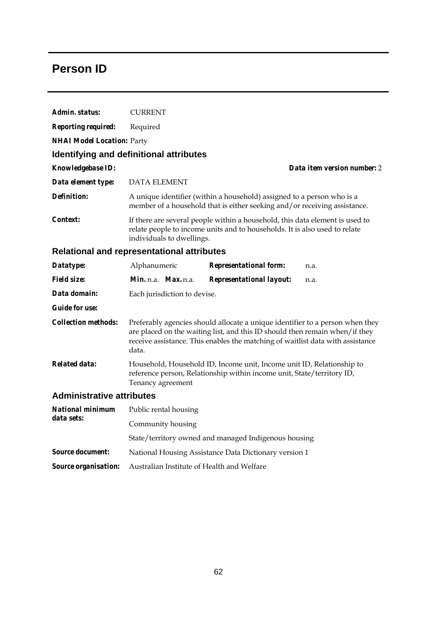## **Person ID**

| Admin. status:                    | <b>CURRENT</b>                                                                                                                                                                                                                                           |                                                                                                                                                     |                             |  |  |
|-----------------------------------|----------------------------------------------------------------------------------------------------------------------------------------------------------------------------------------------------------------------------------------------------------|-----------------------------------------------------------------------------------------------------------------------------------------------------|-----------------------------|--|--|
| <b>Reporting required:</b>        | Required                                                                                                                                                                                                                                                 |                                                                                                                                                     |                             |  |  |
| <b>NHAI Model Location: Party</b> |                                                                                                                                                                                                                                                          |                                                                                                                                                     |                             |  |  |
|                                   | <b>Identifying and definitional attributes</b>                                                                                                                                                                                                           |                                                                                                                                                     |                             |  |  |
| <b>Knowledgebase ID:</b>          |                                                                                                                                                                                                                                                          |                                                                                                                                                     | Data item version number: 2 |  |  |
| Data element type:                | <b>DATA ELEMENT</b>                                                                                                                                                                                                                                      |                                                                                                                                                     |                             |  |  |
| <b>Definition:</b>                |                                                                                                                                                                                                                                                          | A unique identifier (within a household) assigned to a person who is a<br>member of a household that is either seeking and/or receiving assistance. |                             |  |  |
| <i>Context:</i>                   | If there are several people within a household, this data element is used to<br>relate people to income units and to households. It is also used to relate<br>individuals to dwellings.                                                                  |                                                                                                                                                     |                             |  |  |
|                                   | <b>Relational and representational attributes</b>                                                                                                                                                                                                        |                                                                                                                                                     |                             |  |  |
| Datatype:                         | Alphanumeric                                                                                                                                                                                                                                             | <b>Representational form:</b>                                                                                                                       | n.a.                        |  |  |
| <b>Field size:</b>                | Min. n.a. Max. n.a.                                                                                                                                                                                                                                      | <b>Representational layout:</b>                                                                                                                     | n.a.                        |  |  |
| Data domain:                      | Each jurisdiction to devise.                                                                                                                                                                                                                             |                                                                                                                                                     |                             |  |  |
| <b>Guide for use:</b>             |                                                                                                                                                                                                                                                          |                                                                                                                                                     |                             |  |  |
| <b>Collection methods:</b>        | Preferably agencies should allocate a unique identifier to a person when they<br>are placed on the waiting list, and this ID should then remain when/ if they<br>receive assistance. This enables the matching of waitlist data with assistance<br>data. |                                                                                                                                                     |                             |  |  |
| <b>Related data:</b>              | Household, Household ID, Income unit, Income unit ID, Relationship to<br>reference person, Relationship within income unit, State/territory ID,<br>Tenancy agreement                                                                                     |                                                                                                                                                     |                             |  |  |
| <b>Administrative attributes</b>  |                                                                                                                                                                                                                                                          |                                                                                                                                                     |                             |  |  |
| <b>National minimum</b>           | Public rental housing                                                                                                                                                                                                                                    |                                                                                                                                                     |                             |  |  |
| data sets:                        | Community housing                                                                                                                                                                                                                                        |                                                                                                                                                     |                             |  |  |
|                                   | State/territory owned and managed Indigenous housing                                                                                                                                                                                                     |                                                                                                                                                     |                             |  |  |
| <b>Source document:</b>           | National Housing Assistance Data Dictionary version 1                                                                                                                                                                                                    |                                                                                                                                                     |                             |  |  |
| Source organisation:              | Australian Institute of Health and Welfare                                                                                                                                                                                                               |                                                                                                                                                     |                             |  |  |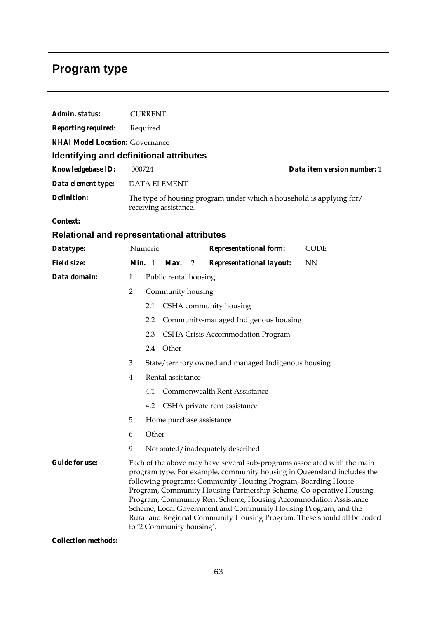## **Program type**

| Admin. status:                                    |                                                                                               | <b>CURRENT</b>                                                                                                                                                                                                                                                                                                                                                                                                                                                                                                                             |                                     |   |                                   |             |  |
|---------------------------------------------------|-----------------------------------------------------------------------------------------------|--------------------------------------------------------------------------------------------------------------------------------------------------------------------------------------------------------------------------------------------------------------------------------------------------------------------------------------------------------------------------------------------------------------------------------------------------------------------------------------------------------------------------------------------|-------------------------------------|---|-----------------------------------|-------------|--|
| <b>Reporting required:</b>                        | Required                                                                                      |                                                                                                                                                                                                                                                                                                                                                                                                                                                                                                                                            |                                     |   |                                   |             |  |
| <b>NHAI Model Location: Governance</b>            |                                                                                               |                                                                                                                                                                                                                                                                                                                                                                                                                                                                                                                                            |                                     |   |                                   |             |  |
| Identifying and definitional attributes           |                                                                                               |                                                                                                                                                                                                                                                                                                                                                                                                                                                                                                                                            |                                     |   |                                   |             |  |
| Knowledgebase ID:                                 | 000724<br>Data item version number: 1                                                         |                                                                                                                                                                                                                                                                                                                                                                                                                                                                                                                                            |                                     |   |                                   |             |  |
| Data element type:                                |                                                                                               |                                                                                                                                                                                                                                                                                                                                                                                                                                                                                                                                            | <b>DATA ELEMENT</b>                 |   |                                   |             |  |
| <b>Definition:</b>                                | The type of housing program under which a household is applying for/<br>receiving assistance. |                                                                                                                                                                                                                                                                                                                                                                                                                                                                                                                                            |                                     |   |                                   |             |  |
| Context:                                          |                                                                                               |                                                                                                                                                                                                                                                                                                                                                                                                                                                                                                                                            |                                     |   |                                   |             |  |
| <b>Relational and representational attributes</b> |                                                                                               |                                                                                                                                                                                                                                                                                                                                                                                                                                                                                                                                            |                                     |   |                                   |             |  |
| Datatype:                                         |                                                                                               | Numeric                                                                                                                                                                                                                                                                                                                                                                                                                                                                                                                                    |                                     |   | <b>Representational form:</b>     | <b>CODE</b> |  |
| <b>Field size:</b>                                | <i>Min.</i> 1                                                                                 |                                                                                                                                                                                                                                                                                                                                                                                                                                                                                                                                            | Max.                                | 2 | Representational layout:          | <b>NN</b>   |  |
| Data domain:                                      | $\mathbf{1}$                                                                                  |                                                                                                                                                                                                                                                                                                                                                                                                                                                                                                                                            | Public rental housing               |   |                                   |             |  |
|                                                   | $\overline{2}$                                                                                |                                                                                                                                                                                                                                                                                                                                                                                                                                                                                                                                            | Community housing                   |   |                                   |             |  |
|                                                   |                                                                                               | 2.1                                                                                                                                                                                                                                                                                                                                                                                                                                                                                                                                        |                                     |   | CSHA community housing            |             |  |
|                                                   |                                                                                               | Community-managed Indigenous housing<br>2.2                                                                                                                                                                                                                                                                                                                                                                                                                                                                                                |                                     |   |                                   |             |  |
|                                                   |                                                                                               | 2.3                                                                                                                                                                                                                                                                                                                                                                                                                                                                                                                                        |                                     |   | CSHA Crisis Accommodation Program |             |  |
|                                                   |                                                                                               | Other<br>2.4                                                                                                                                                                                                                                                                                                                                                                                                                                                                                                                               |                                     |   |                                   |             |  |
|                                                   | 3                                                                                             | State/territory owned and managed Indigenous housing                                                                                                                                                                                                                                                                                                                                                                                                                                                                                       |                                     |   |                                   |             |  |
|                                                   | 4                                                                                             | Rental assistance                                                                                                                                                                                                                                                                                                                                                                                                                                                                                                                          |                                     |   |                                   |             |  |
|                                                   |                                                                                               | 4.1                                                                                                                                                                                                                                                                                                                                                                                                                                                                                                                                        | <b>Commonwealth Rent Assistance</b> |   |                                   |             |  |
|                                                   |                                                                                               | 4.2                                                                                                                                                                                                                                                                                                                                                                                                                                                                                                                                        |                                     |   | CSHA private rent assistance      |             |  |
|                                                   | 5                                                                                             |                                                                                                                                                                                                                                                                                                                                                                                                                                                                                                                                            | Home purchase assistance            |   |                                   |             |  |
|                                                   | 6                                                                                             |                                                                                                                                                                                                                                                                                                                                                                                                                                                                                                                                            | Other                               |   |                                   |             |  |
|                                                   | 9                                                                                             |                                                                                                                                                                                                                                                                                                                                                                                                                                                                                                                                            |                                     |   | Not stated/inadequately described |             |  |
| <b>Guide for use:</b>                             |                                                                                               | Each of the above may have several sub-programs associated with the main<br>program type. For example, community housing in Queensland includes the<br>following programs: Community Housing Program, Boarding House<br>Program, Community Housing Partnership Scheme, Co-operative Housing<br>Program, Community Rent Scheme, Housing Accommodation Assistance<br>Scheme, Local Government and Community Housing Program, and the<br>Rural and Regional Community Housing Program. These should all be coded<br>to '2 Community housing'. |                                     |   |                                   |             |  |

*Collection methods:*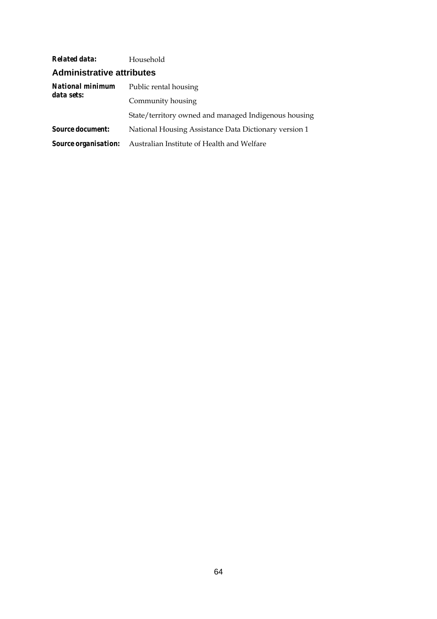| <b>Related data:</b>             | Household                                             |  |
|----------------------------------|-------------------------------------------------------|--|
| <b>Administrative attributes</b> |                                                       |  |
| National minimum<br>data sets:   | Public rental housing                                 |  |
|                                  | Community housing                                     |  |
|                                  | State/territory owned and managed Indigenous housing  |  |
| <b>Source document:</b>          | National Housing Assistance Data Dictionary version 1 |  |
| <b>Source organisation:</b>      | Australian Institute of Health and Welfare            |  |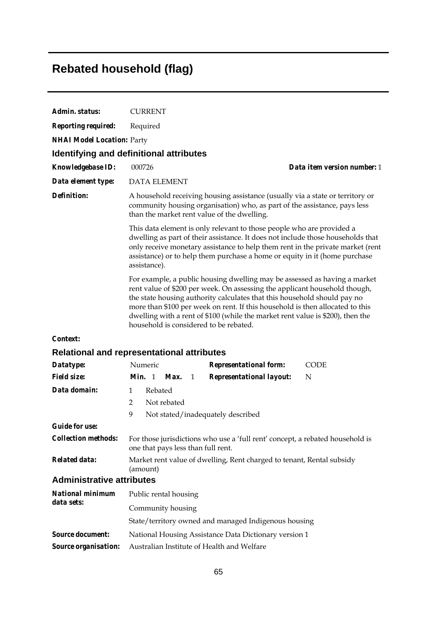# **Rebated household (flag)**

| Admin. status:                        | <b>CURRENT</b>                                                                                                                                                                                                                                                                                                                                                                                                                                   |  |
|---------------------------------------|--------------------------------------------------------------------------------------------------------------------------------------------------------------------------------------------------------------------------------------------------------------------------------------------------------------------------------------------------------------------------------------------------------------------------------------------------|--|
| <b>Reporting required:</b>            | Required                                                                                                                                                                                                                                                                                                                                                                                                                                         |  |
| <b>NHAI Model Location: Party</b>     |                                                                                                                                                                                                                                                                                                                                                                                                                                                  |  |
|                                       | Identifying and definitional attributes                                                                                                                                                                                                                                                                                                                                                                                                          |  |
| <b>Knowledgebase ID:</b>              | Data item version number: 1<br>000726                                                                                                                                                                                                                                                                                                                                                                                                            |  |
| Data element type:                    | <b>DATA ELEMENT</b>                                                                                                                                                                                                                                                                                                                                                                                                                              |  |
| <b>Definition:</b>                    | A household receiving housing assistance (usually via a state or territory or<br>community housing organisation) who, as part of the assistance, pays less<br>than the market rent value of the dwelling.                                                                                                                                                                                                                                        |  |
|                                       | This data element is only relevant to those people who are provided a<br>dwelling as part of their assistance. It does not include those households that<br>only receive monetary assistance to help them rent in the private market (rent<br>assistance) or to help them purchase a home or equity in it (home purchase<br>assistance).                                                                                                         |  |
|                                       | For example, a public housing dwelling may be assessed as having a market<br>rent value of \$200 per week. On assessing the applicant household though,<br>the state housing authority calculates that this household should pay no<br>more than \$100 per week on rent. If this household is then allocated to this<br>dwelling with a rent of \$100 (while the market rent value is \$200), then the<br>household is considered to be rebated. |  |
| Context:                              |                                                                                                                                                                                                                                                                                                                                                                                                                                                  |  |
|                                       | <b>Relational and representational attributes</b>                                                                                                                                                                                                                                                                                                                                                                                                |  |
| Datatype:                             | Numeric<br><b>Representational form:</b><br><b>CODE</b>                                                                                                                                                                                                                                                                                                                                                                                          |  |
| <b>Field size:</b>                    | <b>Representational layout:</b><br><b>Min.</b> 1<br>Max.<br>N<br>1                                                                                                                                                                                                                                                                                                                                                                               |  |
| Data domain:                          | Rebated<br>$\mathbf{1}$                                                                                                                                                                                                                                                                                                                                                                                                                          |  |
|                                       | Not rebated<br>$\overline{2}$                                                                                                                                                                                                                                                                                                                                                                                                                    |  |
|                                       | 9<br>Not stated/inadequately described                                                                                                                                                                                                                                                                                                                                                                                                           |  |
| <b>Guide for use:</b>                 |                                                                                                                                                                                                                                                                                                                                                                                                                                                  |  |
| <b>Collection methods:</b>            | For those jurisdictions who use a 'full rent' concept, a rebated household is<br>one that pays less than full rent.                                                                                                                                                                                                                                                                                                                              |  |
| <b>Related data:</b>                  | Market rent value of dwelling, Rent charged to tenant, Rental subsidy<br>(amount)                                                                                                                                                                                                                                                                                                                                                                |  |
| <b>Administrative attributes</b>      |                                                                                                                                                                                                                                                                                                                                                                                                                                                  |  |
| <b>National minimum</b><br>data sets: | Public rental housing                                                                                                                                                                                                                                                                                                                                                                                                                            |  |
|                                       | Community housing                                                                                                                                                                                                                                                                                                                                                                                                                                |  |
|                                       | State/territory owned and managed Indigenous housing                                                                                                                                                                                                                                                                                                                                                                                             |  |
| <b>Source document:</b>               | National Housing Assistance Data Dictionary version 1                                                                                                                                                                                                                                                                                                                                                                                            |  |
| Source organisation:                  | Australian Institute of Health and Welfare                                                                                                                                                                                                                                                                                                                                                                                                       |  |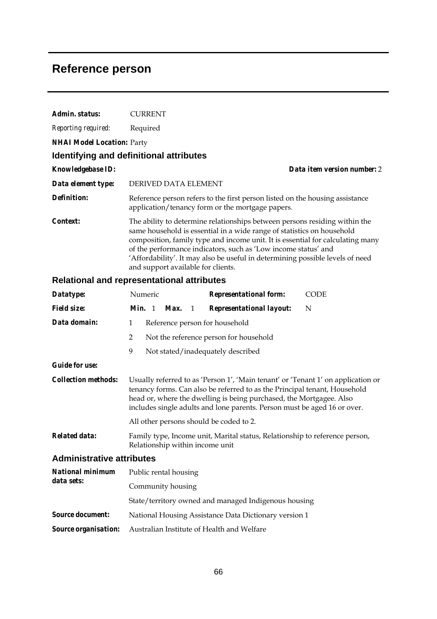## **Reference person**

| Admin. status:                        | <b>CURRENT</b>                                                                                                                                                                                                                                                                                                                                                                                                                  |  |
|---------------------------------------|---------------------------------------------------------------------------------------------------------------------------------------------------------------------------------------------------------------------------------------------------------------------------------------------------------------------------------------------------------------------------------------------------------------------------------|--|
| Reporting required:                   | Required                                                                                                                                                                                                                                                                                                                                                                                                                        |  |
| <b>NHAI Model Location: Party</b>     |                                                                                                                                                                                                                                                                                                                                                                                                                                 |  |
|                                       | Identifying and definitional attributes                                                                                                                                                                                                                                                                                                                                                                                         |  |
| Knowledgebase ID:                     | Data item version number: 2                                                                                                                                                                                                                                                                                                                                                                                                     |  |
| Data element type:                    | DERIVED DATA ELEMENT                                                                                                                                                                                                                                                                                                                                                                                                            |  |
| <b>Definition:</b>                    | Reference person refers to the first person listed on the housing assistance<br>application/tenancy form or the mortgage papers.                                                                                                                                                                                                                                                                                                |  |
| Context:                              | The ability to determine relationships between persons residing within the<br>same household is essential in a wide range of statistics on household<br>composition, family type and income unit. It is essential for calculating many<br>of the performance indicators, such as 'Low income status' and<br>'Affordability'. It may also be useful in determining possible levels of need<br>and support available for clients. |  |
|                                       | <b>Relational and representational attributes</b>                                                                                                                                                                                                                                                                                                                                                                               |  |
| Datatype:                             | Numeric<br><b>CODE</b><br><b>Representational form:</b>                                                                                                                                                                                                                                                                                                                                                                         |  |
| <b>Field size:</b>                    | Min. 1<br>N<br><b>Representational layout:</b><br>Max.<br>1                                                                                                                                                                                                                                                                                                                                                                     |  |
| Data domain:                          | $\mathbf{1}$<br>Reference person for household                                                                                                                                                                                                                                                                                                                                                                                  |  |
|                                       | 2<br>Not the reference person for household                                                                                                                                                                                                                                                                                                                                                                                     |  |
|                                       | 9<br>Not stated/inadequately described                                                                                                                                                                                                                                                                                                                                                                                          |  |
| <b>Guide for use:</b>                 |                                                                                                                                                                                                                                                                                                                                                                                                                                 |  |
| <b>Collection methods:</b>            | Usually referred to as 'Person 1', 'Main tenant' or 'Tenant 1' on application or<br>tenancy forms. Can also be referred to as the Principal tenant, Household<br>head or, where the dwelling is being purchased, the Mortgagee. Also<br>includes single adults and lone parents. Person must be aged 16 or over.                                                                                                                |  |
|                                       | All other persons should be coded to 2.                                                                                                                                                                                                                                                                                                                                                                                         |  |
| Related data:                         | Family type, Income unit, Marital status, Relationship to reference person,<br>Relationship within income unit                                                                                                                                                                                                                                                                                                                  |  |
| <b>Administrative attributes</b>      |                                                                                                                                                                                                                                                                                                                                                                                                                                 |  |
| <b>National minimum</b><br>data sets: | Public rental housing                                                                                                                                                                                                                                                                                                                                                                                                           |  |
|                                       | Community housing                                                                                                                                                                                                                                                                                                                                                                                                               |  |
|                                       | State/territory owned and managed Indigenous housing                                                                                                                                                                                                                                                                                                                                                                            |  |
| <b>Source document:</b>               | National Housing Assistance Data Dictionary version 1                                                                                                                                                                                                                                                                                                                                                                           |  |
| Source organisation:                  | Australian Institute of Health and Welfare                                                                                                                                                                                                                                                                                                                                                                                      |  |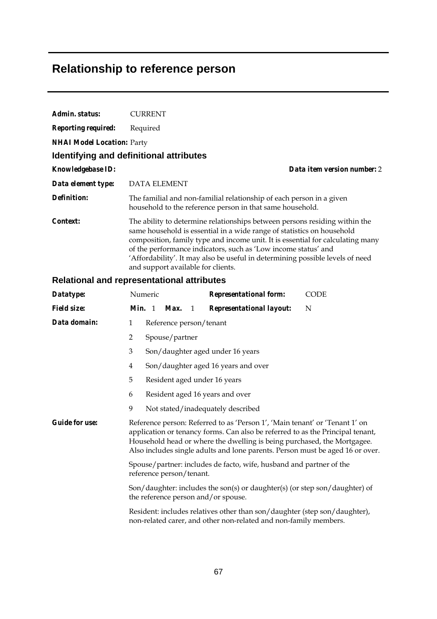## **Relationship to reference person**

| Admin. status:                    | <b>CURRENT</b>                                                                                                                                                                                                                                                                                                                                                                                                                  |  |  |  |  |  |
|-----------------------------------|---------------------------------------------------------------------------------------------------------------------------------------------------------------------------------------------------------------------------------------------------------------------------------------------------------------------------------------------------------------------------------------------------------------------------------|--|--|--|--|--|
| <b>Reporting required:</b>        | Required                                                                                                                                                                                                                                                                                                                                                                                                                        |  |  |  |  |  |
| <b>NHAI Model Location: Party</b> |                                                                                                                                                                                                                                                                                                                                                                                                                                 |  |  |  |  |  |
|                                   | <b>Identifying and definitional attributes</b>                                                                                                                                                                                                                                                                                                                                                                                  |  |  |  |  |  |
| Knowledgebase ID:                 | Data item version number: 2                                                                                                                                                                                                                                                                                                                                                                                                     |  |  |  |  |  |
| Data element type:                | <b>DATA ELEMENT</b>                                                                                                                                                                                                                                                                                                                                                                                                             |  |  |  |  |  |
| <b>Definition:</b>                | The familial and non-familial relationship of each person in a given<br>household to the reference person in that same household.                                                                                                                                                                                                                                                                                               |  |  |  |  |  |
| Context:                          | The ability to determine relationships between persons residing within the<br>same household is essential in a wide range of statistics on household<br>composition, family type and income unit. It is essential for calculating many<br>of the performance indicators, such as 'Low income status' and<br>'Affordability'. It may also be useful in determining possible levels of need<br>and support available for clients. |  |  |  |  |  |
|                                   | <b>Relational and representational attributes</b>                                                                                                                                                                                                                                                                                                                                                                               |  |  |  |  |  |
| Datatype:                         | Numeric<br><b>Representational form:</b><br><b>CODE</b>                                                                                                                                                                                                                                                                                                                                                                         |  |  |  |  |  |
| <b>Field size:</b>                | Min. 1<br><b>Representational layout:</b><br>N<br>Max.<br>1                                                                                                                                                                                                                                                                                                                                                                     |  |  |  |  |  |
| Data domain:                      | $\mathbf{1}$<br>Reference person/tenant                                                                                                                                                                                                                                                                                                                                                                                         |  |  |  |  |  |
|                                   | $\overline{2}$<br>Spouse/partner                                                                                                                                                                                                                                                                                                                                                                                                |  |  |  |  |  |
|                                   | $\mathfrak{Z}$<br>Son/daughter aged under 16 years                                                                                                                                                                                                                                                                                                                                                                              |  |  |  |  |  |
|                                   | $\overline{4}$<br>Son/daughter aged 16 years and over                                                                                                                                                                                                                                                                                                                                                                           |  |  |  |  |  |
|                                   | 5<br>Resident aged under 16 years                                                                                                                                                                                                                                                                                                                                                                                               |  |  |  |  |  |
|                                   | 6<br>Resident aged 16 years and over                                                                                                                                                                                                                                                                                                                                                                                            |  |  |  |  |  |
|                                   | 9<br>Not stated/inadequately described                                                                                                                                                                                                                                                                                                                                                                                          |  |  |  |  |  |
| <b>Guide for use:</b>             | Reference person: Referred to as 'Person 1', 'Main tenant' or 'Tenant 1' on<br>application or tenancy forms. Can also be referred to as the Principal tenant,<br>Household head or where the dwelling is being purchased, the Mortgagee.<br>Also includes single adults and lone parents. Person must be aged 16 or over.<br>Spouse/partner: includes de facto, wife, husband and partner of the                                |  |  |  |  |  |
|                                   | reference person/tenant.                                                                                                                                                                                                                                                                                                                                                                                                        |  |  |  |  |  |
|                                   | Son/daughter: includes the son(s) or daughter(s) (or step son/daughter) of<br>the reference person and/or spouse.                                                                                                                                                                                                                                                                                                               |  |  |  |  |  |

Resident: includes relatives other than son/daughter (step son/daughter), non-related carer, and other non-related and non-family members.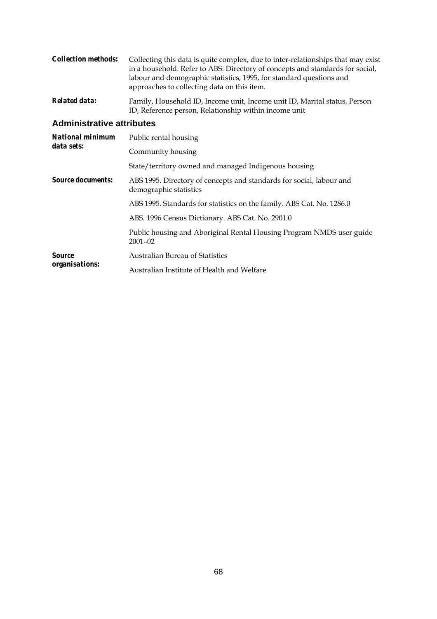| <i>Collection methods:</i> | Collecting this data is quite complex, due to inter-relationships that may exist<br>in a household. Refer to ABS: Directory of concepts and standards for social,<br>labour and demographic statistics, 1995, for standard questions and<br>approaches to collecting data on this item. |
|----------------------------|-----------------------------------------------------------------------------------------------------------------------------------------------------------------------------------------------------------------------------------------------------------------------------------------|
| Related data:              | Family, Household ID, Income unit, Income unit ID, Marital status, Person                                                                                                                                                                                                               |

ID, Reference person, Relationship within income unit

#### **Administrative attributes**

| <b>National minimum</b><br>data sets:  | Public rental housing                                                                          |
|----------------------------------------|------------------------------------------------------------------------------------------------|
|                                        | Community housing                                                                              |
|                                        | State/territory owned and managed Indigenous housing                                           |
| <i>Source documents:</i>               | ABS 1995. Directory of concepts and standards for social, labour and<br>demographic statistics |
|                                        | ABS 1995. Standards for statistics on the family. ABS Cat. No. 1286.0                          |
|                                        | ABS. 1996 Census Dictionary. ABS Cat. No. 2901.0                                               |
|                                        | Public housing and Aboriginal Rental Housing Program NMDS user guide<br>$2001 - 02$            |
| <b>Source</b><br><i>organisations:</i> | <b>Australian Bureau of Statistics</b>                                                         |
|                                        | Australian Institute of Health and Welfare                                                     |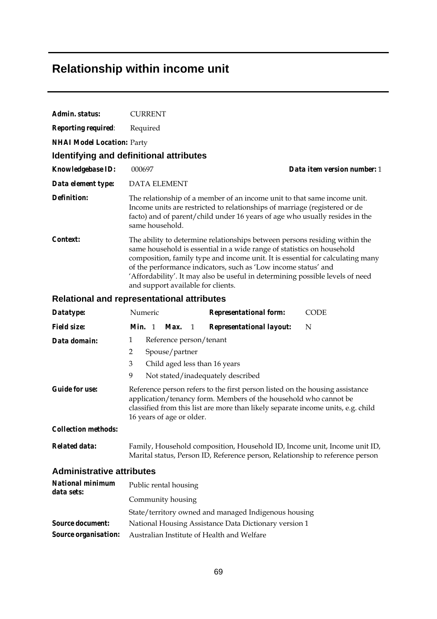# **Relationship within income unit**

| Admin. status:                    | <b>CURRENT</b>                          |                                                                                                                                                                                                                                                                                                                                                                                           |
|-----------------------------------|-----------------------------------------|-------------------------------------------------------------------------------------------------------------------------------------------------------------------------------------------------------------------------------------------------------------------------------------------------------------------------------------------------------------------------------------------|
| <b>Reporting required:</b>        | Required                                |                                                                                                                                                                                                                                                                                                                                                                                           |
| <b>NHAI Model Location: Party</b> |                                         |                                                                                                                                                                                                                                                                                                                                                                                           |
|                                   | Identifying and definitional attributes |                                                                                                                                                                                                                                                                                                                                                                                           |
| <b>Knowledgebase ID:</b>          | 000697                                  | Data item version number: 1                                                                                                                                                                                                                                                                                                                                                               |
| Data element type:                | <b>DATA ELEMENT</b>                     |                                                                                                                                                                                                                                                                                                                                                                                           |
| Definition:                       | same household.                         | The relationship of a member of an income unit to that same income unit.<br>Income units are restricted to relationships of marriage (registered or de<br>facto) and of parent/child under 16 years of age who usually resides in the                                                                                                                                                     |
| Context:                          | and support available for clients.      | The ability to determine relationships between persons residing within the<br>same household is essential in a wide range of statistics on household<br>composition, family type and income unit. It is essential for calculating many<br>of the performance indicators, such as 'Low income status' and<br>'Affordability'. It may also be useful in determining possible levels of need |

### **Relational and representational attributes**

| Datatype:                        | Numeric       |                           |                | <b>Representational form:</b>                                                                                                                                                                                                        | CODE |
|----------------------------------|---------------|---------------------------|----------------|--------------------------------------------------------------------------------------------------------------------------------------------------------------------------------------------------------------------------------------|------|
| <i>Field size:</i>               | <i>Min.</i> 1 | Max.                      | $\overline{1}$ | <b>Representational layout:</b>                                                                                                                                                                                                      | N    |
| Data domain:                     | 1             | Reference person/tenant   |                |                                                                                                                                                                                                                                      |      |
|                                  | 2             | Spouse/partner            |                |                                                                                                                                                                                                                                      |      |
|                                  | 3             |                           |                | Child aged less than 16 years                                                                                                                                                                                                        |      |
|                                  | 9             |                           |                | Not stated/inadequately described                                                                                                                                                                                                    |      |
| <b>Guide for use:</b>            |               | 16 years of age or older. |                | Reference person refers to the first person listed on the housing assistance<br>application/tenancy form. Members of the household who cannot be<br>classified from this list are more than likely separate income units, e.g. child |      |
| <b>Collection methods:</b>       |               |                           |                |                                                                                                                                                                                                                                      |      |
| Related data:                    |               |                           |                | Family, Household composition, Household ID, Income unit, Income unit ID,<br>Marital status, Person ID, Reference person, Relationship to reference person                                                                           |      |
| <b>Administrative attributes</b> |               |                           |                |                                                                                                                                                                                                                                      |      |

| <b>National minimum</b><br>data sets: | Public rental housing                                 |
|---------------------------------------|-------------------------------------------------------|
|                                       | Community housing                                     |
|                                       | State/territory owned and managed Indigenous housing  |
| <b>Source document:</b>               | National Housing Assistance Data Dictionary version 1 |
| <b>Source organisation:</b>           | Australian Institute of Health and Welfare            |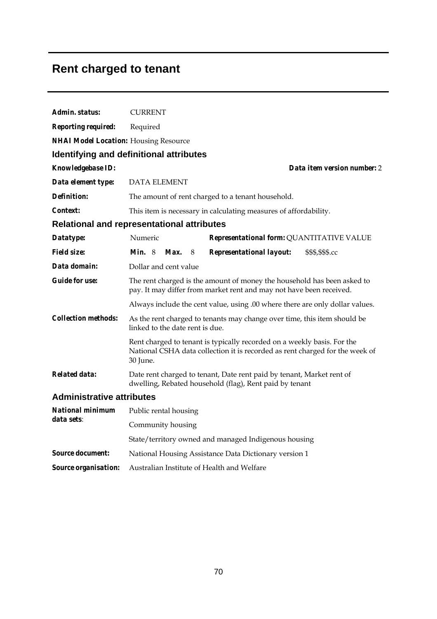# **Rent charged to tenant**

| Admin. status:                               | <b>CURRENT</b>                                                                                                                                                      |  |  |  |  |
|----------------------------------------------|---------------------------------------------------------------------------------------------------------------------------------------------------------------------|--|--|--|--|
| <b>Reporting required:</b>                   | Required                                                                                                                                                            |  |  |  |  |
| <b>NHAI Model Location:</b> Housing Resource |                                                                                                                                                                     |  |  |  |  |
|                                              | Identifying and definitional attributes                                                                                                                             |  |  |  |  |
| Knowledgebase ID:                            | Data item version number: 2                                                                                                                                         |  |  |  |  |
| Data element type:                           | <b>DATA ELEMENT</b>                                                                                                                                                 |  |  |  |  |
| <b>Definition:</b>                           | The amount of rent charged to a tenant household.                                                                                                                   |  |  |  |  |
| Context:                                     | This item is necessary in calculating measures of affordability.                                                                                                    |  |  |  |  |
|                                              | <b>Relational and representational attributes</b>                                                                                                                   |  |  |  |  |
| Datatype:                                    | Numeric<br>Representational form: QUANTITATIVE VALUE                                                                                                                |  |  |  |  |
| <b>Field size:</b>                           | <i>Min.</i> $8$<br>Max.<br><b>Representational layout:</b><br>\$\$\$,\$\$\$.cc<br>8                                                                                 |  |  |  |  |
| Data domain:                                 | Dollar and cent value                                                                                                                                               |  |  |  |  |
| <b>Guide for use:</b>                        | The rent charged is the amount of money the household has been asked to<br>pay. It may differ from market rent and may not have been received.                      |  |  |  |  |
|                                              | Always include the cent value, using .00 where there are only dollar values.                                                                                        |  |  |  |  |
| <b>Collection methods:</b>                   | As the rent charged to tenants may change over time, this item should be<br>linked to the date rent is due.                                                         |  |  |  |  |
|                                              | Rent charged to tenant is typically recorded on a weekly basis. For the<br>National CSHA data collection it is recorded as rent charged for the week of<br>30 June. |  |  |  |  |
| <b>Related data:</b>                         | Date rent charged to tenant, Date rent paid by tenant, Market rent of<br>dwelling, Rebated household (flag), Rent paid by tenant                                    |  |  |  |  |
| <b>Administrative attributes</b>             |                                                                                                                                                                     |  |  |  |  |
| <b>National minimum</b>                      | Public rental housing                                                                                                                                               |  |  |  |  |
| data sets:                                   | Community housing                                                                                                                                                   |  |  |  |  |
|                                              | State/territory owned and managed Indigenous housing                                                                                                                |  |  |  |  |
| <b>Source document:</b>                      | National Housing Assistance Data Dictionary version 1                                                                                                               |  |  |  |  |

*Source organisation:* Australian Institute of Health and Welfare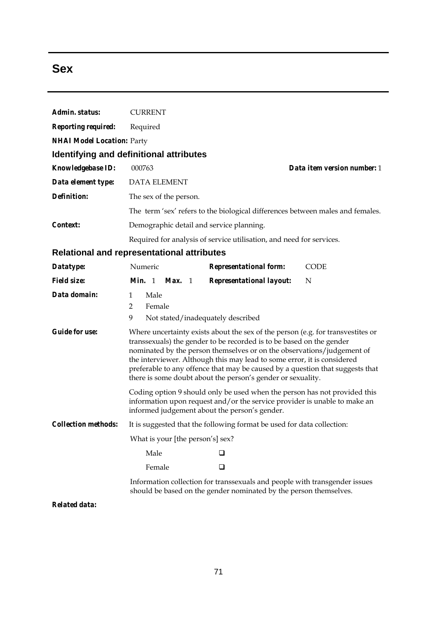## **Sex**

| Admin. status:                    | <b>CURRENT</b>                                                                                                                                                                                                                                                                                                                                                                                                                                               |  |  |  |
|-----------------------------------|--------------------------------------------------------------------------------------------------------------------------------------------------------------------------------------------------------------------------------------------------------------------------------------------------------------------------------------------------------------------------------------------------------------------------------------------------------------|--|--|--|
| <b>Reporting required:</b>        | Required                                                                                                                                                                                                                                                                                                                                                                                                                                                     |  |  |  |
| <b>NHAI Model Location: Party</b> |                                                                                                                                                                                                                                                                                                                                                                                                                                                              |  |  |  |
|                                   | <b>Identifying and definitional attributes</b>                                                                                                                                                                                                                                                                                                                                                                                                               |  |  |  |
| <b>Knowledgebase ID:</b>          | 000763<br>Data item version number: 1                                                                                                                                                                                                                                                                                                                                                                                                                        |  |  |  |
| Data element type:                | <b>DATA ELEMENT</b>                                                                                                                                                                                                                                                                                                                                                                                                                                          |  |  |  |
| <b>Definition:</b>                | The sex of the person.                                                                                                                                                                                                                                                                                                                                                                                                                                       |  |  |  |
|                                   | The term 'sex' refers to the biological differences between males and females.                                                                                                                                                                                                                                                                                                                                                                               |  |  |  |
| Context:                          | Demographic detail and service planning.                                                                                                                                                                                                                                                                                                                                                                                                                     |  |  |  |
|                                   | Required for analysis of service utilisation, and need for services.                                                                                                                                                                                                                                                                                                                                                                                         |  |  |  |
|                                   | <b>Relational and representational attributes</b>                                                                                                                                                                                                                                                                                                                                                                                                            |  |  |  |
| Datatype:                         | Numeric<br><b>Representational form:</b><br><b>CODE</b>                                                                                                                                                                                                                                                                                                                                                                                                      |  |  |  |
| <b>Field size:</b>                | Min. 1<br>Max. 1<br><b>Representational layout:</b><br>N                                                                                                                                                                                                                                                                                                                                                                                                     |  |  |  |
| Data domain:                      | Male<br>$\mathbf{1}$<br>$\overline{2}$<br>Female<br>9<br>Not stated/inadequately described                                                                                                                                                                                                                                                                                                                                                                   |  |  |  |
| <b>Guide for use:</b>             | Where uncertainty exists about the sex of the person (e.g. for transvestites or<br>transsexuals) the gender to be recorded is to be based on the gender<br>nominated by the person themselves or on the observations/judgement of<br>the interviewer. Although this may lead to some error, it is considered<br>preferable to any offence that may be caused by a question that suggests that<br>there is some doubt about the person's gender or sexuality. |  |  |  |
|                                   | Coding option 9 should only be used when the person has not provided this<br>information upon request and/or the service provider is unable to make an<br>informed judgement about the person's gender.                                                                                                                                                                                                                                                      |  |  |  |
| <b>Collection methods:</b>        | It is suggested that the following format be used for data collection:                                                                                                                                                                                                                                                                                                                                                                                       |  |  |  |
|                                   | What is your [the person's] sex?                                                                                                                                                                                                                                                                                                                                                                                                                             |  |  |  |
|                                   | Male<br>ப                                                                                                                                                                                                                                                                                                                                                                                                                                                    |  |  |  |
|                                   | Female<br>◻                                                                                                                                                                                                                                                                                                                                                                                                                                                  |  |  |  |
|                                   | Information collection for transsexuals and people with transgender issues<br>should be based on the gender nominated by the person themselves.                                                                                                                                                                                                                                                                                                              |  |  |  |
| <b>Related data:</b>              |                                                                                                                                                                                                                                                                                                                                                                                                                                                              |  |  |  |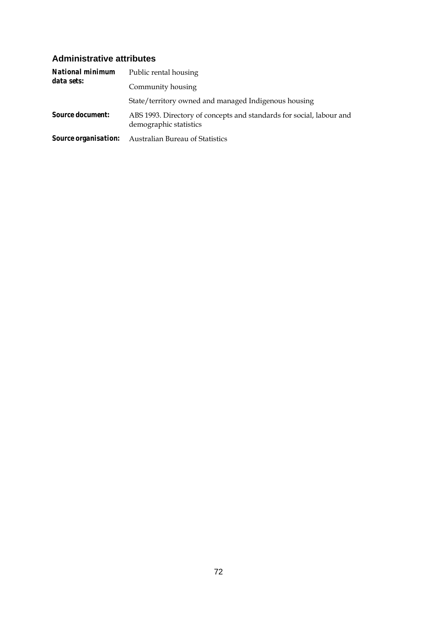### **Administrative attributes**

| <b>National minimum</b><br>data sets: | Public rental housing                                                                          |
|---------------------------------------|------------------------------------------------------------------------------------------------|
|                                       | Community housing                                                                              |
|                                       | State/territory owned and managed Indigenous housing                                           |
| <b>Source document:</b>               | ABS 1993. Directory of concepts and standards for social, labour and<br>demographic statistics |
|                                       | <b>Source organisation:</b> Australian Bureau of Statistics                                    |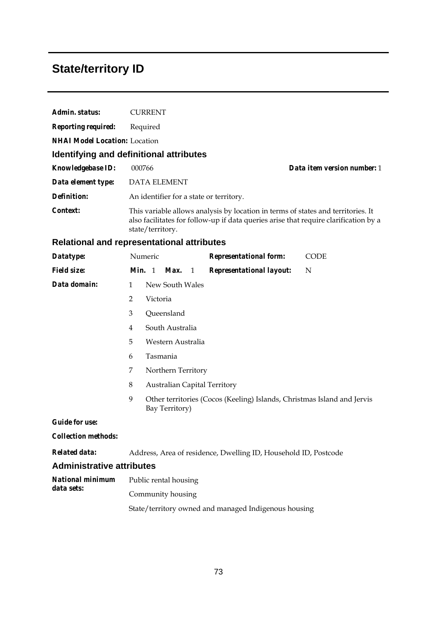# **State/territory ID**

| Admin. status:                       | <b>CURRENT</b>                                                                                                                                                                               |  |  |  |  |  |
|--------------------------------------|----------------------------------------------------------------------------------------------------------------------------------------------------------------------------------------------|--|--|--|--|--|
| <b>Reporting required:</b>           | Required                                                                                                                                                                                     |  |  |  |  |  |
| <b>NHAI Model Location:</b> Location |                                                                                                                                                                                              |  |  |  |  |  |
|                                      | Identifying and definitional attributes                                                                                                                                                      |  |  |  |  |  |
| <b>Knowledgebase ID:</b>             | 000766<br>Data item version number: 1                                                                                                                                                        |  |  |  |  |  |
| Data element type:                   | <b>DATA ELEMENT</b>                                                                                                                                                                          |  |  |  |  |  |
| Definition:                          | An identifier for a state or territory.                                                                                                                                                      |  |  |  |  |  |
| Context:                             | This variable allows analysis by location in terms of states and territories. It<br>also facilitates for follow-up if data queries arise that require clarification by a<br>state/territory. |  |  |  |  |  |
|                                      | <b>Relational and representational attributes</b>                                                                                                                                            |  |  |  |  |  |
| Datatype:                            | Numeric<br><b>Representational form:</b><br><b>CODE</b>                                                                                                                                      |  |  |  |  |  |
| <b>Field size:</b>                   | Min. 1<br>Max.<br><b>Representational layout:</b><br>N<br>1                                                                                                                                  |  |  |  |  |  |
| Data domain:                         | New South Wales<br>1                                                                                                                                                                         |  |  |  |  |  |
|                                      | 2<br>Victoria                                                                                                                                                                                |  |  |  |  |  |
|                                      | 3<br>Queensland                                                                                                                                                                              |  |  |  |  |  |
|                                      | South Australia<br>$\overline{4}$                                                                                                                                                            |  |  |  |  |  |
|                                      | 5<br>Western Australia                                                                                                                                                                       |  |  |  |  |  |
|                                      | Tasmania<br>6                                                                                                                                                                                |  |  |  |  |  |
|                                      | 7<br>Northern Territory                                                                                                                                                                      |  |  |  |  |  |
|                                      | $\,8\,$<br><b>Australian Capital Territory</b>                                                                                                                                               |  |  |  |  |  |
|                                      | 9<br>Other territories (Cocos (Keeling) Islands, Christmas Island and Jervis<br>Bay Territory)                                                                                               |  |  |  |  |  |
| <b>Guide for use:</b>                |                                                                                                                                                                                              |  |  |  |  |  |
| <b>Collection methods:</b>           |                                                                                                                                                                                              |  |  |  |  |  |
| <b>Related data:</b>                 | Address, Area of residence, Dwelling ID, Household ID, Postcode                                                                                                                              |  |  |  |  |  |
| <b>Administrative attributes</b>     |                                                                                                                                                                                              |  |  |  |  |  |
| National minimum                     | Public rental housing                                                                                                                                                                        |  |  |  |  |  |
| data sets:                           | Community housing                                                                                                                                                                            |  |  |  |  |  |
|                                      | State/territory owned and managed Indigenous housing                                                                                                                                         |  |  |  |  |  |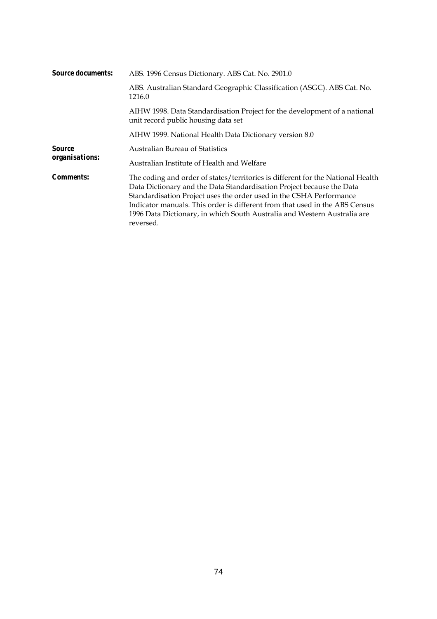| <b>Source documents:</b>        | ABS. 1996 Census Dictionary. ABS Cat. No. 2901.0                                                                                                                                                                                                                                                                                                                                                        |  |  |  |  |
|---------------------------------|---------------------------------------------------------------------------------------------------------------------------------------------------------------------------------------------------------------------------------------------------------------------------------------------------------------------------------------------------------------------------------------------------------|--|--|--|--|
|                                 | ABS. Australian Standard Geographic Classification (ASGC). ABS Cat. No.<br>1216.0                                                                                                                                                                                                                                                                                                                       |  |  |  |  |
|                                 | AIHW 1998. Data Standardisation Project for the development of a national<br>unit record public housing data set                                                                                                                                                                                                                                                                                        |  |  |  |  |
|                                 | AIHW 1999. National Health Data Dictionary version 8.0                                                                                                                                                                                                                                                                                                                                                  |  |  |  |  |
| <i>Source</i><br>organisations: | <b>Australian Bureau of Statistics</b>                                                                                                                                                                                                                                                                                                                                                                  |  |  |  |  |
|                                 | Australian Institute of Health and Welfare                                                                                                                                                                                                                                                                                                                                                              |  |  |  |  |
| <i>Comments:</i>                | The coding and order of states/territories is different for the National Health<br>Data Dictionary and the Data Standardisation Project because the Data<br>Standardisation Project uses the order used in the CSHA Performance<br>Indicator manuals. This order is different from that used in the ABS Census<br>1996 Data Dictionary, in which South Australia and Western Australia are<br>reversed. |  |  |  |  |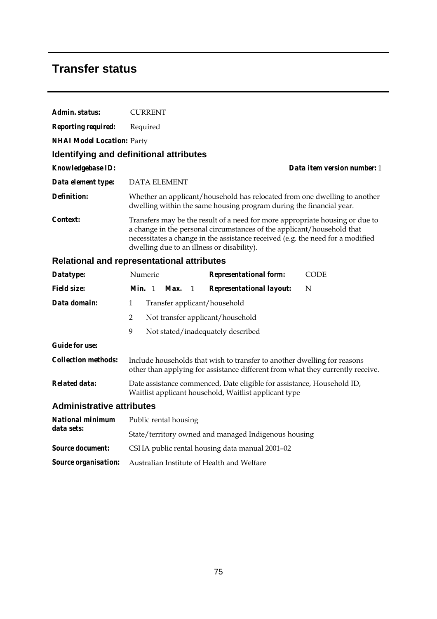### **Transfer status**

| Admin. status:                    | <b>CURRENT</b>                                                                                                                                                                                                                                                                         |
|-----------------------------------|----------------------------------------------------------------------------------------------------------------------------------------------------------------------------------------------------------------------------------------------------------------------------------------|
| <b>Reporting required:</b>        | Required                                                                                                                                                                                                                                                                               |
| <b>NHAI Model Location: Party</b> |                                                                                                                                                                                                                                                                                        |
|                                   | Identifying and definitional attributes                                                                                                                                                                                                                                                |
| <b>Knowledgebase ID:</b>          | Data item version number: 1                                                                                                                                                                                                                                                            |
| Data element type:                | <b>DATA ELEMENT</b>                                                                                                                                                                                                                                                                    |
| Definition:                       | Whether an applicant/household has relocated from one dwelling to another<br>dwelling within the same housing program during the financial year.                                                                                                                                       |
| Context:                          | Transfers may be the result of a need for more appropriate housing or due to<br>a change in the personal circumstances of the applicant/household that<br>necessitates a change in the assistance received (e.g. the need for a modified<br>dwelling due to an illness or disability). |

#### **Relational and representational attributes**

| Datatype:                        | Numeric                                                                                                                                                    |                                  |      | <b>Representational form:</b> | CODE                              |   |  |
|----------------------------------|------------------------------------------------------------------------------------------------------------------------------------------------------------|----------------------------------|------|-------------------------------|-----------------------------------|---|--|
| <i>Field size:</i>               | <i>Min.</i> 1                                                                                                                                              |                                  | Max. | $\overline{1}$                | <b>Representational layout:</b>   | N |  |
| Data domain:                     | $\mathbf{1}$                                                                                                                                               | Transfer applicant/household     |      |                               |                                   |   |  |
|                                  | 2                                                                                                                                                          | Not transfer applicant/household |      |                               |                                   |   |  |
|                                  | 9                                                                                                                                                          |                                  |      |                               | Not stated/inadequately described |   |  |
| <i>Guide for use:</i>            |                                                                                                                                                            |                                  |      |                               |                                   |   |  |
| <i>Collection methods:</i>       | Include households that wish to transfer to another dwelling for reasons<br>other than applying for assistance different from what they currently receive. |                                  |      |                               |                                   |   |  |
| Related data:                    | Date assistance commenced, Date eligible for assistance, Household ID,<br>Waitlist applicant household, Waitlist applicant type                            |                                  |      |                               |                                   |   |  |
| <b>Administrative attributes</b> |                                                                                                                                                            |                                  |      |                               |                                   |   |  |
| National minimum<br>data sets:   | Public rental housing                                                                                                                                      |                                  |      |                               |                                   |   |  |
|                                  | State/territory owned and managed Indigenous housing                                                                                                       |                                  |      |                               |                                   |   |  |

*Source document:* CSHA public rental housing data manual 2001–02

*Source organisation:* Australian Institute of Health and Welfare